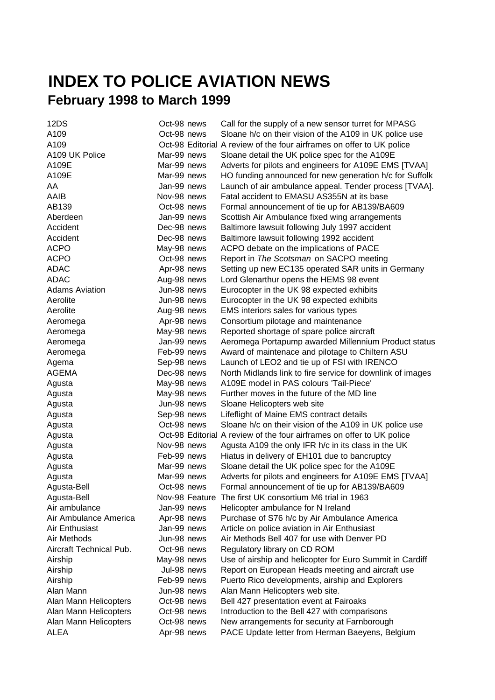## **INDEX TO POLICE AVIATION NEWS February 1998 to March 1999**

| 12DS                    | Oct-98 news | Call for the supply of a new sensor turret for MPASG                  |
|-------------------------|-------------|-----------------------------------------------------------------------|
| A109                    | Oct-98 news | Sloane h/c on their vision of the A109 in UK police use               |
| A109                    |             | Oct-98 Editorial A review of the four airframes on offer to UK police |
| A109 UK Police          | Mar-99 news | Sloane detail the UK police spec for the A109E                        |
| A109E                   | Mar-99 news | Adverts for pilots and engineers for A109E EMS [TVAA]                 |
| A109E                   | Mar-99 news | HO funding announced for new generation h/c for Suffolk               |
| AA                      | Jan-99 news | Launch of air ambulance appeal. Tender process [TVAA].                |
| AAIB                    | Nov-98 news | Fatal accident to EMASU AS355N at its base                            |
| AB139                   | Oct-98 news | Formal announcement of tie up for AB139/BA609                         |
| Aberdeen                | Jan-99 news | Scottish Air Ambulance fixed wing arrangements                        |
| Accident                | Dec-98 news | Baltimore lawsuit following July 1997 accident                        |
| Accident                | Dec-98 news | Baltimore lawsuit following 1992 accident                             |
| <b>ACPO</b>             | May-98 news | ACPO debate on the implications of PACE                               |
| <b>ACPO</b>             | Oct-98 news | Report in The Scotsman on SACPO meeting                               |
| <b>ADAC</b>             | Apr-98 news | Setting up new EC135 operated SAR units in Germany                    |
| <b>ADAC</b>             | Aug-98 news | Lord Glenarthur opens the HEMS 98 event                               |
| <b>Adams Aviation</b>   | Jun-98 news | Eurocopter in the UK 98 expected exhibits                             |
| Aerolite                | Jun-98 news | Eurocopter in the UK 98 expected exhibits                             |
| Aerolite                | Aug-98 news | EMS interiors sales for various types                                 |
| Aeromega                | Apr-98 news | Consortium pilotage and maintenance                                   |
| Aeromega                | May-98 news | Reported shortage of spare police aircraft                            |
| Aeromega                | Jan-99 news | Aeromega Portapump awarded Millennium Product status                  |
| Aeromega                | Feb-99 news | Award of maintenace and pilotage to Chiltern ASU                      |
| Agema                   | Sep-98 news | Launch of LEO2 and tie up of FSI with IRENCO                          |
| <b>AGEMA</b>            | Dec-98 news | North Midlands link to fire service for downlink of images            |
| Agusta                  | May-98 news | A109E model in PAS colours 'Tail-Piece'                               |
| Agusta                  | May-98 news | Further moves in the future of the MD line                            |
| Agusta                  | Jun-98 news | Sloane Helicopters web site                                           |
| Agusta                  | Sep-98 news | Lifeflight of Maine EMS contract details                              |
| Agusta                  | Oct-98 news | Sloane h/c on their vision of the A109 in UK police use               |
| Agusta                  |             | Oct-98 Editorial A review of the four airframes on offer to UK police |
| Agusta                  | Nov-98 news | Agusta A109 the only IFR h/c in its class in the UK                   |
| Agusta                  | Feb-99 news | Hiatus in delivery of EH101 due to bancruptcy                         |
| Agusta                  | Mar-99 news | Sloane detail the UK police spec for the A109E                        |
| Agusta                  | Mar-99 news | Adverts for pilots and engineers for A109E EMS [TVAA]                 |
| Agusta-Bell             | Oct-98 news | Formal announcement of tie up for AB139/BA609                         |
| Agusta-Bell             |             | Nov-98 Feature The first UK consortium M6 trial in 1963               |
| Air ambulance           | Jan-99 news | Helicopter ambulance for N Ireland                                    |
| Air Ambulance America   | Apr-98 news | Purchase of S76 h/c by Air Ambulance America                          |
| Air Enthusiast          | Jan-99 news | Article on police aviation in Air Enthusiast                          |
| Air Methods             | Jun-98 news | Air Methods Bell 407 for use with Denver PD                           |
| Aircraft Technical Pub. | Oct-98 news | Regulatory library on CD ROM                                          |
| Airship                 | May-98 news | Use of airship and helicopter for Euro Summit in Cardiff              |
| Airship                 | Jul-98 news | Report on European Heads meeting and aircraft use                     |
| Airship                 | Feb-99 news | Puerto Rico developments, airship and Explorers                       |
| Alan Mann               | Jun-98 news | Alan Mann Helicopters web site.                                       |
| Alan Mann Helicopters   | Oct-98 news | Bell 427 presentation event at Fairoaks                               |
| Alan Mann Helicopters   | Oct-98 news | Introduction to the Bell 427 with comparisons                         |
| Alan Mann Helicopters   | Oct-98 news | New arrangements for security at Farnborough                          |
| <b>ALEA</b>             | Apr-98 news | PACE Update letter from Herman Baeyens, Belgium                       |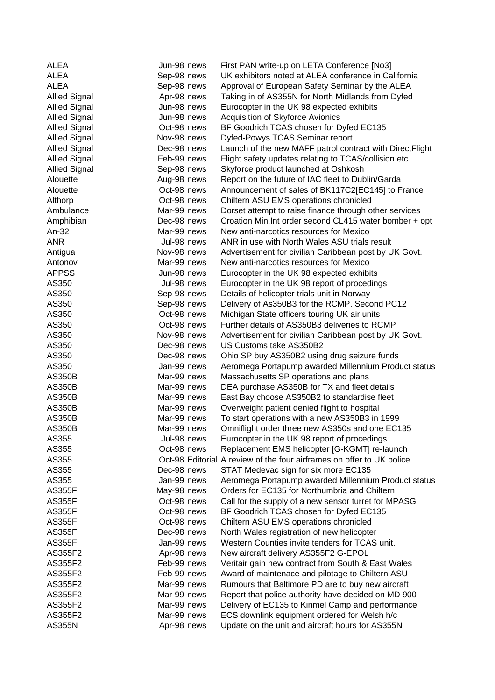| <b>ALEA</b>          | Jun-98 news | First PAN write-up on LETA Conference [No3]                           |
|----------------------|-------------|-----------------------------------------------------------------------|
| <b>ALEA</b>          | Sep-98 news | UK exhibitors noted at ALEA conference in California                  |
| <b>ALEA</b>          | Sep-98 news | Approval of European Safety Seminar by the ALEA                       |
| <b>Allied Signal</b> | Apr-98 news | Taking in of AS355N for North Midlands from Dyfed                     |
| <b>Allied Signal</b> | Jun-98 news | Eurocopter in the UK 98 expected exhibits                             |
| <b>Allied Signal</b> | Jun-98 news | Acquisition of Skyforce Avionics                                      |
| <b>Allied Signal</b> | Oct-98 news | BF Goodrich TCAS chosen for Dyfed EC135                               |
| <b>Allied Signal</b> | Nov-98 news | Dyfed-Powys TCAS Seminar report                                       |
| <b>Allied Signal</b> | Dec-98 news | Launch of the new MAFF patrol contract with DirectFlight              |
| <b>Allied Signal</b> | Feb-99 news | Flight safety updates relating to TCAS/collision etc.                 |
| <b>Allied Signal</b> | Sep-98 news | Skyforce product launched at Oshkosh                                  |
| Alouette             | Aug-98 news | Report on the future of IAC fleet to Dublin/Garda                     |
| Alouette             | Oct-98 news | Announcement of sales of BK117C2[EC145] to France                     |
| Althorp              | Oct-98 news | Chiltern ASU EMS operations chronicled                                |
| Ambulance            | Mar-99 news | Dorset attempt to raise finance through other services                |
| Amphibian            | Dec-98 news | Croation Min. Int order second CL415 water bomber + opt               |
| An-32                | Mar-99 news | New anti-narcotics resources for Mexico                               |
| <b>ANR</b>           | Jul-98 news | ANR in use with North Wales ASU trials result                         |
| Antigua              | Nov-98 news | Advertisement for civilian Caribbean post by UK Govt.                 |
| Antonov              | Mar-99 news | New anti-narcotics resources for Mexico                               |
| <b>APPSS</b>         | Jun-98 news | Eurocopter in the UK 98 expected exhibits                             |
| AS350                | Jul-98 news | Eurocopter in the UK 98 report of procedings                          |
| AS350                | Sep-98 news | Details of helicopter trials unit in Norway                           |
| AS350                | Sep-98 news | Delivery of As350B3 for the RCMP. Second PC12                         |
| AS350                | Oct-98 news | Michigan State officers touring UK air units                          |
| AS350                | Oct-98 news | Further details of AS350B3 deliveries to RCMP                         |
| AS350                | Nov-98 news | Advertisement for civilian Caribbean post by UK Govt.                 |
| AS350                | Dec-98 news | US Customs take AS350B2                                               |
| AS350                | Dec-98 news | Ohio SP buy AS350B2 using drug seizure funds                          |
| AS350                | Jan-99 news | Aeromega Portapump awarded Millennium Product status                  |
| <b>AS350B</b>        | Mar-99 news | Massachusetts SP operations and plans                                 |
| <b>AS350B</b>        | Mar-99 news | DEA purchase AS350B for TX and fleet details                          |
| <b>AS350B</b>        | Mar-99 news | East Bay choose AS350B2 to standardise fleet                          |
| <b>AS350B</b>        | Mar-99 news | Overweight patient denied flight to hospital                          |
| <b>AS350B</b>        | Mar-99 news | To start operations with a new AS350B3 in 1999                        |
| <b>AS350B</b>        | Mar-99 news | Omniflight order three new AS350s and one EC135                       |
| AS355                | Jul-98 news | Eurocopter in the UK 98 report of procedings                          |
| AS355                | Oct-98 news | Replacement EMS helicopter [G-KGMT] re-launch                         |
| AS355                |             | Oct-98 Editorial A review of the four airframes on offer to UK police |
| AS355                | Dec-98 news | STAT Medevac sign for six more EC135                                  |
| AS355                | Jan-99 news | Aeromega Portapump awarded Millennium Product status                  |
| <b>AS355F</b>        | May-98 news | Orders for EC135 for Northumbria and Chiltern                         |
| <b>AS355F</b>        | Oct-98 news | Call for the supply of a new sensor turret for MPASG                  |
| <b>AS355F</b>        | Oct-98 news | BF Goodrich TCAS chosen for Dyfed EC135                               |
| <b>AS355F</b>        | Oct-98 news | Chiltern ASU EMS operations chronicled                                |
| <b>AS355F</b>        | Dec-98 news | North Wales registration of new helicopter                            |
| <b>AS355F</b>        | Jan-99 news | Western Counties invite tenders for TCAS unit.                        |
| AS355F2              | Apr-98 news | New aircraft delivery AS355F2 G-EPOL                                  |
| AS355F2              | Feb-99 news | Veritair gain new contract from South & East Wales                    |
| AS355F2              | Feb-99 news | Award of maintenace and pilotage to Chiltern ASU                      |
| AS355F2              | Mar-99 news | Rumours that Baltimore PD are to buy new aircraft                     |
| AS355F2              | Mar-99 news | Report that police authority have decided on MD 900                   |
| AS355F2              | Mar-99 news | Delivery of EC135 to Kinmel Camp and performance                      |
| AS355F2              | Mar-99 news | ECS downlink equipment ordered for Welsh h/c                          |
| <b>AS355N</b>        | Apr-98 news | Update on the unit and aircraft hours for AS355N                      |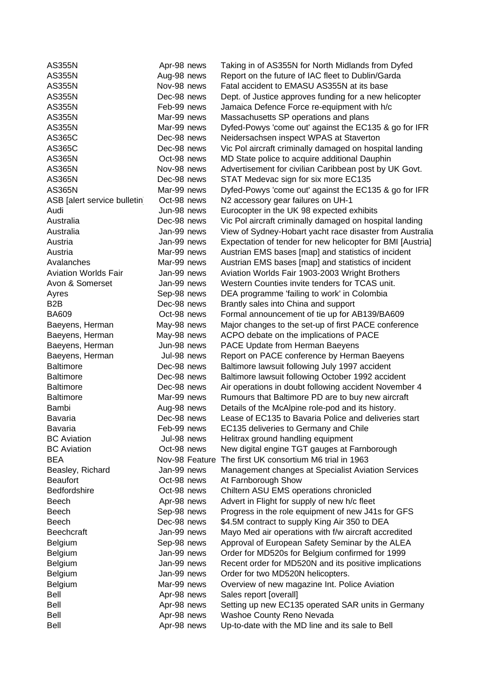| <b>AS355N</b>                | Apr-98 news    | Taking in of AS355N for North Midlands from Dyfed          |
|------------------------------|----------------|------------------------------------------------------------|
| <b>AS355N</b>                | Aug-98 news    | Report on the future of IAC fleet to Dublin/Garda          |
| <b>AS355N</b>                | Nov-98 news    | Fatal accident to EMASU AS355N at its base                 |
| <b>AS355N</b>                | Dec-98 news    | Dept. of Justice approves funding for a new helicopter     |
| <b>AS355N</b>                | Feb-99 news    | Jamaica Defence Force re-equipment with h/c                |
| <b>AS355N</b>                | Mar-99 news    | Massachusetts SP operations and plans                      |
| <b>AS355N</b>                | Mar-99 news    | Dyfed-Powys 'come out' against the EC135 & go for IFR      |
| AS365C                       | Dec-98 news    | Neidersachsen inspect WPAS at Staverton                    |
| AS365C                       | Dec-98 news    | Vic Pol aircraft criminally damaged on hospital landing    |
| <b>AS365N</b>                | Oct-98 news    | MD State police to acquire additional Dauphin              |
| <b>AS365N</b>                | Nov-98 news    | Advertisement for civilian Caribbean post by UK Govt.      |
| <b>AS365N</b>                | Dec-98 news    | STAT Medevac sign for six more EC135                       |
| <b>AS365N</b>                | Mar-99 news    | Dyfed-Powys 'come out' against the EC135 & go for IFR      |
| ASB [alert service bulletin] | Oct-98 news    | N2 accessory gear failures on UH-1                         |
| Audi                         | Jun-98 news    | Eurocopter in the UK 98 expected exhibits                  |
| Australia                    | Dec-98 news    | Vic Pol aircraft criminally damaged on hospital landing    |
| Australia                    | Jan-99 news    | View of Sydney-Hobart yacht race disaster from Australia   |
| Austria                      | Jan-99 news    | Expectation of tender for new helicopter for BMI [Austria] |
| Austria                      | Mar-99 news    | Austrian EMS bases [map] and statistics of incident        |
| Avalanches                   | Mar-99 news    | Austrian EMS bases [map] and statistics of incident        |
| <b>Aviation Worlds Fair</b>  | Jan-99 news    | Aviation Worlds Fair 1903-2003 Wright Brothers             |
| Avon & Somerset              | Jan-99 news    | Western Counties invite tenders for TCAS unit.             |
| Ayres                        | Sep-98 news    | DEA programme 'failing to work' in Colombia                |
| B <sub>2</sub> B             | Dec-98 news    | Brantly sales into China and support                       |
| <b>BA609</b>                 | Oct-98 news    | Formal announcement of tie up for AB139/BA609              |
| Baeyens, Herman              | May-98 news    | Major changes to the set-up of first PACE conference       |
| Baeyens, Herman              | May-98 news    | ACPO debate on the implications of PACE                    |
| Baeyens, Herman              | Jun-98 news    | PACE Update from Herman Baeyens                            |
| Baeyens, Herman              | Jul-98 news    | Report on PACE conference by Herman Baeyens                |
| <b>Baltimore</b>             | Dec-98 news    | Baltimore lawsuit following July 1997 accident             |
| <b>Baltimore</b>             | Dec-98 news    | Baltimore lawsuit following October 1992 accident          |
| <b>Baltimore</b>             | Dec-98 news    | Air operations in doubt following accident November 4      |
| <b>Baltimore</b>             | Mar-99 news    | Rumours that Baltimore PD are to buy new aircraft          |
| Bambi                        | Aug-98 news    | Details of the McAlpine role-pod and its history.          |
| <b>Bavaria</b>               | Dec-98 news    | Lease of EC135 to Bavaria Police and deliveries start      |
| Bavaria                      | Feb-99 news    | EC135 deliveries to Germany and Chile                      |
| <b>BC</b> Aviation           | Jul-98 news    | Helitrax ground handling equipment                         |
| <b>BC</b> Aviation           | Oct-98 news    | New digital engine TGT gauges at Farnborough               |
| <b>BEA</b>                   | Nov-98 Feature | The first UK consortium M6 trial in 1963                   |
| Beasley, Richard             | Jan-99 news    | Management changes at Specialist Aviation Services         |
| <b>Beaufort</b>              | Oct-98 news    | At Farnborough Show                                        |
| Bedfordshire                 | Oct-98 news    | Chiltern ASU EMS operations chronicled                     |
| Beech                        | Apr-98 news    | Advert in Flight for supply of new h/c fleet               |
| Beech                        | Sep-98 news    | Progress in the role equipment of new J41s for GFS         |
| <b>Beech</b>                 | Dec-98 news    | \$4.5M contract to supply King Air 350 to DEA              |
| Beechcraft                   | Jan-99 news    | Mayo Med air operations with f/w aircraft accredited       |
| Belgium                      | Sep-98 news    | Approval of European Safety Seminar by the ALEA            |
| Belgium                      | Jan-99 news    | Order for MD520s for Belgium confirmed for 1999            |
| Belgium                      | Jan-99 news    | Recent order for MD520N and its positive implications      |
| Belgium                      | Jan-99 news    | Order for two MD520N helicopters.                          |
| Belgium                      | Mar-99 news    | Overview of new magazine Int. Police Aviation              |
| Bell                         | Apr-98 news    | Sales report [overall]                                     |
| <b>Bell</b>                  | Apr-98 news    | Setting up new EC135 operated SAR units in Germany         |
| Bell                         | Apr-98 news    | Washoe County Reno Nevada                                  |
| <b>Bell</b>                  | Apr-98 news    | Up-to-date with the MD line and its sale to Bell           |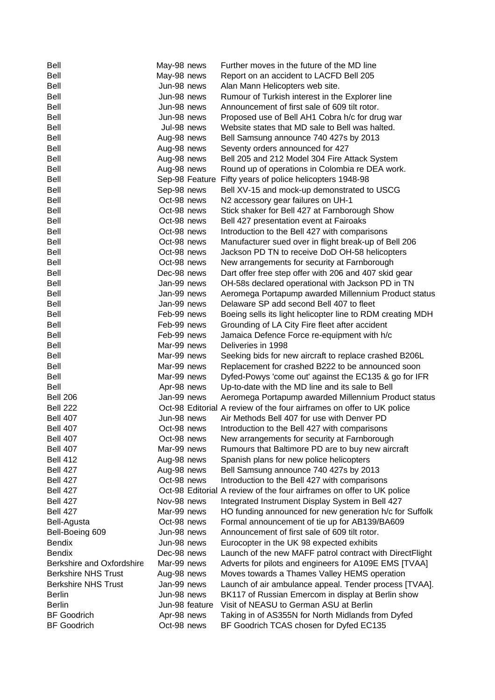| Bell                       | May-98 news |                | Further moves in the future of the MD line                            |
|----------------------------|-------------|----------------|-----------------------------------------------------------------------|
| Bell                       | May-98 news |                | Report on an accident to LACFD Bell 205                               |
| Bell                       | Jun-98 news |                | Alan Mann Helicopters web site.                                       |
| Bell                       | Jun-98 news |                | Rumour of Turkish interest in the Explorer line                       |
| Bell                       | Jun-98 news |                | Announcement of first sale of 609 tilt rotor.                         |
| Bell                       | Jun-98 news |                | Proposed use of Bell AH1 Cobra h/c for drug war                       |
| <b>Bell</b>                | Jul-98 news |                | Website states that MD sale to Bell was halted.                       |
| <b>Bell</b>                | Aug-98 news |                | Bell Samsung announce 740 427s by 2013                                |
| <b>Bell</b>                | Aug-98 news |                | Seventy orders announced for 427                                      |
| Bell                       | Aug-98 news |                | Bell 205 and 212 Model 304 Fire Attack System                         |
| Bell                       | Aug-98 news |                | Round up of operations in Colombia re DEA work.                       |
| <b>Bell</b>                |             |                | Sep-98 Feature Fifty years of police helicopters 1948-98              |
| <b>Bell</b>                | Sep-98 news |                | Bell XV-15 and mock-up demonstrated to USCG                           |
| <b>Bell</b>                | Oct-98 news |                | N2 accessory gear failures on UH-1                                    |
| <b>Bell</b>                | Oct-98 news |                | Stick shaker for Bell 427 at Farnborough Show                         |
| Bell                       | Oct-98 news |                | Bell 427 presentation event at Fairoaks                               |
| Bell                       | Oct-98 news |                | Introduction to the Bell 427 with comparisons                         |
| <b>Bell</b>                | Oct-98 news |                | Manufacturer sued over in flight break-up of Bell 206                 |
| <b>Bell</b>                | Oct-98 news |                | Jackson PD TN to receive DoD OH-58 helicopters                        |
| <b>Bell</b>                | Oct-98 news |                | New arrangements for security at Farnborough                          |
| <b>Bell</b>                | Dec-98 news |                | Dart offer free step offer with 206 and 407 skid gear                 |
| Bell                       | Jan-99 news |                | OH-58s declared operational with Jackson PD in TN                     |
| Bell                       | Jan-99 news |                | Aeromega Portapump awarded Millennium Product status                  |
| Bell                       | Jan-99 news |                | Delaware SP add second Bell 407 to fleet                              |
| <b>Bell</b>                | Feb-99 news |                | Boeing sells its light helicopter line to RDM creating MDH            |
| <b>Bell</b>                | Feb-99 news |                | Grounding of LA City Fire fleet after accident                        |
| <b>Bell</b>                | Feb-99 news |                | Jamaica Defence Force re-equipment with h/c                           |
| <b>Bell</b>                | Mar-99 news |                | Deliveries in 1998                                                    |
| Bell                       | Mar-99 news |                | Seeking bids for new aircraft to replace crashed B206L                |
| <b>Bell</b>                | Mar-99 news |                | Replacement for crashed B222 to be announced soon                     |
| <b>Bell</b>                | Mar-99 news |                | Dyfed-Powys 'come out' against the EC135 & go for IFR                 |
| Bell                       | Apr-98 news |                | Up-to-date with the MD line and its sale to Bell                      |
| <b>Bell 206</b>            | Jan-99 news |                | Aeromega Portapump awarded Millennium Product status                  |
| <b>Bell 222</b>            |             |                | Oct-98 Editorial A review of the four airframes on offer to UK police |
| <b>Bell 407</b>            | Jun-98 news |                | Air Methods Bell 407 for use with Denver PD                           |
| <b>Bell 407</b>            | Oct-98 news |                | Introduction to the Bell 427 with comparisons                         |
| <b>Bell 407</b>            | Oct-98 news |                | New arrangements for security at Farnborough                          |
| <b>Bell 407</b>            | Mar-99 news |                | Rumours that Baltimore PD are to buy new aircraft                     |
| <b>Bell 412</b>            | Aug-98 news |                | Spanish plans for new police helicopters                              |
| <b>Bell 427</b>            | Aug-98 news |                | Bell Samsung announce 740 427s by 2013                                |
| <b>Bell 427</b>            | Oct-98 news |                | Introduction to the Bell 427 with comparisons                         |
| <b>Bell 427</b>            |             |                | Oct-98 Editorial A review of the four airframes on offer to UK police |
| <b>Bell 427</b>            | Nov-98 news |                | Integrated Instrument Display System in Bell 427                      |
| <b>Bell 427</b>            | Mar-99 news |                | HO funding announced for new generation h/c for Suffolk               |
| Bell-Agusta                | Oct-98 news |                | Formal announcement of tie up for AB139/BA609                         |
| Bell-Boeing 609            | Jun-98 news |                | Announcement of first sale of 609 tilt rotor.                         |
| <b>Bendix</b>              | Jun-98 news |                | Eurocopter in the UK 98 expected exhibits                             |
| <b>Bendix</b>              | Dec-98 news |                | Launch of the new MAFF patrol contract with DirectFlight              |
| Berkshire and Oxfordshire  | Mar-99 news |                | Adverts for pilots and engineers for A109E EMS [TVAA]                 |
| <b>Berkshire NHS Trust</b> | Aug-98 news |                | Moves towards a Thames Valley HEMS operation                          |
| <b>Berkshire NHS Trust</b> | Jan-99 news |                | Launch of air ambulance appeal. Tender process [TVAA].                |
| <b>Berlin</b>              | Jun-98 news |                | BK117 of Russian Emercom in display at Berlin show                    |
| <b>Berlin</b>              |             | Jun-98 feature | Visit of NEASU to German ASU at Berlin                                |
| <b>BF Goodrich</b>         | Apr-98 news |                | Taking in of AS355N for North Midlands from Dyfed                     |
| <b>BF Goodrich</b>         | Oct-98 news |                | BF Goodrich TCAS chosen for Dyfed EC135                               |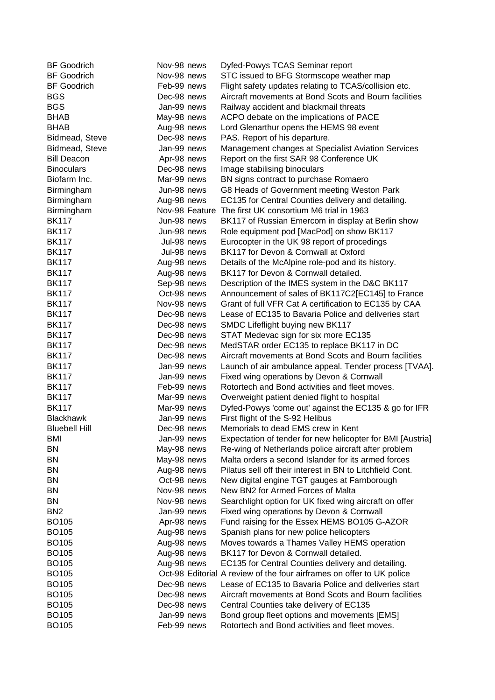| <b>BF Goodrich</b>   | Nov-98 news |                | Dyfed-Powys TCAS Seminar report                                       |
|----------------------|-------------|----------------|-----------------------------------------------------------------------|
| <b>BF</b> Goodrich   | Nov-98 news |                | STC issued to BFG Stormscope weather map                              |
| <b>BF Goodrich</b>   | Feb-99 news |                | Flight safety updates relating to TCAS/collision etc.                 |
| <b>BGS</b>           | Dec-98 news |                | Aircraft movements at Bond Scots and Bourn facilities                 |
| <b>BGS</b>           | Jan-99 news |                | Railway accident and blackmail threats                                |
| <b>BHAB</b>          | May-98 news |                | ACPO debate on the implications of PACE                               |
| <b>BHAB</b>          | Aug-98 news |                | Lord Glenarthur opens the HEMS 98 event                               |
| Bidmead, Steve       | Dec-98 news |                | PAS. Report of his departure.                                         |
| Bidmead, Steve       | Jan-99 news |                | Management changes at Specialist Aviation Services                    |
| <b>Bill Deacon</b>   | Apr-98 news |                | Report on the first SAR 98 Conference UK                              |
| <b>Binoculars</b>    | Dec-98 news |                | Image stabilising binoculars                                          |
| Biofarm Inc.         | Mar-99 news |                | BN signs contract to purchase Romaero                                 |
| Birmingham           | Jun-98 news |                | G8 Heads of Government meeting Weston Park                            |
| Birmingham           | Aug-98 news |                | EC135 for Central Counties delivery and detailing.                    |
| Birmingham           |             | Nov-98 Feature | The first UK consortium M6 trial in 1963                              |
| <b>BK117</b>         | Jun-98 news |                | BK117 of Russian Emercom in display at Berlin show                    |
| <b>BK117</b>         | Jun-98 news |                | Role equipment pod [MacPod] on show BK117                             |
| <b>BK117</b>         | Jul-98 news |                | Eurocopter in the UK 98 report of procedings                          |
| <b>BK117</b>         | Jul-98 news |                | BK117 for Devon & Cornwall at Oxford                                  |
| <b>BK117</b>         | Aug-98 news |                | Details of the McAlpine role-pod and its history.                     |
| <b>BK117</b>         | Aug-98 news |                | BK117 for Devon & Cornwall detailed.                                  |
| <b>BK117</b>         | Sep-98 news |                | Description of the IMES system in the D&C BK117                       |
| <b>BK117</b>         | Oct-98 news |                | Announcement of sales of BK117C2[EC145] to France                     |
| <b>BK117</b>         | Nov-98 news |                | Grant of full VFR Cat A certification to EC135 by CAA                 |
| <b>BK117</b>         | Dec-98 news |                | Lease of EC135 to Bavaria Police and deliveries start                 |
| <b>BK117</b>         | Dec-98 news |                | SMDC Lifeflight buying new BK117                                      |
| <b>BK117</b>         | Dec-98 news |                | STAT Medevac sign for six more EC135                                  |
| <b>BK117</b>         | Dec-98 news |                | MedSTAR order EC135 to replace BK117 in DC                            |
| <b>BK117</b>         | Dec-98 news |                | Aircraft movements at Bond Scots and Bourn facilities                 |
| <b>BK117</b>         | Jan-99 news |                | Launch of air ambulance appeal. Tender process [TVAA].                |
| <b>BK117</b>         | Jan-99 news |                | Fixed wing operations by Devon & Cornwall                             |
| <b>BK117</b>         | Feb-99 news |                | Rotortech and Bond activities and fleet moves.                        |
| <b>BK117</b>         | Mar-99 news |                | Overweight patient denied flight to hospital                          |
| <b>BK117</b>         | Mar-99 news |                | Dyfed-Powys 'come out' against the EC135 & go for IFR                 |
| <b>Blackhawk</b>     | Jan-99 news |                | First flight of the S-92 Helibus                                      |
| <b>Bluebell Hill</b> | Dec-98 news |                | Memorials to dead EMS crew in Kent                                    |
| <b>BMI</b>           | Jan-99 news |                | Expectation of tender for new helicopter for BMI [Austria]            |
| <b>BN</b>            | May-98 news |                | Re-wing of Netherlands police aircraft after problem                  |
| <b>BN</b>            | May-98 news |                | Malta orders a second Islander for its armed forces                   |
| <b>BN</b>            | Aug-98 news |                | Pilatus sell off their interest in BN to Litchfield Cont.             |
| <b>BN</b>            | Oct-98 news |                | New digital engine TGT gauges at Farnborough                          |
| <b>BN</b>            | Nov-98 news |                | New BN2 for Armed Forces of Malta                                     |
| <b>BN</b>            | Nov-98 news |                | Searchlight option for UK fixed wing aircraft on offer                |
| BN <sub>2</sub>      | Jan-99 news |                | Fixed wing operations by Devon & Cornwall                             |
| <b>BO105</b>         | Apr-98 news |                | Fund raising for the Essex HEMS BO105 G-AZOR                          |
| <b>BO105</b>         | Aug-98 news |                | Spanish plans for new police helicopters                              |
| <b>BO105</b>         | Aug-98 news |                | Moves towards a Thames Valley HEMS operation                          |
| <b>BO105</b>         | Aug-98 news |                | BK117 for Devon & Cornwall detailed.                                  |
| <b>BO105</b>         | Aug-98 news |                | EC135 for Central Counties delivery and detailing.                    |
| <b>BO105</b>         |             |                | Oct-98 Editorial A review of the four airframes on offer to UK police |
| <b>BO105</b>         | Dec-98 news |                | Lease of EC135 to Bavaria Police and deliveries start                 |
| <b>BO105</b>         | Dec-98 news |                | Aircraft movements at Bond Scots and Bourn facilities                 |
| <b>BO105</b>         | Dec-98 news |                | Central Counties take delivery of EC135                               |
| <b>BO105</b>         | Jan-99 news |                | Bond group fleet options and movements [EMS]                          |
| <b>BO105</b>         | Feb-99 news |                | Rotortech and Bond activities and fleet moves.                        |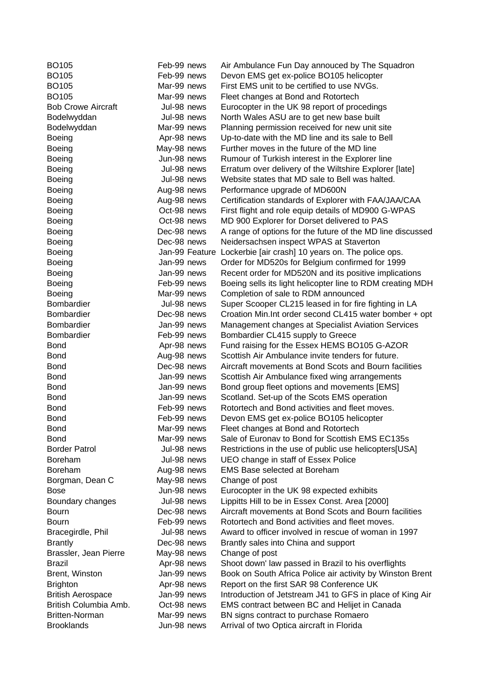| BO <sub>105</sub>         | Feb-99 news    | Air Ambulance Fun Day annouced by The Squadron             |
|---------------------------|----------------|------------------------------------------------------------|
| <b>BO105</b>              | Feb-99 news    | Devon EMS get ex-police BO105 helicopter                   |
| <b>BO105</b>              | Mar-99 news    | First EMS unit to be certified to use NVGs.                |
| <b>BO105</b>              | Mar-99 news    | Fleet changes at Bond and Rotortech                        |
| <b>Bob Crowe Aircraft</b> | Jul-98 news    | Eurocopter in the UK 98 report of procedings               |
| Bodelwyddan               | Jul-98 news    | North Wales ASU are to get new base built                  |
| Bodelwyddan               | Mar-99 news    | Planning permission received for new unit site             |
| <b>Boeing</b>             | Apr-98 news    | Up-to-date with the MD line and its sale to Bell           |
| <b>Boeing</b>             | May-98 news    | Further moves in the future of the MD line                 |
| <b>Boeing</b>             | Jun-98 news    | Rumour of Turkish interest in the Explorer line            |
| <b>Boeing</b>             | Jul-98 news    | Erratum over delivery of the Wiltshire Explorer [late]     |
| <b>Boeing</b>             | Jul-98 news    | Website states that MD sale to Bell was halted.            |
| <b>Boeing</b>             | Aug-98 news    | Performance upgrade of MD600N                              |
| <b>Boeing</b>             | Aug-98 news    | Certification standards of Explorer with FAA/JAA/CAA       |
| <b>Boeing</b>             | Oct-98 news    | First flight and role equip details of MD900 G-WPAS        |
| Boeing                    | Oct-98 news    | MD 900 Explorer for Dorset delivered to PAS                |
| <b>Boeing</b>             | Dec-98 news    | A range of options for the future of the MD line discussed |
| <b>Boeing</b>             | Dec-98 news    | Neidersachsen inspect WPAS at Staverton                    |
| Boeing                    | Jan-99 Feature | Lockerbie [air crash] 10 years on. The police ops.         |
| <b>Boeing</b>             | Jan-99 news    | Order for MD520s for Belgium confirmed for 1999            |
| <b>Boeing</b>             | Jan-99 news    | Recent order for MD520N and its positive implications      |
| <b>Boeing</b>             | Feb-99 news    | Boeing sells its light helicopter line to RDM creating MDH |
| <b>Boeing</b>             | Mar-99 news    | Completion of sale to RDM announced                        |
| Bombardier                | Jul-98 news    | Super Scooper CL215 leased in for fire fighting in LA      |
| Bombardier                | Dec-98 news    | Croation Min. Int order second CL415 water bomber + opt    |
| Bombardier                | Jan-99 news    | Management changes at Specialist Aviation Services         |
| Bombardier                | Feb-99 news    | Bombardier CL415 supply to Greece                          |
| <b>Bond</b>               | Apr-98 news    | Fund raising for the Essex HEMS BO105 G-AZOR               |
| <b>Bond</b>               | Aug-98 news    | Scottish Air Ambulance invite tenders for future.          |
| <b>Bond</b>               | Dec-98 news    | Aircraft movements at Bond Scots and Bourn facilities      |
| <b>Bond</b>               | Jan-99 news    | Scottish Air Ambulance fixed wing arrangements             |
| <b>Bond</b>               | Jan-99 news    | Bond group fleet options and movements [EMS]               |
| <b>Bond</b>               | Jan-99 news    | Scotland. Set-up of the Scots EMS operation                |
| <b>Bond</b>               | Feb-99 news    | Rotortech and Bond activities and fleet moves.             |
| <b>Bond</b>               | Feb-99 news    | Devon EMS get ex-police BO105 helicopter                   |
| <b>Bond</b>               | Mar-99 news    | Fleet changes at Bond and Rotortech                        |
| Bond                      | Mar-99 news    | Sale of Euronav to Bond for Scottish EMS EC135s            |
| <b>Border Patrol</b>      | Jul-98 news    | Restrictions in the use of public use helicopters[USA]     |
| Boreham                   | Jul-98 news    | UEO change in staff of Essex Police                        |
| <b>Boreham</b>            | Aug-98 news    | <b>EMS Base selected at Boreham</b>                        |
| Borgman, Dean C           | May-98 news    | Change of post                                             |
| Bose                      | Jun-98 news    | Eurocopter in the UK 98 expected exhibits                  |
| Boundary changes          | Jul-98 news    | Lippitts Hill to be in Essex Const. Area [2000]            |
| Bourn                     | Dec-98 news    | Aircraft movements at Bond Scots and Bourn facilities      |
| <b>Bourn</b>              | Feb-99 news    | Rotortech and Bond activities and fleet moves.             |
| Bracegirdle, Phil         | Jul-98 news    | Award to officer involved in rescue of woman in 1997       |
| <b>Brantly</b>            | Dec-98 news    | Brantly sales into China and support                       |
| Brassler, Jean Pierre     | May-98 news    | Change of post                                             |
| Brazil                    | Apr-98 news    | Shoot down' law passed in Brazil to his overflights        |
| Brent, Winston            | Jan-99 news    | Book on South Africa Police air activity by Winston Brent  |
| <b>Brighton</b>           | Apr-98 news    | Report on the first SAR 98 Conference UK                   |
| <b>British Aerospace</b>  | Jan-99 news    | Introduction of Jetstream J41 to GFS in place of King Air  |
| British Columbia Amb.     | Oct-98 news    | EMS contract between BC and Helijet in Canada              |
| <b>Britten-Norman</b>     | Mar-99 news    | BN signs contract to purchase Romaero                      |
| <b>Brooklands</b>         | Jun-98 news    | Arrival of two Optica aircraft in Florida                  |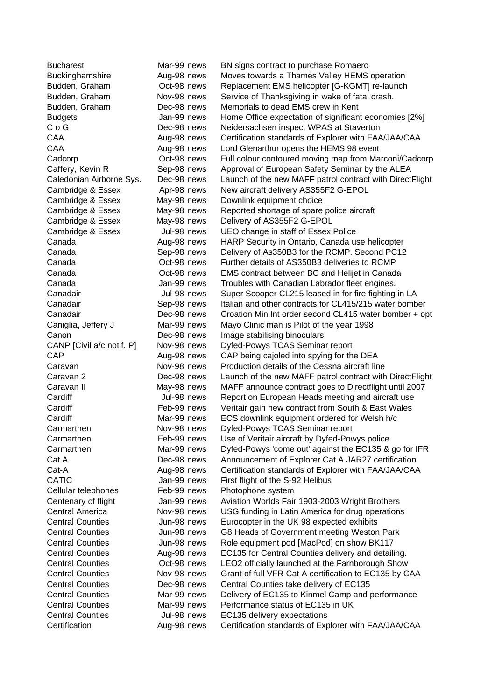| <b>Bucharest</b>          | Mar-99 news | BN signs contract to purchase Romaero                    |
|---------------------------|-------------|----------------------------------------------------------|
| Buckinghamshire           | Aug-98 news | Moves towards a Thames Valley HEMS operation             |
| Budden, Graham            | Oct-98 news | Replacement EMS helicopter [G-KGMT] re-launch            |
| Budden, Graham            | Nov-98 news | Service of Thanksgiving in wake of fatal crash.          |
| Budden, Graham            | Dec-98 news | Memorials to dead EMS crew in Kent                       |
| <b>Budgets</b>            | Jan-99 news | Home Office expectation of significant economies [2%]    |
| $C$ o $G$                 | Dec-98 news | Neidersachsen inspect WPAS at Staverton                  |
| CAA                       | Aug-98 news | Certification standards of Explorer with FAA/JAA/CAA     |
| CAA                       | Aug-98 news | Lord Glenarthur opens the HEMS 98 event                  |
| Cadcorp                   | Oct-98 news | Full colour contoured moving map from Marconi/Cadcorp    |
| Caffery, Kevin R          | Sep-98 news | Approval of European Safety Seminar by the ALEA          |
| Caledonian Airborne Sys.  | Dec-98 news | Launch of the new MAFF patrol contract with DirectFlight |
| Cambridge & Essex         | Apr-98 news | New aircraft delivery AS355F2 G-EPOL                     |
| Cambridge & Essex         | May-98 news | Downlink equipment choice                                |
| Cambridge & Essex         | May-98 news | Reported shortage of spare police aircraft               |
| Cambridge & Essex         | May-98 news | Delivery of AS355F2 G-EPOL                               |
| Cambridge & Essex         | Jul-98 news | UEO change in staff of Essex Police                      |
| Canada                    | Aug-98 news | HARP Security in Ontario, Canada use helicopter          |
| Canada                    | Sep-98 news | Delivery of As350B3 for the RCMP. Second PC12            |
| Canada                    | Oct-98 news | Further details of AS350B3 deliveries to RCMP            |
| Canada                    | Oct-98 news | EMS contract between BC and Helijet in Canada            |
| Canada                    | Jan-99 news | Troubles with Canadian Labrador fleet engines.           |
| Canadair                  | Jul-98 news | Super Scooper CL215 leased in for fire fighting in LA    |
| Canadair                  | Sep-98 news | Italian and other contracts for CL415/215 water bomber   |
| Canadair                  | Dec-98 news | Croation Min. Int order second CL415 water bomber + opt  |
| Caniglia, Jeffery J       | Mar-99 news | Mayo Clinic man is Pilot of the year 1998                |
| Canon                     | Dec-98 news | Image stabilising binoculars                             |
| CANP [Civil a/c notif. P] | Nov-98 news | Dyfed-Powys TCAS Seminar report                          |
| CAP                       | Aug-98 news | CAP being cajoled into spying for the DEA                |
| Caravan                   | Nov-98 news | Production details of the Cessna aircraft line           |
| Caravan 2                 | Dec-98 news | Launch of the new MAFF patrol contract with DirectFlight |
| Caravan II                | May-98 news | MAFF announce contract goes to Directflight until 2007   |
| Cardiff                   | Jul-98 news | Report on European Heads meeting and aircraft use        |
| Cardiff                   | Feb-99 news | Veritair gain new contract from South & East Wales       |
| Cardiff                   | Mar-99 news | ECS downlink equipment ordered for Welsh h/c             |
| Carmarthen                | Nov-98 news | Dyfed-Powys TCAS Seminar report                          |
| Carmarthen                | Feb-99 news | Use of Veritair aircraft by Dyfed-Powys police           |
| Carmarthen                | Mar-99 news | Dyfed-Powys 'come out' against the EC135 & go for IFR    |
| Cat A                     | Dec-98 news | Announcement of Explorer Cat.A JAR27 certification       |
| Cat-A                     | Aug-98 news | Certification standards of Explorer with FAA/JAA/CAA     |
| <b>CATIC</b>              | Jan-99 news | First flight of the S-92 Helibus                         |
| Cellular telephones       | Feb-99 news | Photophone system                                        |
| Centenary of flight       | Jan-99 news | Aviation Worlds Fair 1903-2003 Wright Brothers           |
| <b>Central America</b>    | Nov-98 news | USG funding in Latin America for drug operations         |
| <b>Central Counties</b>   | Jun-98 news | Eurocopter in the UK 98 expected exhibits                |
| <b>Central Counties</b>   | Jun-98 news | G8 Heads of Government meeting Weston Park               |
| <b>Central Counties</b>   | Jun-98 news | Role equipment pod [MacPod] on show BK117                |
| <b>Central Counties</b>   | Aug-98 news | EC135 for Central Counties delivery and detailing.       |
| <b>Central Counties</b>   | Oct-98 news | LEO2 officially launched at the Farnborough Show         |
| <b>Central Counties</b>   | Nov-98 news | Grant of full VFR Cat A certification to EC135 by CAA    |
| <b>Central Counties</b>   | Dec-98 news | Central Counties take delivery of EC135                  |
| <b>Central Counties</b>   | Mar-99 news | Delivery of EC135 to Kinmel Camp and performance         |
| <b>Central Counties</b>   | Mar-99 news | Performance status of EC135 in UK                        |
| <b>Central Counties</b>   | Jul-98 news | EC135 delivery expectations                              |
| Certification             | Aug-98 news | Certification standards of Explorer with FAA/JAA/CAA     |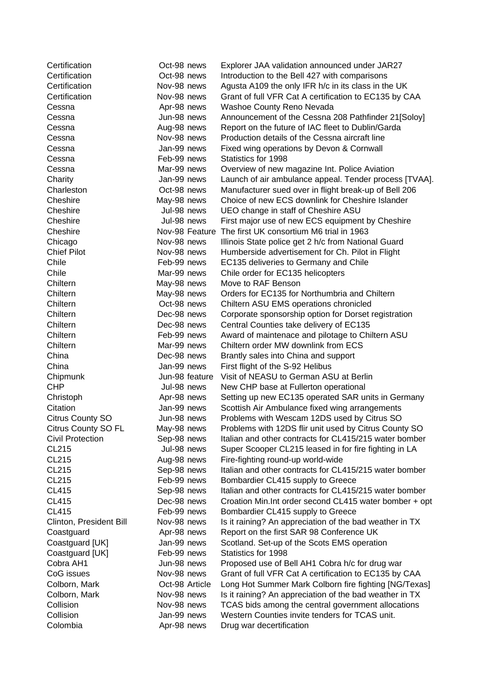| Certification              | Oct-98 news    | Explorer JAA validation announced under JAR27           |
|----------------------------|----------------|---------------------------------------------------------|
| Certification              | Oct-98 news    | Introduction to the Bell 427 with comparisons           |
| Certification              | Nov-98 news    | Agusta A109 the only IFR h/c in its class in the UK     |
| Certification              | Nov-98 news    | Grant of full VFR Cat A certification to EC135 by CAA   |
| Cessna                     | Apr-98 news    | Washoe County Reno Nevada                               |
| Cessna                     | Jun-98 news    | Announcement of the Cessna 208 Pathfinder 21[Soloy]     |
| Cessna                     | Aug-98 news    | Report on the future of IAC fleet to Dublin/Garda       |
| Cessna                     | Nov-98 news    | Production details of the Cessna aircraft line          |
| Cessna                     | Jan-99 news    | Fixed wing operations by Devon & Cornwall               |
| Cessna                     | Feb-99 news    | Statistics for 1998                                     |
| Cessna                     | Mar-99 news    | Overview of new magazine Int. Police Aviation           |
| Charity                    | Jan-99 news    | Launch of air ambulance appeal. Tender process [TVAA].  |
| Charleston                 | Oct-98 news    | Manufacturer sued over in flight break-up of Bell 206   |
| Cheshire                   | May-98 news    | Choice of new ECS downlink for Cheshire Islander        |
| Cheshire                   | Jul-98 news    | UEO change in staff of Cheshire ASU                     |
| Cheshire                   | Jul-98 news    | First major use of new ECS equipment by Cheshire        |
| Cheshire                   | Nov-98 Feature | The first UK consortium M6 trial in 1963                |
| Chicago                    | Nov-98 news    | Illinois State police get 2 h/c from National Guard     |
| <b>Chief Pilot</b>         | Nov-98 news    | Humberside advertisement for Ch. Pilot in Flight        |
| Chile                      | Feb-99 news    | EC135 deliveries to Germany and Chile                   |
| Chile                      | Mar-99 news    | Chile order for EC135 helicopters                       |
| Chiltern                   | May-98 news    | Move to RAF Benson                                      |
| Chiltern                   | May-98 news    | Orders for EC135 for Northumbria and Chiltern           |
| Chiltern                   | Oct-98 news    | Chiltern ASU EMS operations chronicled                  |
| Chiltern                   | Dec-98 news    | Corporate sponsorship option for Dorset registration    |
| Chiltern                   | Dec-98 news    | Central Counties take delivery of EC135                 |
| Chiltern                   | Feb-99 news    | Award of maintenace and pilotage to Chiltern ASU        |
| Chiltern                   | Mar-99 news    | Chiltern order MW downlink from ECS                     |
| China                      | Dec-98 news    | Brantly sales into China and support                    |
| China                      | Jan-99 news    | First flight of the S-92 Helibus                        |
| Chipmunk                   | Jun-98 feature | Visit of NEASU to German ASU at Berlin                  |
| <b>CHP</b>                 | Jul-98 news    | New CHP base at Fullerton operational                   |
| Christoph                  | Apr-98 news    | Setting up new EC135 operated SAR units in Germany      |
| Citation                   | Jan-99 news    | Scottish Air Ambulance fixed wing arrangements          |
| <b>Citrus County SO</b>    | Jun-98 news    | Problems with Wescam 12DS used by Citrus SO             |
| <b>Citrus County SO FL</b> | May-98 news    | Problems with 12DS flir unit used by Citrus County SO   |
| <b>Civil Protection</b>    | Sep-98 news    | Italian and other contracts for CL415/215 water bomber  |
| <b>CL215</b>               | Jul-98 news    | Super Scooper CL215 leased in for fire fighting in LA   |
| CL215                      | Aug-98 news    | Fire-fighting round-up world-wide                       |
| <b>CL215</b>               | Sep-98 news    | Italian and other contracts for CL415/215 water bomber  |
| CL215                      | Feb-99 news    | Bombardier CL415 supply to Greece                       |
| <b>CL415</b>               | Sep-98 news    | Italian and other contracts for CL415/215 water bomber  |
| <b>CL415</b>               | Dec-98 news    | Croation Min. Int order second CL415 water bomber + opt |
| <b>CL415</b>               | Feb-99 news    | Bombardier CL415 supply to Greece                       |
| Clinton, President Bill    | Nov-98 news    | Is it raining? An appreciation of the bad weather in TX |
| Coastguard                 | Apr-98 news    | Report on the first SAR 98 Conference UK                |
| Coastguard [UK]            | Jan-99 news    | Scotland. Set-up of the Scots EMS operation             |
| Coastguard [UK]            | Feb-99 news    | Statistics for 1998                                     |
| Cobra AH1                  | Jun-98 news    | Proposed use of Bell AH1 Cobra h/c for drug war         |
| CoG issues                 | Nov-98 news    | Grant of full VFR Cat A certification to EC135 by CAA   |
| Colborn, Mark              | Oct-98 Article | Long Hot Summer Mark Colborn fire fighting [NG/Texas]   |
| Colborn, Mark              | Nov-98 news    | Is it raining? An appreciation of the bad weather in TX |
| Collision                  | Nov-98 news    | TCAS bids among the central government allocations      |
| Collision                  | Jan-99 news    | Western Counties invite tenders for TCAS unit.          |
| Colombia                   | Apr-98 news    | Drug war decertification                                |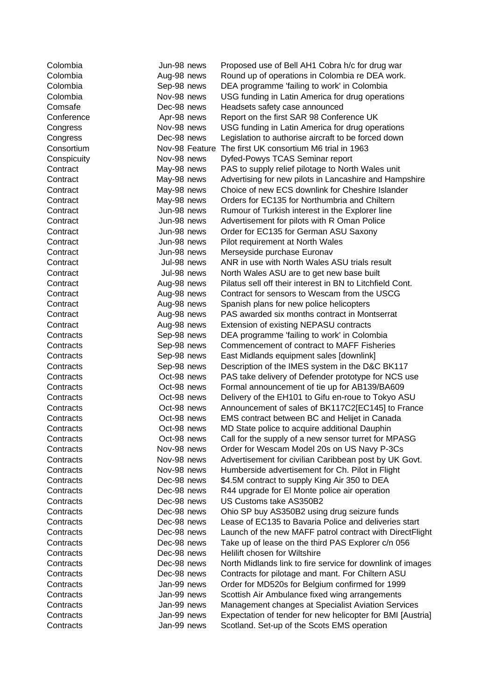| Colombia    | Jun-98 news |                | Proposed use of Bell AH1 Cobra h/c for drug war            |
|-------------|-------------|----------------|------------------------------------------------------------|
| Colombia    | Aug-98 news |                | Round up of operations in Colombia re DEA work.            |
| Colombia    | Sep-98 news |                | DEA programme 'failing to work' in Colombia                |
| Colombia    | Nov-98 news |                | USG funding in Latin America for drug operations           |
| Comsafe     | Dec-98 news |                | Headsets safety case announced                             |
| Conference  | Apr-98 news |                | Report on the first SAR 98 Conference UK                   |
| Congress    | Nov-98 news |                | USG funding in Latin America for drug operations           |
| Congress    | Dec-98 news |                | Legislation to authorise aircraft to be forced down        |
| Consortium  |             | Nov-98 Feature | The first UK consortium M6 trial in 1963                   |
| Conspicuity | Nov-98 news |                | Dyfed-Powys TCAS Seminar report                            |
| Contract    | May-98 news |                | PAS to supply relief pilotage to North Wales unit          |
| Contract    | May-98 news |                | Advertising for new pilots in Lancashire and Hampshire     |
| Contract    | May-98 news |                | Choice of new ECS downlink for Cheshire Islander           |
| Contract    | May-98 news |                | Orders for EC135 for Northumbria and Chiltern              |
| Contract    | Jun-98 news |                | Rumour of Turkish interest in the Explorer line            |
| Contract    | Jun-98 news |                | Advertisement for pilots with R Oman Police                |
| Contract    | Jun-98 news |                | Order for EC135 for German ASU Saxony                      |
| Contract    | Jun-98 news |                | Pilot requirement at North Wales                           |
| Contract    | Jun-98 news |                | Merseyside purchase Euronav                                |
| Contract    | Jul-98 news |                | ANR in use with North Wales ASU trials result              |
| Contract    | Jul-98 news |                | North Wales ASU are to get new base built                  |
| Contract    | Aug-98 news |                | Pilatus sell off their interest in BN to Litchfield Cont.  |
| Contract    | Aug-98 news |                | Contract for sensors to Wescam from the USCG               |
| Contract    | Aug-98 news |                | Spanish plans for new police helicopters                   |
| Contract    | Aug-98 news |                | PAS awarded six months contract in Montserrat              |
| Contract    | Aug-98 news |                | <b>Extension of existing NEPASU contracts</b>              |
| Contracts   | Sep-98 news |                | DEA programme 'failing to work' in Colombia                |
| Contracts   | Sep-98 news |                | Commencement of contract to MAFF Fisheries                 |
| Contracts   | Sep-98 news |                | East Midlands equipment sales [downlink]                   |
| Contracts   | Sep-98 news |                | Description of the IMES system in the D&C BK117            |
| Contracts   | Oct-98 news |                | PAS take delivery of Defender prototype for NCS use        |
| Contracts   | Oct-98 news |                | Formal announcement of tie up for AB139/BA609              |
| Contracts   | Oct-98 news |                | Delivery of the EH101 to Gifu en-roue to Tokyo ASU         |
| Contracts   | Oct-98 news |                | Announcement of sales of BK117C2[EC145] to France          |
| Contracts   | Oct-98 news |                | EMS contract between BC and Helijet in Canada              |
| Contracts   | Oct-98 news |                | MD State police to acquire additional Dauphin              |
| Contracts   | Oct-98 news |                | Call for the supply of a new sensor turret for MPASG       |
| Contracts   | Nov-98 news |                | Order for Wescam Model 20s on US Navy P-3Cs                |
| Contracts   | Nov-98 news |                | Advertisement for civilian Caribbean post by UK Govt.      |
| Contracts   | Nov-98 news |                | Humberside advertisement for Ch. Pilot in Flight           |
| Contracts   | Dec-98 news |                | \$4.5M contract to supply King Air 350 to DEA              |
| Contracts   | Dec-98 news |                | R44 upgrade for El Monte police air operation              |
| Contracts   | Dec-98 news |                | US Customs take AS350B2                                    |
| Contracts   | Dec-98 news |                | Ohio SP buy AS350B2 using drug seizure funds               |
| Contracts   | Dec-98 news |                | Lease of EC135 to Bavaria Police and deliveries start      |
| Contracts   | Dec-98 news |                | Launch of the new MAFF patrol contract with DirectFlight   |
| Contracts   | Dec-98 news |                | Take up of lease on the third PAS Explorer c/n 056         |
| Contracts   | Dec-98 news |                | Helilift chosen for Wiltshire                              |
| Contracts   | Dec-98 news |                | North Midlands link to fire service for downlink of images |
| Contracts   | Dec-98 news |                | Contracts for pilotage and mant. For Chiltern ASU          |
| Contracts   | Jan-99 news |                | Order for MD520s for Belgium confirmed for 1999            |
| Contracts   | Jan-99 news |                | Scottish Air Ambulance fixed wing arrangements             |
| Contracts   | Jan-99 news |                | Management changes at Specialist Aviation Services         |
| Contracts   | Jan-99 news |                | Expectation of tender for new helicopter for BMI [Austria] |
| Contracts   | Jan-99 news |                | Scotland. Set-up of the Scots EMS operation                |
|             |             |                |                                                            |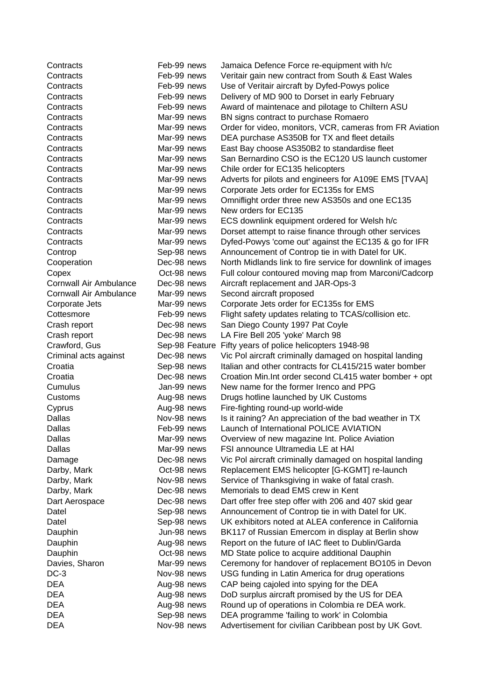| Contracts                     | Feb-99 news                   | Jamaica Defence Force re-equipment with h/c                                                                       |
|-------------------------------|-------------------------------|-------------------------------------------------------------------------------------------------------------------|
| Contracts                     | Feb-99 news                   | Veritair gain new contract from South & East Wales                                                                |
| Contracts                     | Feb-99 news                   | Use of Veritair aircraft by Dyfed-Powys police                                                                    |
| Contracts                     | Feb-99 news                   | Delivery of MD 900 to Dorset in early February                                                                    |
| Contracts                     | Feb-99 news                   | Award of maintenace and pilotage to Chiltern ASU                                                                  |
| Contracts                     | Mar-99 news                   | BN signs contract to purchase Romaero                                                                             |
| Contracts                     | Mar-99 news                   | Order for video, monitors, VCR, cameras from FR Aviation                                                          |
| Contracts                     | Mar-99 news                   | DEA purchase AS350B for TX and fleet details                                                                      |
| Contracts                     | Mar-99 news                   | East Bay choose AS350B2 to standardise fleet                                                                      |
| Contracts                     | Mar-99 news                   | San Bernardino CSO is the EC120 US launch customer                                                                |
| Contracts                     | Mar-99 news                   | Chile order for EC135 helicopters                                                                                 |
| Contracts                     | Mar-99 news                   | Adverts for pilots and engineers for A109E EMS [TVAA]                                                             |
| Contracts                     | Mar-99 news                   | Corporate Jets order for EC135s for EMS                                                                           |
| Contracts                     | Mar-99 news                   | Omniflight order three new AS350s and one EC135                                                                   |
| Contracts                     | Mar-99 news                   | New orders for EC135                                                                                              |
| Contracts                     | Mar-99 news                   | ECS downlink equipment ordered for Welsh h/c                                                                      |
| Contracts                     | Mar-99 news                   | Dorset attempt to raise finance through other services                                                            |
| Contracts                     | Mar-99 news                   | Dyfed-Powys 'come out' against the EC135 & go for IFR                                                             |
| Controp                       | Sep-98 news                   | Announcement of Controp tie in with Datel for UK.                                                                 |
| Cooperation                   | Dec-98 news                   | North Midlands link to fire service for downlink of images                                                        |
| Copex                         | Oct-98 news                   | Full colour contoured moving map from Marconi/Cadcorp                                                             |
| Cornwall Air Ambulance        | Dec-98 news                   | Aircraft replacement and JAR-Ops-3                                                                                |
| Cornwall Air Ambulance        | Mar-99 news                   | Second aircraft proposed                                                                                          |
| Corporate Jets                | Mar-99 news                   | Corporate Jets order for EC135s for EMS                                                                           |
| Cottesmore                    | Feb-99 news                   | Flight safety updates relating to TCAS/collision etc.                                                             |
| Crash report                  | Dec-98 news                   | San Diego County 1997 Pat Coyle                                                                                   |
|                               | Dec-98 news                   |                                                                                                                   |
| Crash report<br>Crawford, Gus |                               | LA Fire Bell 205 'yoke' March 98                                                                                  |
|                               | Sep-98 Feature<br>Dec-98 news | Fifty years of police helicopters 1948-98                                                                         |
| Criminal acts against         |                               | Vic Pol aircraft criminally damaged on hospital landing<br>Italian and other contracts for CL415/215 water bomber |
| Croatia                       | Sep-98 news                   |                                                                                                                   |
| Croatia                       | Dec-98 news                   | Croation Min. Int order second CL415 water bomber + opt                                                           |
| Cumulus                       | Jan-99 news                   | New name for the former Irenco and PPG                                                                            |
| Customs                       | Aug-98 news                   | Drugs hotline launched by UK Customs                                                                              |
| Cyprus<br><b>Dallas</b>       | Aug-98 news                   | Fire-fighting round-up world-wide                                                                                 |
|                               | Nov-98 news                   | Is it raining? An appreciation of the bad weather in TX                                                           |
| Dallas                        | Feb-99 news                   | Launch of International POLICE AVIATION                                                                           |
| Dallas                        | Mar-99 news                   | Overview of new magazine Int. Police Aviation                                                                     |
| Dallas                        | Mar-99 news                   | FSI announce Ultramedia LE at HAI                                                                                 |
| Damage                        | Dec-98 news                   | Vic Pol aircraft criminally damaged on hospital landing                                                           |
| Darby, Mark                   | Oct-98 news                   | Replacement EMS helicopter [G-KGMT] re-launch                                                                     |
| Darby, Mark                   | Nov-98 news                   | Service of Thanksgiving in wake of fatal crash.                                                                   |
| Darby, Mark                   | Dec-98 news                   | Memorials to dead EMS crew in Kent                                                                                |
| Dart Aerospace                | Dec-98 news                   | Dart offer free step offer with 206 and 407 skid gear                                                             |
| Datel                         | Sep-98 news                   | Announcement of Controp tie in with Datel for UK.                                                                 |
| Datel                         | Sep-98 news                   | UK exhibitors noted at ALEA conference in California                                                              |
| Dauphin                       | Jun-98 news                   | BK117 of Russian Emercom in display at Berlin show                                                                |
| Dauphin                       | Aug-98 news                   | Report on the future of IAC fleet to Dublin/Garda                                                                 |
| Dauphin                       | Oct-98 news                   | MD State police to acquire additional Dauphin                                                                     |
| Davies, Sharon                | Mar-99 news                   | Ceremony for handover of replacement BO105 in Devon                                                               |
| $DC-3$                        | Nov-98 news                   | USG funding in Latin America for drug operations                                                                  |
| <b>DEA</b>                    | Aug-98 news                   | CAP being cajoled into spying for the DEA                                                                         |
| <b>DEA</b>                    | Aug-98 news                   | DoD surplus aircraft promised by the US for DEA                                                                   |
| <b>DEA</b>                    | Aug-98 news                   | Round up of operations in Colombia re DEA work.                                                                   |
| <b>DEA</b>                    | Sep-98 news                   | DEA programme 'failing to work' in Colombia                                                                       |
| <b>DEA</b>                    | Nov-98 news                   | Advertisement for civilian Caribbean post by UK Govt.                                                             |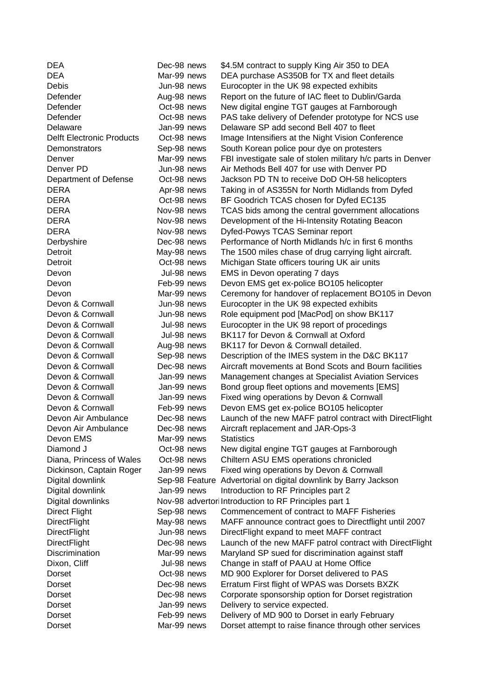| <b>DEA</b>                       | Dec-98 news | \$4.5M contract to supply King Air 350 to DEA                   |
|----------------------------------|-------------|-----------------------------------------------------------------|
| <b>DEA</b>                       | Mar-99 news | DEA purchase AS350B for TX and fleet details                    |
| <b>Debis</b>                     | Jun-98 news | Eurocopter in the UK 98 expected exhibits                       |
| Defender                         | Aug-98 news | Report on the future of IAC fleet to Dublin/Garda               |
| Defender                         | Oct-98 news | New digital engine TGT gauges at Farnborough                    |
| Defender                         | Oct-98 news | PAS take delivery of Defender prototype for NCS use             |
| Delaware                         | Jan-99 news | Delaware SP add second Bell 407 to fleet                        |
| <b>Delft Electronic Products</b> | Oct-98 news | Image Intensifiers at the Night Vision Conference               |
| Demonstrators                    | Sep-98 news | South Korean police pour dye on protesters                      |
| Denver                           | Mar-99 news | FBI investigate sale of stolen military h/c parts in Denver     |
| Denver PD                        | Jun-98 news | Air Methods Bell 407 for use with Denver PD                     |
| Department of Defense            | Oct-98 news | Jackson PD TN to receive DoD OH-58 helicopters                  |
| <b>DERA</b>                      | Apr-98 news | Taking in of AS355N for North Midlands from Dyfed               |
| <b>DERA</b>                      | Oct-98 news | BF Goodrich TCAS chosen for Dyfed EC135                         |
| <b>DERA</b>                      | Nov-98 news | TCAS bids among the central government allocations              |
| <b>DERA</b>                      | Nov-98 news | Development of the Hi-Intensity Rotating Beacon                 |
| <b>DERA</b>                      | Nov-98 news | Dyfed-Powys TCAS Seminar report                                 |
| Derbyshire                       | Dec-98 news | Performance of North Midlands h/c in first 6 months             |
| Detroit                          | May-98 news | The 1500 miles chase of drug carrying light aircraft.           |
| Detroit                          | Oct-98 news | Michigan State officers touring UK air units                    |
| Devon                            | Jul-98 news | EMS in Devon operating 7 days                                   |
| Devon                            | Feb-99 news | Devon EMS get ex-police BO105 helicopter                        |
| Devon                            | Mar-99 news | Ceremony for handover of replacement BO105 in Devon             |
| Devon & Cornwall                 | Jun-98 news | Eurocopter in the UK 98 expected exhibits                       |
| Devon & Cornwall                 | Jun-98 news | Role equipment pod [MacPod] on show BK117                       |
| Devon & Cornwall                 | Jul-98 news | Eurocopter in the UK 98 report of procedings                    |
| Devon & Cornwall                 | Jul-98 news | BK117 for Devon & Cornwall at Oxford                            |
| Devon & Cornwall                 | Aug-98 news | BK117 for Devon & Cornwall detailed.                            |
| Devon & Cornwall                 | Sep-98 news | Description of the IMES system in the D&C BK117                 |
| Devon & Cornwall                 | Dec-98 news | Aircraft movements at Bond Scots and Bourn facilities           |
| Devon & Cornwall                 | Jan-99 news | Management changes at Specialist Aviation Services              |
| Devon & Cornwall                 | Jan-99 news | Bond group fleet options and movements [EMS]                    |
| Devon & Cornwall                 | Jan-99 news | Fixed wing operations by Devon & Cornwall                       |
| Devon & Cornwall                 | Feb-99 news | Devon EMS get ex-police BO105 helicopter                        |
| Devon Air Ambulance              | Dec-98 news | Launch of the new MAFF patrol contract with DirectFlight        |
| Devon Air Ambulance              | Dec-98 news | Aircraft replacement and JAR-Ops-3                              |
| Devon EMS                        | Mar-99 news | <b>Statistics</b>                                               |
| Diamond J                        | Oct-98 news | New digital engine TGT gauges at Farnborough                    |
| Diana, Princess of Wales         | Oct-98 news | Chiltern ASU EMS operations chronicled                          |
| Dickinson, Captain Roger         | Jan-99 news | Fixed wing operations by Devon & Cornwall                       |
| Digital downlink                 |             | Sep-98 Feature Advertorial on digital downlink by Barry Jackson |
| Digital downlink                 | Jan-99 news | Introduction to RF Principles part 2                            |
| Digital downlinks                |             | Nov-98 advertor Introduction to RF Principles part 1            |
| <b>Direct Flight</b>             | Sep-98 news | Commencement of contract to MAFF Fisheries                      |
| <b>DirectFlight</b>              | May-98 news | MAFF announce contract goes to Directflight until 2007          |
| <b>DirectFlight</b>              | Jun-98 news | DirectFlight expand to meet MAFF contract                       |
| <b>DirectFlight</b>              | Dec-98 news | Launch of the new MAFF patrol contract with DirectFlight        |
| <b>Discrimination</b>            | Mar-99 news | Maryland SP sued for discrimination against staff               |
| Dixon, Cliff                     | Jul-98 news | Change in staff of PAAU at Home Office                          |
| Dorset                           | Oct-98 news | MD 900 Explorer for Dorset delivered to PAS                     |
| Dorset                           | Dec-98 news | Erratum First flight of WPAS was Dorsets BXZK                   |
| Dorset                           | Dec-98 news | Corporate sponsorship option for Dorset registration            |
| Dorset                           | Jan-99 news | Delivery to service expected.                                   |
| Dorset                           | Feb-99 news | Delivery of MD 900 to Dorset in early February                  |
| Dorset                           | Mar-99 news | Dorset attempt to raise finance through other services          |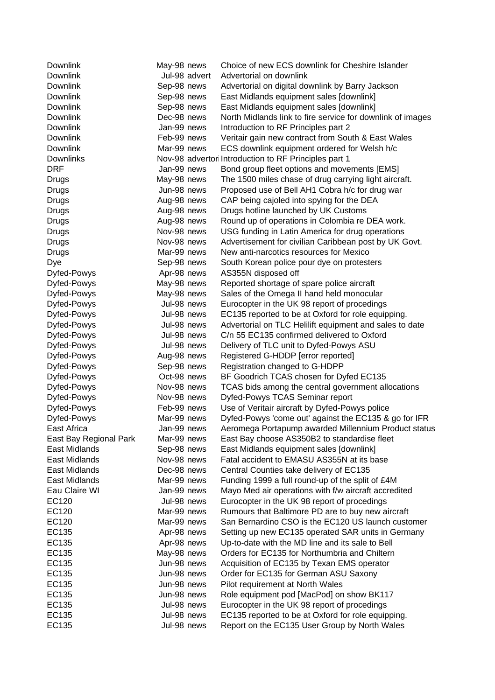| Downlink                       | May-98 news                | Choice of new ECS downlink for Cheshire Islander                                                        |
|--------------------------------|----------------------------|---------------------------------------------------------------------------------------------------------|
| <b>Downlink</b>                | Jul-98 advert              | Advertorial on downlink                                                                                 |
| Downlink                       | Sep-98 news                | Advertorial on digital downlink by Barry Jackson                                                        |
| <b>Downlink</b>                | Sep-98 news                | East Midlands equipment sales [downlink]                                                                |
| Downlink                       | Sep-98 news                | East Midlands equipment sales [downlink]                                                                |
| <b>Downlink</b>                | Dec-98 news                | North Midlands link to fire service for downlink of images                                              |
| Downlink                       | Jan-99 news                | Introduction to RF Principles part 2                                                                    |
| Downlink                       | Feb-99 news                | Veritair gain new contract from South & East Wales                                                      |
| Downlink                       | Mar-99 news                | ECS downlink equipment ordered for Welsh h/c                                                            |
| <b>Downlinks</b>               |                            | Nov-98 advertor Introduction to RF Principles part 1                                                    |
| <b>DRF</b>                     | Jan-99 news                | Bond group fleet options and movements [EMS]                                                            |
| <b>Drugs</b>                   | May-98 news                | The 1500 miles chase of drug carrying light aircraft.                                                   |
| Drugs                          | Jun-98 news                | Proposed use of Bell AH1 Cobra h/c for drug war                                                         |
| Drugs                          | Aug-98 news                | CAP being cajoled into spying for the DEA                                                               |
| Drugs                          | Aug-98 news                | Drugs hotline launched by UK Customs                                                                    |
| Drugs                          | Aug-98 news                | Round up of operations in Colombia re DEA work.                                                         |
| Drugs                          | Nov-98 news                | USG funding in Latin America for drug operations                                                        |
| Drugs                          | Nov-98 news                | Advertisement for civilian Caribbean post by UK Govt.                                                   |
| Drugs                          | Mar-99 news                | New anti-narcotics resources for Mexico                                                                 |
| Dye                            | Sep-98 news                | South Korean police pour dye on protesters                                                              |
| Dyfed-Powys                    | Apr-98 news                | AS355N disposed off                                                                                     |
| Dyfed-Powys                    | May-98 news                | Reported shortage of spare police aircraft                                                              |
| Dyfed-Powys                    | May-98 news                | Sales of the Omega II hand held monocular                                                               |
| Dyfed-Powys                    | Jul-98 news                | Eurocopter in the UK 98 report of procedings                                                            |
| Dyfed-Powys                    | Jul-98 news                | EC135 reported to be at Oxford for role equipping.                                                      |
| Dyfed-Powys                    | Jul-98 news                | Advertorial on TLC Helilift equipment and sales to date                                                 |
| Dyfed-Powys                    | Jul-98 news                | C/n 55 EC135 confirmed delivered to Oxford                                                              |
| Dyfed-Powys                    | Jul-98 news                | Delivery of TLC unit to Dyfed-Powys ASU                                                                 |
| Dyfed-Powys                    | Aug-98 news                | Registered G-HDDP [error reported]                                                                      |
| Dyfed-Powys                    | Sep-98 news                | Registration changed to G-HDPP                                                                          |
| Dyfed-Powys                    | Oct-98 news                | BF Goodrich TCAS chosen for Dyfed EC135                                                                 |
| Dyfed-Powys                    | Nov-98 news                | TCAS bids among the central government allocations                                                      |
| Dyfed-Powys                    | Nov-98 news                | Dyfed-Powys TCAS Seminar report                                                                         |
| Dyfed-Powys                    | Feb-99 news                | Use of Veritair aircraft by Dyfed-Powys police                                                          |
| Dyfed-Powys                    | Mar-99 news                | Dyfed-Powys 'come out' against the EC135 & go for IFR                                                   |
| East Africa                    | Jan-99 news                | Aeromega Portapump awarded Millennium Product status                                                    |
| East Bay Regional Park         | Mar-99 news                | East Bay choose AS350B2 to standardise fleet                                                            |
| East Midlands                  | Sep-98 news                | East Midlands equipment sales [downlink]                                                                |
| East Midlands                  | Nov-98 news                | Fatal accident to EMASU AS355N at its base                                                              |
| East Midlands                  | Dec-98 news                | Central Counties take delivery of EC135                                                                 |
| East Midlands<br>Eau Claire WI | Mar-99 news                | Funding 1999 a full round-up of the split of £4M                                                        |
|                                | Jan-99 news                | Mayo Med air operations with f/w aircraft accredited                                                    |
| EC120<br>EC120                 | Jul-98 news                | Eurocopter in the UK 98 report of procedings                                                            |
| EC120                          | Mar-99 news<br>Mar-99 news | Rumours that Baltimore PD are to buy new aircraft<br>San Bernardino CSO is the EC120 US launch customer |
| EC135                          | Apr-98 news                | Setting up new EC135 operated SAR units in Germany                                                      |
| EC135                          | Apr-98 news                | Up-to-date with the MD line and its sale to Bell                                                        |
| EC135                          | May-98 news                | Orders for EC135 for Northumbria and Chiltern                                                           |
| EC135                          | Jun-98 news                | Acquisition of EC135 by Texan EMS operator                                                              |
| EC135                          | Jun-98 news                | Order for EC135 for German ASU Saxony                                                                   |
| EC135                          | Jun-98 news                | Pilot requirement at North Wales                                                                        |
| EC135                          | Jun-98 news                | Role equipment pod [MacPod] on show BK117                                                               |
| EC135                          | Jul-98 news                | Eurocopter in the UK 98 report of procedings                                                            |
| EC135                          | Jul-98 news                | EC135 reported to be at Oxford for role equipping.                                                      |
| EC135                          | Jul-98 news                | Report on the EC135 User Group by North Wales                                                           |
|                                |                            |                                                                                                         |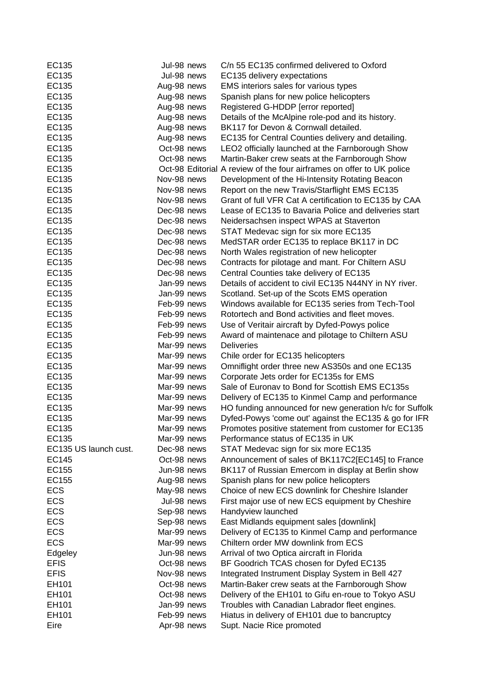| EC135                 | Jul-98 news | C/n 55 EC135 confirmed delivered to Oxford                            |
|-----------------------|-------------|-----------------------------------------------------------------------|
| EC135                 | Jul-98 news | EC135 delivery expectations                                           |
| EC135                 | Aug-98 news | EMS interiors sales for various types                                 |
| EC135                 | Aug-98 news | Spanish plans for new police helicopters                              |
| EC135                 | Aug-98 news | Registered G-HDDP [error reported]                                    |
| EC135                 | Aug-98 news | Details of the McAlpine role-pod and its history.                     |
| EC135                 | Aug-98 news | BK117 for Devon & Cornwall detailed.                                  |
| EC135                 | Aug-98 news | EC135 for Central Counties delivery and detailing.                    |
| EC135                 | Oct-98 news | LEO2 officially launched at the Farnborough Show                      |
| EC135                 | Oct-98 news | Martin-Baker crew seats at the Farnborough Show                       |
| EC135                 |             | Oct-98 Editorial A review of the four airframes on offer to UK police |
| EC135                 | Nov-98 news | Development of the Hi-Intensity Rotating Beacon                       |
| EC135                 | Nov-98 news | Report on the new Travis/Starflight EMS EC135                         |
| EC135                 | Nov-98 news | Grant of full VFR Cat A certification to EC135 by CAA                 |
| EC135                 | Dec-98 news | Lease of EC135 to Bavaria Police and deliveries start                 |
| EC135                 | Dec-98 news | Neidersachsen inspect WPAS at Staverton                               |
| EC135                 | Dec-98 news | STAT Medevac sign for six more EC135                                  |
| EC135                 | Dec-98 news | MedSTAR order EC135 to replace BK117 in DC                            |
| EC135                 | Dec-98 news | North Wales registration of new helicopter                            |
| EC135                 | Dec-98 news | Contracts for pilotage and mant. For Chiltern ASU                     |
| EC135                 | Dec-98 news | Central Counties take delivery of EC135                               |
| EC135                 | Jan-99 news | Details of accident to civil EC135 N44NY in NY river.                 |
| EC135                 | Jan-99 news | Scotland. Set-up of the Scots EMS operation                           |
| EC135                 | Feb-99 news | Windows available for EC135 series from Tech-Tool                     |
| EC135                 | Feb-99 news | Rotortech and Bond activities and fleet moves.                        |
| EC135                 | Feb-99 news | Use of Veritair aircraft by Dyfed-Powys police                        |
| EC135                 | Feb-99 news | Award of maintenace and pilotage to Chiltern ASU                      |
| EC135                 | Mar-99 news | <b>Deliveries</b>                                                     |
| EC135                 | Mar-99 news | Chile order for EC135 helicopters                                     |
| EC135                 | Mar-99 news | Omniflight order three new AS350s and one EC135                       |
| EC135                 | Mar-99 news | Corporate Jets order for EC135s for EMS                               |
| EC135                 | Mar-99 news | Sale of Euronav to Bond for Scottish EMS EC135s                       |
| EC135                 | Mar-99 news | Delivery of EC135 to Kinmel Camp and performance                      |
| EC135                 | Mar-99 news | HO funding announced for new generation h/c for Suffolk               |
| EC135                 | Mar-99 news | Dyfed-Powys 'come out' against the EC135 & go for IFR                 |
| EC135                 | Mar-99 news | Promotes positive statement from customer for EC135                   |
| EC135                 | Mar-99 news | Performance status of EC135 in UK                                     |
| EC135 US launch cust. | Dec-98 news | STAT Medevac sign for six more EC135                                  |
| <b>EC145</b>          | Oct-98 news | Announcement of sales of BK117C2[EC145] to France                     |
| EC155                 | Jun-98 news | BK117 of Russian Emercom in display at Berlin show                    |
| EC155                 | Aug-98 news | Spanish plans for new police helicopters                              |
| <b>ECS</b>            | May-98 news | Choice of new ECS downlink for Cheshire Islander                      |
| <b>ECS</b>            | Jul-98 news | First major use of new ECS equipment by Cheshire                      |
| <b>ECS</b>            | Sep-98 news | Handyview launched                                                    |
| <b>ECS</b>            | Sep-98 news | East Midlands equipment sales [downlink]                              |
| <b>ECS</b>            | Mar-99 news | Delivery of EC135 to Kinmel Camp and performance                      |
| <b>ECS</b>            | Mar-99 news | Chiltern order MW downlink from ECS                                   |
| Edgeley               | Jun-98 news | Arrival of two Optica aircraft in Florida                             |
| <b>EFIS</b>           | Oct-98 news | BF Goodrich TCAS chosen for Dyfed EC135                               |
| <b>EFIS</b>           | Nov-98 news | Integrated Instrument Display System in Bell 427                      |
| EH101                 | Oct-98 news | Martin-Baker crew seats at the Farnborough Show                       |
| EH101                 | Oct-98 news | Delivery of the EH101 to Gifu en-roue to Tokyo ASU                    |
| EH101                 | Jan-99 news | Troubles with Canadian Labrador fleet engines.                        |
| EH101                 | Feb-99 news | Hiatus in delivery of EH101 due to bancruptcy                         |
| Eire                  | Apr-98 news | Supt. Nacie Rice promoted                                             |
|                       |             |                                                                       |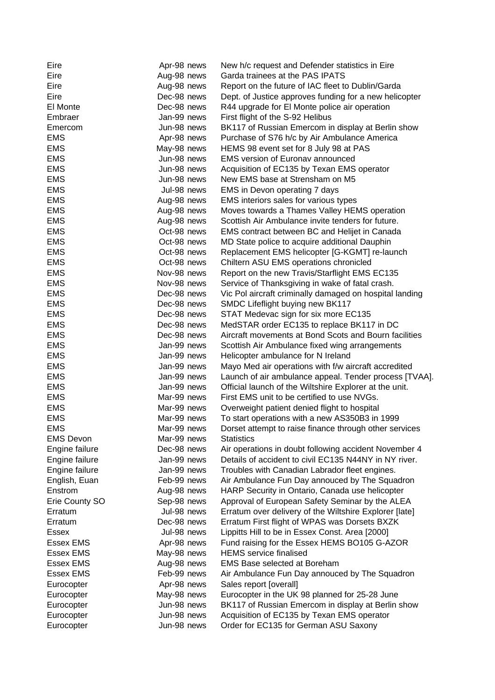| Eire             | Apr-98 news | New h/c request and Defender statistics in Eire         |
|------------------|-------------|---------------------------------------------------------|
| Eire             | Aug-98 news | Garda trainees at the PAS IPATS                         |
| Eire             | Aug-98 news | Report on the future of IAC fleet to Dublin/Garda       |
| Eire             | Dec-98 news | Dept. of Justice approves funding for a new helicopter  |
| El Monte         | Dec-98 news | R44 upgrade for El Monte police air operation           |
| Embraer          | Jan-99 news | First flight of the S-92 Helibus                        |
| Emercom          | Jun-98 news | BK117 of Russian Emercom in display at Berlin show      |
| <b>EMS</b>       | Apr-98 news | Purchase of S76 h/c by Air Ambulance America            |
| <b>EMS</b>       | May-98 news | HEMS 98 event set for 8 July 98 at PAS                  |
| <b>EMS</b>       | Jun-98 news | <b>EMS version of Euronav announced</b>                 |
| <b>EMS</b>       | Jun-98 news | Acquisition of EC135 by Texan EMS operator              |
| <b>EMS</b>       | Jun-98 news | New EMS base at Strensham on M5                         |
| <b>EMS</b>       | Jul-98 news | EMS in Devon operating 7 days                           |
| <b>EMS</b>       | Aug-98 news | EMS interiors sales for various types                   |
| <b>EMS</b>       | Aug-98 news | Moves towards a Thames Valley HEMS operation            |
| <b>EMS</b>       | Aug-98 news | Scottish Air Ambulance invite tenders for future.       |
| <b>EMS</b>       | Oct-98 news | EMS contract between BC and Helijet in Canada           |
| <b>EMS</b>       | Oct-98 news | MD State police to acquire additional Dauphin           |
| <b>EMS</b>       | Oct-98 news | Replacement EMS helicopter [G-KGMT] re-launch           |
| <b>EMS</b>       | Oct-98 news | Chiltern ASU EMS operations chronicled                  |
| <b>EMS</b>       | Nov-98 news | Report on the new Travis/Starflight EMS EC135           |
| <b>EMS</b>       | Nov-98 news | Service of Thanksgiving in wake of fatal crash.         |
| <b>EMS</b>       | Dec-98 news | Vic Pol aircraft criminally damaged on hospital landing |
| <b>EMS</b>       | Dec-98 news | SMDC Lifeflight buying new BK117                        |
| <b>EMS</b>       | Dec-98 news | STAT Medevac sign for six more EC135                    |
| <b>EMS</b>       | Dec-98 news | MedSTAR order EC135 to replace BK117 in DC              |
| <b>EMS</b>       | Dec-98 news | Aircraft movements at Bond Scots and Bourn facilities   |
| <b>EMS</b>       | Jan-99 news | Scottish Air Ambulance fixed wing arrangements          |
| <b>EMS</b>       | Jan-99 news | Helicopter ambulance for N Ireland                      |
| <b>EMS</b>       | Jan-99 news | Mayo Med air operations with f/w aircraft accredited    |
| <b>EMS</b>       | Jan-99 news | Launch of air ambulance appeal. Tender process [TVAA].  |
| <b>EMS</b>       | Jan-99 news | Official launch of the Wiltshire Explorer at the unit.  |
| <b>EMS</b>       | Mar-99 news | First EMS unit to be certified to use NVGs.             |
| <b>EMS</b>       | Mar-99 news | Overweight patient denied flight to hospital            |
| <b>EMS</b>       | Mar-99 news | To start operations with a new AS350B3 in 1999          |
| <b>EMS</b>       | Mar-99 news | Dorset attempt to raise finance through other services  |
| <b>EMS Devon</b> | Mar-99 news | <b>Statistics</b>                                       |
| Engine failure   | Dec-98 news | Air operations in doubt following accident November 4   |
| Engine failure   | Jan-99 news | Details of accident to civil EC135 N44NY in NY river.   |
| Engine failure   | Jan-99 news | Troubles with Canadian Labrador fleet engines.          |
| English, Euan    | Feb-99 news | Air Ambulance Fun Day annouced by The Squadron          |
| Enstrom          | Aug-98 news | HARP Security in Ontario, Canada use helicopter         |
| Erie County SO   | Sep-98 news | Approval of European Safety Seminar by the ALEA         |
| Erratum          | Jul-98 news | Erratum over delivery of the Wiltshire Explorer [late]  |
| Erratum          | Dec-98 news | Erratum First flight of WPAS was Dorsets BXZK           |
| <b>Essex</b>     | Jul-98 news | Lippitts Hill to be in Essex Const. Area [2000]         |
| <b>Essex EMS</b> | Apr-98 news | Fund raising for the Essex HEMS BO105 G-AZOR            |
| <b>Essex EMS</b> | May-98 news | <b>HEMS</b> service finalised                           |
| <b>Essex EMS</b> | Aug-98 news | <b>EMS Base selected at Boreham</b>                     |
| <b>Essex EMS</b> | Feb-99 news | Air Ambulance Fun Day annouced by The Squadron          |
| Eurocopter       | Apr-98 news | Sales report [overall]                                  |
| Eurocopter       | May-98 news | Eurocopter in the UK 98 planned for 25-28 June          |
| Eurocopter       | Jun-98 news | BK117 of Russian Emercom in display at Berlin show      |
| Eurocopter       | Jun-98 news | Acquisition of EC135 by Texan EMS operator              |
| Eurocopter       | Jun-98 news | Order for EC135 for German ASU Saxony                   |
|                  |             |                                                         |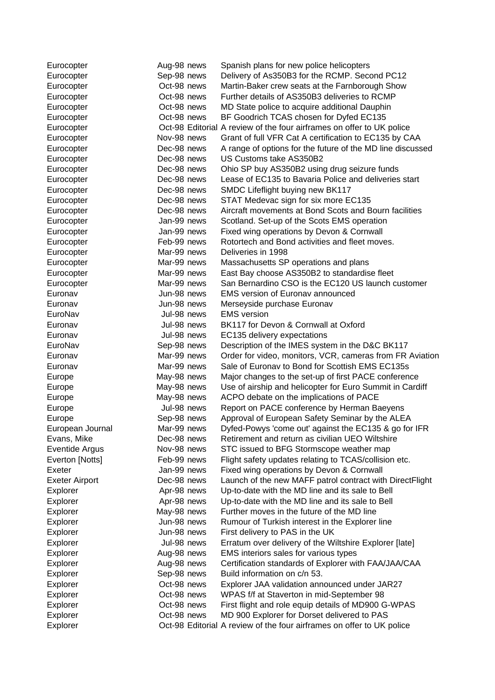| Eurocopter            | Aug-98 news                | Spanish plans for new police helicopters                                                             |
|-----------------------|----------------------------|------------------------------------------------------------------------------------------------------|
| Eurocopter            | Sep-98 news                | Delivery of As350B3 for the RCMP. Second PC12                                                        |
| Eurocopter            | Oct-98 news                | Martin-Baker crew seats at the Farnborough Show                                                      |
| Eurocopter            | Oct-98 news                | Further details of AS350B3 deliveries to RCMP                                                        |
| Eurocopter            | Oct-98 news                | MD State police to acquire additional Dauphin                                                        |
| Eurocopter            | Oct-98 news                | BF Goodrich TCAS chosen for Dyfed EC135                                                              |
| Eurocopter            |                            | Oct-98 Editorial A review of the four airframes on offer to UK police                                |
| Eurocopter            | Nov-98 news                | Grant of full VFR Cat A certification to EC135 by CAA                                                |
| Eurocopter            | Dec-98 news                | A range of options for the future of the MD line discussed                                           |
| Eurocopter            | Dec-98 news                | US Customs take AS350B2                                                                              |
| Eurocopter            | Dec-98 news                | Ohio SP buy AS350B2 using drug seizure funds                                                         |
| Eurocopter            | Dec-98 news                | Lease of EC135 to Bavaria Police and deliveries start                                                |
| Eurocopter            | Dec-98 news                | SMDC Lifeflight buying new BK117                                                                     |
| Eurocopter            | Dec-98 news                | STAT Medevac sign for six more EC135                                                                 |
| Eurocopter            | Dec-98 news                | Aircraft movements at Bond Scots and Bourn facilities                                                |
| Eurocopter            | Jan-99 news                | Scotland. Set-up of the Scots EMS operation                                                          |
| Eurocopter            | Jan-99 news                | Fixed wing operations by Devon & Cornwall                                                            |
| Eurocopter            | Feb-99 news                | Rotortech and Bond activities and fleet moves.                                                       |
| Eurocopter            | Mar-99 news                | Deliveries in 1998                                                                                   |
| Eurocopter            | Mar-99 news                | Massachusetts SP operations and plans                                                                |
| Eurocopter            | Mar-99 news                | East Bay choose AS350B2 to standardise fleet                                                         |
| Eurocopter            | Mar-99 news                | San Bernardino CSO is the EC120 US launch customer                                                   |
| Euronav               | Jun-98 news                | <b>EMS version of Euronav announced</b>                                                              |
| Euronav               | Jun-98 news                | Merseyside purchase Euronav                                                                          |
| EuroNav               | Jul-98 news                | <b>EMS</b> version                                                                                   |
| Euronav               | Jul-98 news                | BK117 for Devon & Cornwall at Oxford                                                                 |
| Euronav               | Jul-98 news                | EC135 delivery expectations                                                                          |
| EuroNav               | Sep-98 news                | Description of the IMES system in the D&C BK117                                                      |
| Euronav               | Mar-99 news                | Order for video, monitors, VCR, cameras from FR Aviation                                             |
| Euronav               | Mar-99 news                | Sale of Euronav to Bond for Scottish EMS EC135s                                                      |
| Europe                | May-98 news                | Major changes to the set-up of first PACE conference                                                 |
| Europe                | May-98 news                | Use of airship and helicopter for Euro Summit in Cardiff                                             |
| Europe                | May-98 news                | ACPO debate on the implications of PACE                                                              |
| Europe                | Jul-98 news                | Report on PACE conference by Herman Baeyens                                                          |
| Europe                | Sep-98 news                | Approval of European Safety Seminar by the ALEA                                                      |
| European Journal      | Mar-99 news                | Dyfed-Powys 'come out' against the EC135 & go for IFR                                                |
| Evans, Mike           | Dec-98 news                | Retirement and return as civilian UEO Wiltshire                                                      |
| Eventide Argus        | Nov-98 news                | STC issued to BFG Stormscope weather map                                                             |
| Everton [Notts]       | Feb-99 news                | Flight safety updates relating to TCAS/collision etc.                                                |
| Exeter                | Jan-99 news<br>Dec-98 news | Fixed wing operations by Devon & Cornwall                                                            |
| <b>Exeter Airport</b> |                            | Launch of the new MAFF patrol contract with DirectFlight                                             |
| Explorer              | Apr-98 news                | Up-to-date with the MD line and its sale to Bell<br>Up-to-date with the MD line and its sale to Bell |
| Explorer              | Apr-98 news                | Further moves in the future of the MD line                                                           |
| Explorer              | May-98 news<br>Jun-98 news |                                                                                                      |
| Explorer              | Jun-98 news                | Rumour of Turkish interest in the Explorer line                                                      |
| Explorer              | Jul-98 news                | First delivery to PAS in the UK                                                                      |
| Explorer              |                            | Erratum over delivery of the Wiltshire Explorer [late]<br>EMS interiors sales for various types      |
| Explorer              | Aug-98 news<br>Aug-98 news | Certification standards of Explorer with FAA/JAA/CAA                                                 |
| Explorer              |                            | Build information on c/n 53.                                                                         |
| Explorer              | Sep-98 news<br>Oct-98 news |                                                                                                      |
| Explorer              | Oct-98 news                | Explorer JAA validation announced under JAR27                                                        |
| Explorer              | Oct-98 news                | WPAS f/f at Staverton in mid-September 98<br>First flight and role equip details of MD900 G-WPAS     |
| Explorer              | Oct-98 news                | MD 900 Explorer for Dorset delivered to PAS                                                          |
| Explorer<br>Explorer  |                            | Oct-98 Editorial A review of the four airframes on offer to UK police                                |
|                       |                            |                                                                                                      |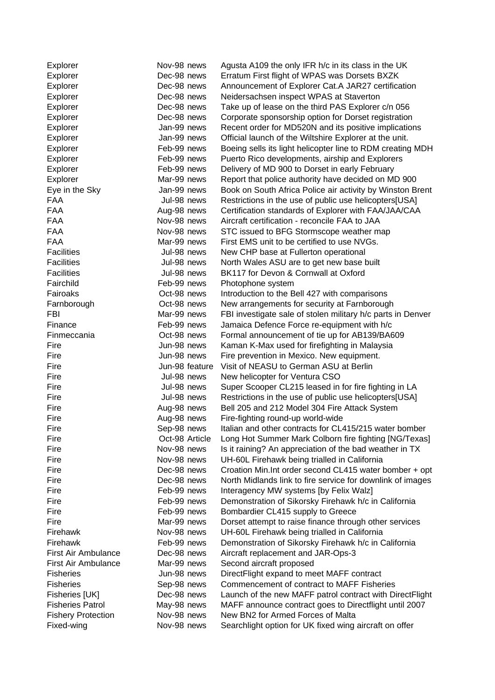| Explorer                  | Nov-98 news    | Agusta A109 the only IFR h/c in its class in the UK         |
|---------------------------|----------------|-------------------------------------------------------------|
| Explorer                  | Dec-98 news    | Erratum First flight of WPAS was Dorsets BXZK               |
| Explorer                  | Dec-98 news    | Announcement of Explorer Cat.A JAR27 certification          |
| Explorer                  | Dec-98 news    | Neidersachsen inspect WPAS at Staverton                     |
| Explorer                  | Dec-98 news    | Take up of lease on the third PAS Explorer c/n 056          |
| Explorer                  | Dec-98 news    | Corporate sponsorship option for Dorset registration        |
| Explorer                  | Jan-99 news    | Recent order for MD520N and its positive implications       |
| Explorer                  | Jan-99 news    | Official launch of the Wiltshire Explorer at the unit.      |
| Explorer                  | Feb-99 news    | Boeing sells its light helicopter line to RDM creating MDH  |
| Explorer                  | Feb-99 news    | Puerto Rico developments, airship and Explorers             |
| Explorer                  | Feb-99 news    | Delivery of MD 900 to Dorset in early February              |
| Explorer                  | Mar-99 news    | Report that police authority have decided on MD 900         |
| Eye in the Sky            | Jan-99 news    | Book on South Africa Police air activity by Winston Brent   |
| <b>FAA</b>                | Jul-98 news    | Restrictions in the use of public use helicopters[USA]      |
| <b>FAA</b>                | Aug-98 news    | Certification standards of Explorer with FAA/JAA/CAA        |
| <b>FAA</b>                | Nov-98 news    | Aircraft certification - reconcile FAA to JAA               |
| <b>FAA</b>                | Nov-98 news    | STC issued to BFG Stormscope weather map                    |
| <b>FAA</b>                | Mar-99 news    | First EMS unit to be certified to use NVGs.                 |
| <b>Facilities</b>         | Jul-98 news    | New CHP base at Fullerton operational                       |
| <b>Facilities</b>         | Jul-98 news    | North Wales ASU are to get new base built                   |
| <b>Facilities</b>         | Jul-98 news    | BK117 for Devon & Cornwall at Oxford                        |
| Fairchild                 | Feb-99 news    | Photophone system                                           |
| Fairoaks                  | Oct-98 news    | Introduction to the Bell 427 with comparisons               |
|                           | Oct-98 news    | New arrangements for security at Farnborough                |
| Farnborough<br>FBI        | Mar-99 news    | FBI investigate sale of stolen military h/c parts in Denver |
| Finance                   |                |                                                             |
|                           | Feb-99 news    | Jamaica Defence Force re-equipment with h/c                 |
| Finmeccania               | Oct-98 news    | Formal announcement of tie up for AB139/BA609               |
| Fire                      | Jun-98 news    | Kaman K-Max used for firefighting in Malaysia               |
| Fire                      | Jun-98 news    | Fire prevention in Mexico. New equipment.                   |
| Fire                      | Jun-98 feature | Visit of NEASU to German ASU at Berlin                      |
| Fire                      | Jul-98 news    | New helicopter for Ventura CSO                              |
| Fire                      | Jul-98 news    | Super Scooper CL215 leased in for fire fighting in LA       |
| Fire                      | Jul-98 news    | Restrictions in the use of public use helicopters[USA]      |
| Fire                      | Aug-98 news    | Bell 205 and 212 Model 304 Fire Attack System               |
| Fire                      | Aug-98 news    | Fire-fighting round-up world-wide                           |
| Fire                      | Sep-98 news    | Italian and other contracts for CL415/215 water bomber      |
| Fire                      | Oct-98 Article | Long Hot Summer Mark Colborn fire fighting [NG/Texas]       |
| Fire                      | Nov-98 news    | Is it raining? An appreciation of the bad weather in TX     |
| Fire                      | Nov-98 news    | UH-60L Firehawk being trialled in California                |
| Fire                      | Dec-98 news    | Croation Min. Int order second CL415 water bomber + opt     |
| Fire                      | Dec-98 news    | North Midlands link to fire service for downlink of images  |
| Fire                      | Feb-99 news    | Interagency MW systems [by Felix Walz]                      |
| Fire                      | Feb-99 news    | Demonstration of Sikorsky Firehawk h/c in California        |
| Fire                      | Feb-99 news    | Bombardier CL415 supply to Greece                           |
| Fire                      | Mar-99 news    | Dorset attempt to raise finance through other services      |
| Firehawk                  | Nov-98 news    | UH-60L Firehawk being trialled in California                |
| Firehawk                  | Feb-99 news    | Demonstration of Sikorsky Firehawk h/c in California        |
| First Air Ambulance       | Dec-98 news    | Aircraft replacement and JAR-Ops-3                          |
| First Air Ambulance       | Mar-99 news    | Second aircraft proposed                                    |
| <b>Fisheries</b>          | Jun-98 news    | DirectFlight expand to meet MAFF contract                   |
| <b>Fisheries</b>          | Sep-98 news    | Commencement of contract to MAFF Fisheries                  |
| Fisheries [UK]            | Dec-98 news    | Launch of the new MAFF patrol contract with DirectFlight    |
| <b>Fisheries Patrol</b>   | May-98 news    | MAFF announce contract goes to Directflight until 2007      |
| <b>Fishery Protection</b> | Nov-98 news    | New BN2 for Armed Forces of Malta                           |
| Fixed-wing                | Nov-98 news    | Searchlight option for UK fixed wing aircraft on offer      |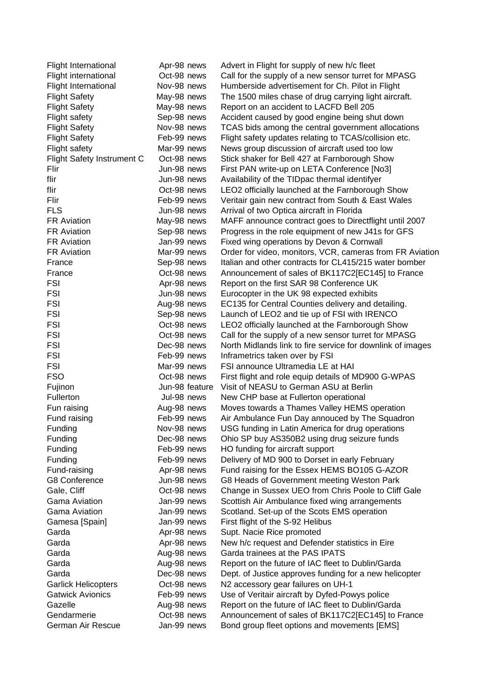| <b>Flight International</b>       | Apr-98 news    | Advert in Flight for supply of new h/c fleet               |
|-----------------------------------|----------------|------------------------------------------------------------|
| Flight international              | Oct-98 news    | Call for the supply of a new sensor turret for MPASG       |
| Flight International              | Nov-98 news    | Humberside advertisement for Ch. Pilot in Flight           |
| <b>Flight Safety</b>              | May-98 news    | The 1500 miles chase of drug carrying light aircraft.      |
| <b>Flight Safety</b>              | May-98 news    | Report on an accident to LACFD Bell 205                    |
| Flight safety                     | Sep-98 news    | Accident caused by good engine being shut down             |
| <b>Flight Safety</b>              | Nov-98 news    | TCAS bids among the central government allocations         |
| <b>Flight Safety</b>              | Feb-99 news    | Flight safety updates relating to TCAS/collision etc.      |
| Flight safety                     | Mar-99 news    | News group discussion of aircraft used too low             |
| <b>Flight Safety Instrument C</b> | Oct-98 news    | Stick shaker for Bell 427 at Farnborough Show              |
| Flir                              | Jun-98 news    | First PAN write-up on LETA Conference [No3]                |
| flir                              | Jun-98 news    | Availability of the TIDpac thermal identifyer              |
| flir                              | Oct-98 news    | LEO2 officially launched at the Farnborough Show           |
| Flir                              | Feb-99 news    | Veritair gain new contract from South & East Wales         |
| <b>FLS</b>                        | Jun-98 news    | Arrival of two Optica aircraft in Florida                  |
| <b>FR Aviation</b>                | May-98 news    | MAFF announce contract goes to Directflight until 2007     |
| <b>FR Aviation</b>                | Sep-98 news    | Progress in the role equipment of new J41s for GFS         |
| <b>FR Aviation</b>                | Jan-99 news    | Fixed wing operations by Devon & Cornwall                  |
| <b>FR Aviation</b>                | Mar-99 news    | Order for video, monitors, VCR, cameras from FR Aviation   |
| France                            | Sep-98 news    | Italian and other contracts for CL415/215 water bomber     |
| France                            | Oct-98 news    | Announcement of sales of BK117C2[EC145] to France          |
| <b>FSI</b>                        | Apr-98 news    | Report on the first SAR 98 Conference UK                   |
| <b>FSI</b>                        | Jun-98 news    | Eurocopter in the UK 98 expected exhibits                  |
| <b>FSI</b>                        | Aug-98 news    | EC135 for Central Counties delivery and detailing.         |
| <b>FSI</b>                        | Sep-98 news    | Launch of LEO2 and tie up of FSI with IRENCO               |
| <b>FSI</b>                        | Oct-98 news    | LEO2 officially launched at the Farnborough Show           |
| <b>FSI</b>                        | Oct-98 news    | Call for the supply of a new sensor turret for MPASG       |
| <b>FSI</b>                        | Dec-98 news    | North Midlands link to fire service for downlink of images |
| <b>FSI</b>                        | Feb-99 news    | Inframetrics taken over by FSI                             |
| <b>FSI</b>                        | Mar-99 news    | FSI announce Ultramedia LE at HAI                          |
| <b>FSO</b>                        | Oct-98 news    | First flight and role equip details of MD900 G-WPAS        |
| Fujinon                           | Jun-98 feature | Visit of NEASU to German ASU at Berlin                     |
| Fullerton                         | Jul-98 news    | New CHP base at Fullerton operational                      |
| Fun raising                       | Aug-98 news    | Moves towards a Thames Valley HEMS operation               |
| Fund raising                      | Feb-99 news    | Air Ambulance Fun Day annouced by The Squadron             |
| Funding                           | Nov-98 news    | USG funding in Latin America for drug operations           |
| Funding                           | Dec-98 news    | Ohio SP buy AS350B2 using drug seizure funds               |
| Funding                           | Feb-99 news    | HO funding for aircraft support                            |
| Funding                           | Feb-99 news    | Delivery of MD 900 to Dorset in early February             |
| Fund-raising                      | Apr-98 news    | Fund raising for the Essex HEMS BO105 G-AZOR               |
| G8 Conference                     | Jun-98 news    | G8 Heads of Government meeting Weston Park                 |
| Gale, Cliff                       | Oct-98 news    | Change in Sussex UEO from Chris Poole to Cliff Gale        |
| Gama Aviation                     | Jan-99 news    | Scottish Air Ambulance fixed wing arrangements             |
| Gama Aviation                     | Jan-99 news    | Scotland. Set-up of the Scots EMS operation                |
| Gamesa [Spain]                    | Jan-99 news    | First flight of the S-92 Helibus                           |
| Garda                             | Apr-98 news    | Supt. Nacie Rice promoted                                  |
| Garda                             | Apr-98 news    | New h/c request and Defender statistics in Eire            |
| Garda                             | Aug-98 news    | Garda trainees at the PAS IPATS                            |
| Garda                             | Aug-98 news    | Report on the future of IAC fleet to Dublin/Garda          |
| Garda                             | Dec-98 news    | Dept. of Justice approves funding for a new helicopter     |
| <b>Garlick Helicopters</b>        | Oct-98 news    | N2 accessory gear failures on UH-1                         |
| <b>Gatwick Avionics</b>           | Feb-99 news    | Use of Veritair aircraft by Dyfed-Powys police             |
| Gazelle                           | Aug-98 news    | Report on the future of IAC fleet to Dublin/Garda          |
| Gendarmerie                       | Oct-98 news    | Announcement of sales of BK117C2[EC145] to France          |
| German Air Rescue                 | Jan-99 news    | Bond group fleet options and movements [EMS]               |
|                                   |                |                                                            |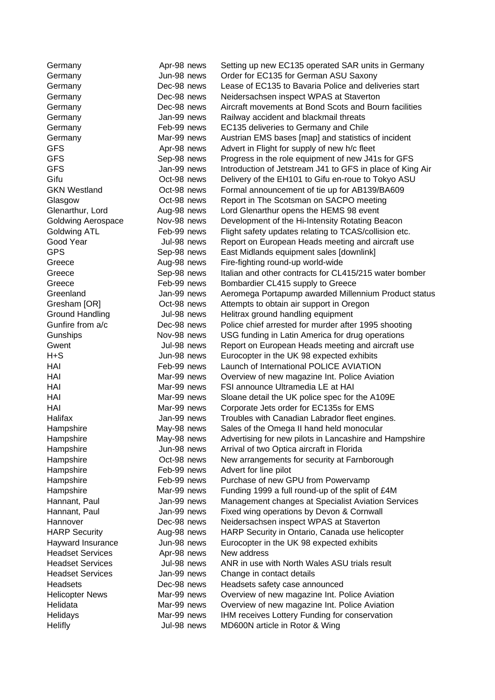| Germany                 | Apr-98 news | Setting up new EC135 operated SAR units in Germany        |
|-------------------------|-------------|-----------------------------------------------------------|
| Germany                 | Jun-98 news | Order for EC135 for German ASU Saxony                     |
| Germany                 | Dec-98 news | Lease of EC135 to Bavaria Police and deliveries start     |
| Germany                 | Dec-98 news | Neidersachsen inspect WPAS at Staverton                   |
| Germany                 | Dec-98 news | Aircraft movements at Bond Scots and Bourn facilities     |
| Germany                 | Jan-99 news | Railway accident and blackmail threats                    |
| Germany                 | Feb-99 news | EC135 deliveries to Germany and Chile                     |
| Germany                 | Mar-99 news | Austrian EMS bases [map] and statistics of incident       |
| <b>GFS</b>              | Apr-98 news | Advert in Flight for supply of new h/c fleet              |
| <b>GFS</b>              | Sep-98 news | Progress in the role equipment of new J41s for GFS        |
| <b>GFS</b>              | Jan-99 news | Introduction of Jetstream J41 to GFS in place of King Air |
| Gifu                    | Oct-98 news | Delivery of the EH101 to Gifu en-roue to Tokyo ASU        |
| <b>GKN Westland</b>     | Oct-98 news | Formal announcement of tie up for AB139/BA609             |
| Glasgow                 | Oct-98 news | Report in The Scotsman on SACPO meeting                   |
| Glenarthur, Lord        | Aug-98 news | Lord Glenarthur opens the HEMS 98 event                   |
| Goldwing Aerospace      | Nov-98 news | Development of the Hi-Intensity Rotating Beacon           |
| <b>Goldwing ATL</b>     | Feb-99 news | Flight safety updates relating to TCAS/collision etc.     |
| Good Year               | Jul-98 news | Report on European Heads meeting and aircraft use         |
| <b>GPS</b>              | Sep-98 news | East Midlands equipment sales [downlink]                  |
| Greece                  | Aug-98 news | Fire-fighting round-up world-wide                         |
| Greece                  | Sep-98 news | Italian and other contracts for CL415/215 water bomber    |
| Greece                  | Feb-99 news | Bombardier CL415 supply to Greece                         |
| Greenland               | Jan-99 news | Aeromega Portapump awarded Millennium Product status      |
| Gresham [OR]            | Oct-98 news | Attempts to obtain air support in Oregon                  |
| <b>Ground Handling</b>  | Jul-98 news | Helitrax ground handling equipment                        |
| Gunfire from a/c        | Dec-98 news | Police chief arrested for murder after 1995 shooting      |
| Gunships                | Nov-98 news | USG funding in Latin America for drug operations          |
| Gwent                   | Jul-98 news | Report on European Heads meeting and aircraft use         |
| $H + S$                 | Jun-98 news | Eurocopter in the UK 98 expected exhibits                 |
| HAI                     | Feb-99 news | Launch of International POLICE AVIATION                   |
| HAI                     | Mar-99 news | Overview of new magazine Int. Police Aviation             |
| HAI                     | Mar-99 news | FSI announce Ultramedia LE at HAI                         |
| HAI                     | Mar-99 news | Sloane detail the UK police spec for the A109E            |
| HAI                     | Mar-99 news | Corporate Jets order for EC135s for EMS                   |
| Halifax                 | Jan-99 news | Troubles with Canadian Labrador fleet engines.            |
| Hampshire               | May-98 news | Sales of the Omega II hand held monocular                 |
| Hampshire               | May-98 news | Advertising for new pilots in Lancashire and Hampshire    |
| Hampshire               | Jun-98 news | Arrival of two Optica aircraft in Florida                 |
| Hampshire               | Oct-98 news | New arrangements for security at Farnborough              |
| Hampshire               | Feb-99 news | Advert for line pilot                                     |
| Hampshire               | Feb-99 news | Purchase of new GPU from Powervamp                        |
| Hampshire               | Mar-99 news | Funding 1999 a full round-up of the split of £4M          |
| Hannant, Paul           | Jan-99 news | Management changes at Specialist Aviation Services        |
| Hannant, Paul           | Jan-99 news | Fixed wing operations by Devon & Cornwall                 |
| Hannover                | Dec-98 news | Neidersachsen inspect WPAS at Staverton                   |
| <b>HARP Security</b>    | Aug-98 news | HARP Security in Ontario, Canada use helicopter           |
| Hayward Insurance       | Jun-98 news | Eurocopter in the UK 98 expected exhibits                 |
| <b>Headset Services</b> | Apr-98 news | New address                                               |
| <b>Headset Services</b> | Jul-98 news | ANR in use with North Wales ASU trials result             |
| <b>Headset Services</b> | Jan-99 news | Change in contact details                                 |
| Headsets                | Dec-98 news | Headsets safety case announced                            |
| <b>Helicopter News</b>  | Mar-99 news | Overview of new magazine Int. Police Aviation             |
| Helidata                | Mar-99 news | Overview of new magazine Int. Police Aviation             |
| Helidays                | Mar-99 news | IHM receives Lottery Funding for conservation             |
| <b>Helifly</b>          | Jul-98 news | MD600N article in Rotor & Wing                            |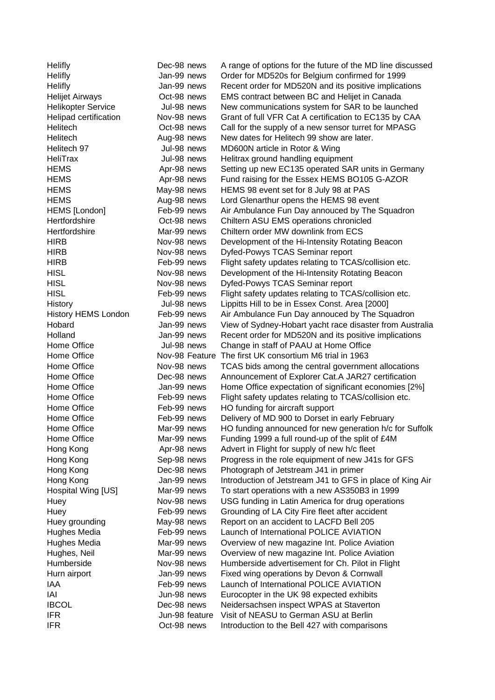| Helifly                    | Dec-98 news                | A range of options for the future of the MD line discussed                                         |
|----------------------------|----------------------------|----------------------------------------------------------------------------------------------------|
| Helifly                    | Jan-99 news                | Order for MD520s for Belgium confirmed for 1999                                                    |
| Helifly                    | Jan-99 news                | Recent order for MD520N and its positive implications                                              |
| <b>Helijet Airways</b>     | Oct-98 news                | EMS contract between BC and Helijet in Canada                                                      |
| <b>Helikopter Service</b>  | Jul-98 news                | New communications system for SAR to be launched                                                   |
| Helipad certification      | Nov-98 news                | Grant of full VFR Cat A certification to EC135 by CAA                                              |
| Helitech                   | Oct-98 news                | Call for the supply of a new sensor turret for MPASG                                               |
| Helitech                   | Aug-98 news                | New dates for Helitech 99 show are later.                                                          |
| Helitech 97                | Jul-98 news                | MD600N article in Rotor & Wing                                                                     |
| HeliTrax                   | Jul-98 news                | Helitrax ground handling equipment                                                                 |
| <b>HEMS</b>                | Apr-98 news                | Setting up new EC135 operated SAR units in Germany                                                 |
| <b>HEMS</b>                | Apr-98 news                | Fund raising for the Essex HEMS BO105 G-AZOR                                                       |
| <b>HEMS</b>                | May-98 news                | HEMS 98 event set for 8 July 98 at PAS                                                             |
| <b>HEMS</b>                | Aug-98 news                | Lord Glenarthur opens the HEMS 98 event                                                            |
| HEMS [London]              | Feb-99 news                | Air Ambulance Fun Day annouced by The Squadron                                                     |
| Hertfordshire              | Oct-98 news                | Chiltern ASU EMS operations chronicled                                                             |
| Hertfordshire              | Mar-99 news                | Chiltern order MW downlink from ECS                                                                |
| <b>HIRB</b>                | Nov-98 news                | Development of the Hi-Intensity Rotating Beacon                                                    |
| <b>HIRB</b>                | Nov-98 news                | Dyfed-Powys TCAS Seminar report                                                                    |
| <b>HIRB</b>                | Feb-99 news                | Flight safety updates relating to TCAS/collision etc.                                              |
| <b>HISL</b>                | Nov-98 news                | Development of the Hi-Intensity Rotating Beacon                                                    |
| <b>HISL</b>                | Nov-98 news                | Dyfed-Powys TCAS Seminar report                                                                    |
| <b>HISL</b>                | Feb-99 news                | Flight safety updates relating to TCAS/collision etc.                                              |
| History                    | Jul-98 news                | Lippitts Hill to be in Essex Const. Area [2000]                                                    |
| <b>History HEMS London</b> | Feb-99 news                | Air Ambulance Fun Day annouced by The Squadron                                                     |
| Hobard                     | Jan-99 news                | View of Sydney-Hobart yacht race disaster from Australia                                           |
| Holland                    | Jan-99 news                | Recent order for MD520N and its positive implications                                              |
| Home Office                | Jul-98 news                | Change in staff of PAAU at Home Office                                                             |
| Home Office                | Nov-98 Feature             | The first UK consortium M6 trial in 1963                                                           |
| Home Office                | Nov-98 news                | TCAS bids among the central government allocations                                                 |
| Home Office                | Dec-98 news                | Announcement of Explorer Cat.A JAR27 certification                                                 |
| Home Office                | Jan-99 news                | Home Office expectation of significant economies [2%]                                              |
| Home Office                | Feb-99 news                | Flight safety updates relating to TCAS/collision etc.                                              |
| Home Office                | Feb-99 news                | HO funding for aircraft support                                                                    |
| Home Office                | Feb-99 news                | Delivery of MD 900 to Dorset in early February                                                     |
| Home Office                | Mar-99 news                | HO funding announced for new generation h/c for Suffolk                                            |
| Home Office                | Mar-99 news                | Funding 1999 a full round-up of the split of £4M                                                   |
|                            | Apr-98 news                | Advert in Flight for supply of new h/c fleet                                                       |
| Hong Kong                  | Sep-98 news                | Progress in the role equipment of new J41s for GFS                                                 |
| Hong Kong                  | Dec-98 news                |                                                                                                    |
| Hong Kong<br>Hong Kong     | Jan-99 news                | Photograph of Jetstream J41 in primer<br>Introduction of Jetstream J41 to GFS in place of King Air |
|                            | Mar-99 news                | To start operations with a new AS350B3 in 1999                                                     |
| Hospital Wing [US]         | Nov-98 news                |                                                                                                    |
| Huey                       |                            | USG funding in Latin America for drug operations                                                   |
| Huey                       | Feb-99 news                | Grounding of LA City Fire fleet after accident                                                     |
| Huey grounding             | May-98 news<br>Feb-99 news | Report on an accident to LACFD Bell 205<br>Launch of International POLICE AVIATION                 |
| Hughes Media               | Mar-99 news                |                                                                                                    |
| Hughes Media               |                            | Overview of new magazine Int. Police Aviation                                                      |
| Hughes, Neil               | Mar-99 news                | Overview of new magazine Int. Police Aviation                                                      |
| Humberside                 | Nov-98 news                | Humberside advertisement for Ch. Pilot in Flight                                                   |
| Hurn airport               | Jan-99 news                | Fixed wing operations by Devon & Cornwall                                                          |
| IAA                        | Feb-99 news                | Launch of International POLICE AVIATION                                                            |
| IAI                        | Jun-98 news                | Eurocopter in the UK 98 expected exhibits                                                          |
| <b>IBCOL</b>               | Dec-98 news                | Neidersachsen inspect WPAS at Staverton                                                            |
| <b>IFR</b>                 | Jun-98 feature             | Visit of NEASU to German ASU at Berlin                                                             |
| <b>IFR</b>                 | Oct-98 news                | Introduction to the Bell 427 with comparisons                                                      |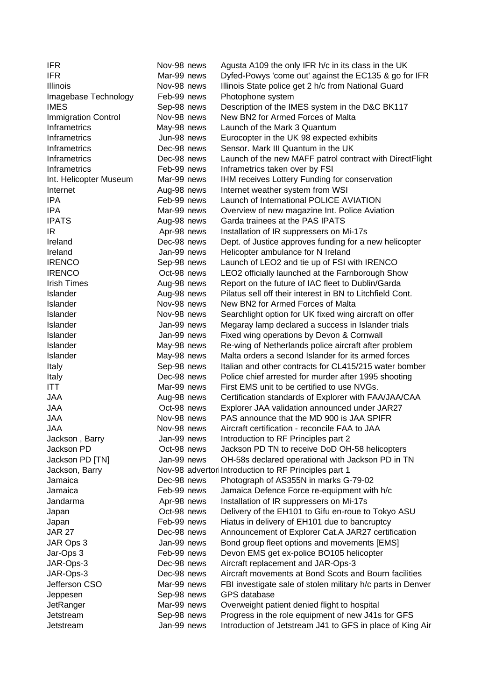| <b>IFR</b>                 | Nov-98 news | Agusta A109 the only IFR h/c in its class in the UK                                         |
|----------------------------|-------------|---------------------------------------------------------------------------------------------|
| <b>IFR</b>                 | Mar-99 news | Dyfed-Powys 'come out' against the EC135 & go for IFR                                       |
| Illinois                   | Nov-98 news | Illinois State police get 2 h/c from National Guard                                         |
| Imagebase Technology       | Feb-99 news | Photophone system                                                                           |
| <b>IMES</b>                | Sep-98 news | Description of the IMES system in the D&C BK117                                             |
| <b>Immigration Control</b> | Nov-98 news | New BN2 for Armed Forces of Malta                                                           |
| Inframetrics               | May-98 news | Launch of the Mark 3 Quantum                                                                |
| Inframetrics               | Jun-98 news | Eurocopter in the UK 98 expected exhibits                                                   |
| Inframetrics               | Dec-98 news | Sensor. Mark III Quantum in the UK                                                          |
| <b>Inframetrics</b>        | Dec-98 news | Launch of the new MAFF patrol contract with DirectFlight                                    |
| Inframetrics               | Feb-99 news | Inframetrics taken over by FSI                                                              |
| Int. Helicopter Museum     | Mar-99 news | IHM receives Lottery Funding for conservation                                               |
| Internet                   | Aug-98 news | Internet weather system from WSI                                                            |
| <b>IPA</b>                 | Feb-99 news | Launch of International POLICE AVIATION                                                     |
| <b>IPA</b>                 | Mar-99 news | Overview of new magazine Int. Police Aviation                                               |
| <b>IPATS</b>               | Aug-98 news | Garda trainees at the PAS IPATS                                                             |
| IR                         | Apr-98 news | Installation of IR suppressers on Mi-17s                                                    |
| Ireland                    | Dec-98 news | Dept. of Justice approves funding for a new helicopter                                      |
| Ireland                    | Jan-99 news | Helicopter ambulance for N Ireland                                                          |
| <b>IRENCO</b>              | Sep-98 news | Launch of LEO2 and tie up of FSI with IRENCO                                                |
| <b>IRENCO</b>              | Oct-98 news | LEO2 officially launched at the Farnborough Show                                            |
| <b>Irish Times</b>         | Aug-98 news | Report on the future of IAC fleet to Dublin/Garda                                           |
| <b>Islander</b>            | Aug-98 news | Pilatus sell off their interest in BN to Litchfield Cont.                                   |
| <b>Islander</b>            | Nov-98 news | New BN2 for Armed Forces of Malta                                                           |
| <b>Islander</b>            | Nov-98 news | Searchlight option for UK fixed wing aircraft on offer                                      |
| <b>Islander</b>            | Jan-99 news | Megaray lamp declared a success in Islander trials                                          |
| <b>Islander</b>            | Jan-99 news | Fixed wing operations by Devon & Cornwall                                                   |
| <b>Islander</b>            | May-98 news | Re-wing of Netherlands police aircraft after problem                                        |
| Islander                   | May-98 news | Malta orders a second Islander for its armed forces                                         |
| Italy                      | Sep-98 news | Italian and other contracts for CL415/215 water bomber                                      |
| Italy                      | Dec-98 news | Police chief arrested for murder after 1995 shooting                                        |
| <b>ITT</b>                 | Mar-99 news | First EMS unit to be certified to use NVGs.                                                 |
| <b>JAA</b>                 | Aug-98 news | Certification standards of Explorer with FAA/JAA/CAA                                        |
| <b>JAA</b>                 | Oct-98 news | Explorer JAA validation announced under JAR27                                               |
| <b>JAA</b>                 | Nov-98 news | PAS announce that the MD 900 is JAA SPIFR                                                   |
| <b>JAA</b>                 | Nov-98 news | Aircraft certification - reconcile FAA to JAA                                               |
| Jackson, Barry             | Jan-99 news | Introduction to RF Principles part 2                                                        |
| Jackson PD                 | Oct-98 news | Jackson PD TN to receive DoD OH-58 helicopters                                              |
| Jackson PD [TN]            | Jan-99 news | OH-58s declared operational with Jackson PD in TN                                           |
| Jackson, Barry             |             | Nov-98 advertor Introduction to RF Principles part 1                                        |
| Jamaica                    | Dec-98 news | Photograph of AS355N in marks G-79-02                                                       |
| Jamaica                    | Feb-99 news | Jamaica Defence Force re-equipment with h/c                                                 |
| Jandarma                   | Apr-98 news | Installation of IR suppressers on Mi-17s                                                    |
| Japan                      | Oct-98 news | Delivery of the EH101 to Gifu en-roue to Tokyo ASU                                          |
| Japan                      | Feb-99 news | Hiatus in delivery of EH101 due to bancruptcy                                               |
| <b>JAR 27</b>              | Dec-98 news | Announcement of Explorer Cat.A JAR27 certification                                          |
| JAR Ops 3                  | Jan-99 news | Bond group fleet options and movements [EMS]                                                |
| Jar-Ops 3                  | Feb-99 news | Devon EMS get ex-police BO105 helicopter                                                    |
| JAR-Ops-3                  | Dec-98 news |                                                                                             |
| JAR-Ops-3                  | Dec-98 news | Aircraft replacement and JAR-Ops-3<br>Aircraft movements at Bond Scots and Bourn facilities |
| Jefferson CSO              | Mar-99 news |                                                                                             |
|                            |             | FBI investigate sale of stolen military h/c parts in Denver                                 |
| Jeppesen                   | Sep-98 news | GPS database                                                                                |
| JetRanger                  | Mar-99 news | Overweight patient denied flight to hospital                                                |
| Jetstream                  | Sep-98 news | Progress in the role equipment of new J41s for GFS                                          |
| Jetstream                  | Jan-99 news | Introduction of Jetstream J41 to GFS in place of King Air                                   |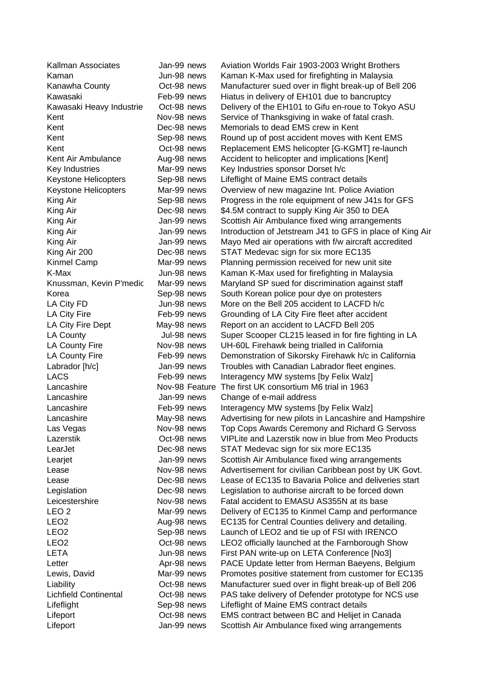| Kallman Associates           | Jan-99 news    | Aviation Worlds Fair 1903-2003 Wright Brothers            |
|------------------------------|----------------|-----------------------------------------------------------|
| Kaman                        | Jun-98 news    | Kaman K-Max used for firefighting in Malaysia             |
| Kanawha County               | Oct-98 news    | Manufacturer sued over in flight break-up of Bell 206     |
| Kawasaki                     | Feb-99 news    | Hiatus in delivery of EH101 due to bancruptcy             |
| Kawasaki Heavy Industrie     | Oct-98 news    | Delivery of the EH101 to Gifu en-roue to Tokyo ASU        |
| Kent                         | Nov-98 news    | Service of Thanksgiving in wake of fatal crash.           |
| Kent                         | Dec-98 news    | Memorials to dead EMS crew in Kent                        |
| Kent                         | Sep-98 news    | Round up of post accident moves with Kent EMS             |
| Kent                         | Oct-98 news    | Replacement EMS helicopter [G-KGMT] re-launch             |
| Kent Air Ambulance           | Aug-98 news    | Accident to helicopter and implications [Kent]            |
| Key Industries               | Mar-99 news    | Key Industries sponsor Dorset h/c                         |
| <b>Keystone Helicopters</b>  | Sep-98 news    | Lifeflight of Maine EMS contract details                  |
| Keystone Helicopters         | Mar-99 news    | Overview of new magazine Int. Police Aviation             |
| King Air                     | Sep-98 news    | Progress in the role equipment of new J41s for GFS        |
| King Air                     | Dec-98 news    | \$4.5M contract to supply King Air 350 to DEA             |
| King Air                     | Jan-99 news    | Scottish Air Ambulance fixed wing arrangements            |
| King Air                     | Jan-99 news    | Introduction of Jetstream J41 to GFS in place of King Air |
| King Air                     | Jan-99 news    | Mayo Med air operations with f/w aircraft accredited      |
| King Air 200                 | Dec-98 news    | STAT Medevac sign for six more EC135                      |
| Kinmel Camp                  | Mar-99 news    | Planning permission received for new unit site            |
| K-Max                        | Jun-98 news    | Kaman K-Max used for firefighting in Malaysia             |
| Knussman, Kevin P'medic      | Mar-99 news    | Maryland SP sued for discrimination against staff         |
| Korea                        | Sep-98 news    | South Korean police pour dye on protesters                |
| LA City FD                   | Jun-98 news    | More on the Bell 205 accident to LACFD h/c                |
| LA City Fire                 | Feb-99 news    | Grounding of LA City Fire fleet after accident            |
| LA City Fire Dept            | May-98 news    | Report on an accident to LACFD Bell 205                   |
| LA County                    | Jul-98 news    | Super Scooper CL215 leased in for fire fighting in LA     |
| LA County Fire               | Nov-98 news    | UH-60L Firehawk being trialled in California              |
| LA County Fire               | Feb-99 news    | Demonstration of Sikorsky Firehawk h/c in California      |
| Labrador [h/c]               | Jan-99 news    | Troubles with Canadian Labrador fleet engines.            |
| <b>LACS</b>                  | Feb-99 news    | Interagency MW systems [by Felix Walz]                    |
| Lancashire                   | Nov-98 Feature | The first UK consortium M6 trial in 1963                  |
| Lancashire                   | Jan-99 news    | Change of e-mail address                                  |
| Lancashire                   | Feb-99 news    | Interagency MW systems [by Felix Walz]                    |
| Lancashire                   | May-98 news    | Advertising for new pilots in Lancashire and Hampshire    |
| Las Vegas                    | Nov-98 news    | Top Cops Awards Ceremony and Richard G Servoss            |
| Lazerstik                    | Oct-98 news    | VIPLite and Lazerstik now in blue from Meo Products       |
| LearJet                      | Dec-98 news    | STAT Medevac sign for six more EC135                      |
| Learjet                      | Jan-99 news    | Scottish Air Ambulance fixed wing arrangements            |
| Lease                        | Nov-98 news    | Advertisement for civilian Caribbean post by UK Govt.     |
| Lease                        | Dec-98 news    | Lease of EC135 to Bavaria Police and deliveries start     |
| Legislation                  | Dec-98 news    | Legislation to authorise aircraft to be forced down       |
| Leicestershire               | Nov-98 news    | Fatal accident to EMASU AS355N at its base                |
| LEO <sub>2</sub>             | Mar-99 news    | Delivery of EC135 to Kinmel Camp and performance          |
| LEO <sub>2</sub>             | Aug-98 news    | EC135 for Central Counties delivery and detailing.        |
| LEO <sub>2</sub>             | Sep-98 news    | Launch of LEO2 and tie up of FSI with IRENCO              |
| LEO <sub>2</sub>             | Oct-98 news    | LEO2 officially launched at the Farnborough Show          |
| <b>LETA</b>                  | Jun-98 news    | First PAN write-up on LETA Conference [No3]               |
| Letter                       | Apr-98 news    | PACE Update letter from Herman Baeyens, Belgium           |
| Lewis, David                 | Mar-99 news    | Promotes positive statement from customer for EC135       |
| Liability                    | Oct-98 news    | Manufacturer sued over in flight break-up of Bell 206     |
| <b>Lichfield Continental</b> | Oct-98 news    | PAS take delivery of Defender prototype for NCS use       |
| Lifeflight                   | Sep-98 news    | Lifeflight of Maine EMS contract details                  |
| Lifeport                     | Oct-98 news    | EMS contract between BC and Helijet in Canada             |
| Lifeport                     | Jan-99 news    | Scottish Air Ambulance fixed wing arrangements            |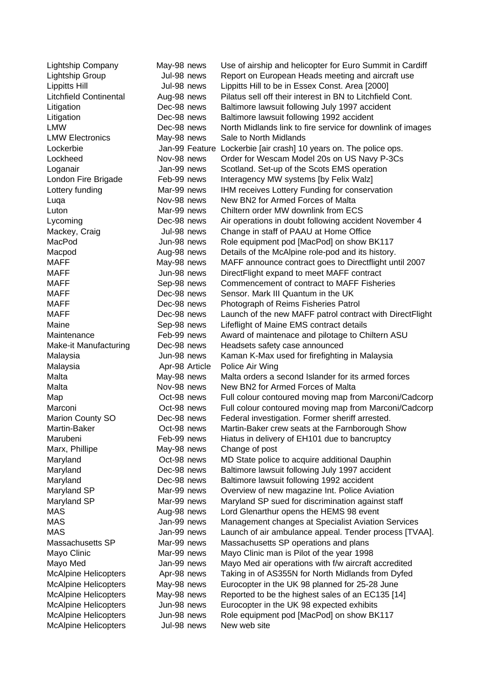| <b>Lightship Company</b>      | May-98 news    | Use of airship and helicopter for Euro Summit in Cardiff          |
|-------------------------------|----------------|-------------------------------------------------------------------|
| Lightship Group               | Jul-98 news    | Report on European Heads meeting and aircraft use                 |
| <b>Lippitts Hill</b>          | Jul-98 news    | Lippitts Hill to be in Essex Const. Area [2000]                   |
| <b>Litchfield Continental</b> | Aug-98 news    | Pilatus sell off their interest in BN to Litchfield Cont.         |
| Litigation                    | Dec-98 news    | Baltimore lawsuit following July 1997 accident                    |
| Litigation                    | Dec-98 news    | Baltimore lawsuit following 1992 accident                         |
| <b>LMW</b>                    | Dec-98 news    | North Midlands link to fire service for downlink of images        |
| <b>LMW Electronics</b>        | May-98 news    | Sale to North Midlands                                            |
| Lockerbie                     |                | Jan-99 Feature Lockerbie [air crash] 10 years on. The police ops. |
| Lockheed                      | Nov-98 news    | Order for Wescam Model 20s on US Navy P-3Cs                       |
| Loganair                      | Jan-99 news    | Scotland. Set-up of the Scots EMS operation                       |
| London Fire Brigade           | Feb-99 news    | Interagency MW systems [by Felix Walz]                            |
| Lottery funding               | Mar-99 news    | IHM receives Lottery Funding for conservation                     |
| Luqa                          | Nov-98 news    | New BN2 for Armed Forces of Malta                                 |
| Luton                         | Mar-99 news    | Chiltern order MW downlink from ECS                               |
| Lycoming                      | Dec-98 news    | Air operations in doubt following accident November 4             |
| Mackey, Craig                 | Jul-98 news    | Change in staff of PAAU at Home Office                            |
| MacPod                        | Jun-98 news    | Role equipment pod [MacPod] on show BK117                         |
| Macpod                        | Aug-98 news    | Details of the McAlpine role-pod and its history.                 |
| <b>MAFF</b>                   | May-98 news    | MAFF announce contract goes to Directflight until 2007            |
| <b>MAFF</b>                   | Jun-98 news    | DirectFlight expand to meet MAFF contract                         |
| <b>MAFF</b>                   | Sep-98 news    | Commencement of contract to MAFF Fisheries                        |
| <b>MAFF</b>                   | Dec-98 news    | Sensor. Mark III Quantum in the UK                                |
| <b>MAFF</b>                   | Dec-98 news    | Photograph of Reims Fisheries Patrol                              |
| <b>MAFF</b>                   | Dec-98 news    | Launch of the new MAFF patrol contract with DirectFlight          |
| Maine                         | Sep-98 news    | Lifeflight of Maine EMS contract details                          |
| Maintenance                   | Feb-99 news    | Award of maintenace and pilotage to Chiltern ASU                  |
| <b>Make-it Manufacturing</b>  | Dec-98 news    | Headsets safety case announced                                    |
| Malaysia                      | Jun-98 news    | Kaman K-Max used for firefighting in Malaysia                     |
| Malaysia                      | Apr-98 Article | Police Air Wing                                                   |
| Malta                         | May-98 news    | Malta orders a second Islander for its armed forces               |
| Malta                         | Nov-98 news    | New BN2 for Armed Forces of Malta                                 |
| Map                           | Oct-98 news    | Full colour contoured moving map from Marconi/Cadcorp             |
| Marconi                       | Oct-98 news    | Full colour contoured moving map from Marconi/Cadcorp             |
| <b>Marion County SO</b>       | Dec-98 news    | Federal investigation. Former sheriff arrested.                   |
| Martin-Baker                  | Oct-98 news    | Martin-Baker crew seats at the Farnborough Show                   |
| Marubeni                      | Feb-99 news    | Hiatus in delivery of EH101 due to bancruptcy                     |
| Marx, Phillipe                | May-98 news    | Change of post                                                    |
| Maryland                      | Oct-98 news    | MD State police to acquire additional Dauphin                     |
| Maryland                      | Dec-98 news    | Baltimore lawsuit following July 1997 accident                    |
| Maryland                      | Dec-98 news    | Baltimore lawsuit following 1992 accident                         |
| Maryland SP                   | Mar-99 news    | Overview of new magazine Int. Police Aviation                     |
| Maryland SP                   | Mar-99 news    | Maryland SP sued for discrimination against staff                 |
| <b>MAS</b>                    | Aug-98 news    | Lord Glenarthur opens the HEMS 98 event                           |
| <b>MAS</b>                    | Jan-99 news    | Management changes at Specialist Aviation Services                |
| <b>MAS</b>                    | Jan-99 news    | Launch of air ambulance appeal. Tender process [TVAA].            |
| Massachusetts SP              | Mar-99 news    | Massachusetts SP operations and plans                             |
| Mayo Clinic                   | Mar-99 news    | Mayo Clinic man is Pilot of the year 1998                         |
| Mayo Med                      | Jan-99 news    | Mayo Med air operations with f/w aircraft accredited              |
| <b>McAlpine Helicopters</b>   | Apr-98 news    | Taking in of AS355N for North Midlands from Dyfed                 |
| <b>McAlpine Helicopters</b>   | May-98 news    | Eurocopter in the UK 98 planned for 25-28 June                    |
| <b>McAlpine Helicopters</b>   | May-98 news    | Reported to be the highest sales of an EC135 [14]                 |
| <b>McAlpine Helicopters</b>   | Jun-98 news    | Eurocopter in the UK 98 expected exhibits                         |
| <b>McAlpine Helicopters</b>   | Jun-98 news    | Role equipment pod [MacPod] on show BK117                         |
| <b>McAlpine Helicopters</b>   | Jul-98 news    | New web site                                                      |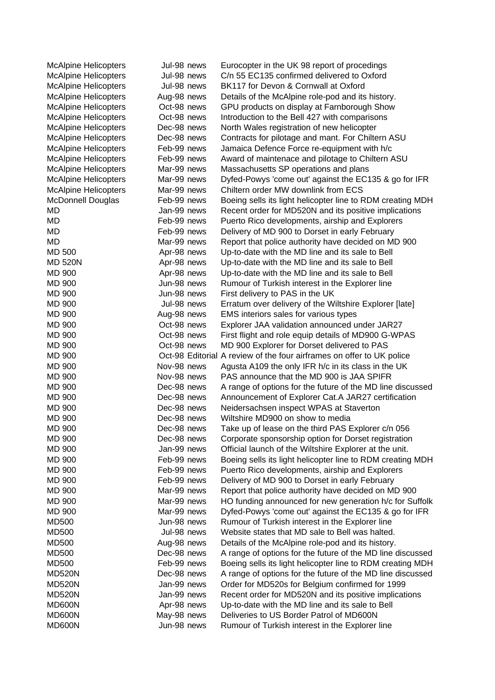| <b>McAlpine Helicopters</b> | Jul-98 news | Eurocopter in the UK 98 report of procedings                          |
|-----------------------------|-------------|-----------------------------------------------------------------------|
| <b>McAlpine Helicopters</b> | Jul-98 news | C/n 55 EC135 confirmed delivered to Oxford                            |
| <b>McAlpine Helicopters</b> | Jul-98 news | BK117 for Devon & Cornwall at Oxford                                  |
| <b>McAlpine Helicopters</b> | Aug-98 news | Details of the McAlpine role-pod and its history.                     |
| <b>McAlpine Helicopters</b> | Oct-98 news | GPU products on display at Farnborough Show                           |
| <b>McAlpine Helicopters</b> | Oct-98 news | Introduction to the Bell 427 with comparisons                         |
| <b>McAlpine Helicopters</b> | Dec-98 news | North Wales registration of new helicopter                            |
| <b>McAlpine Helicopters</b> | Dec-98 news | Contracts for pilotage and mant. For Chiltern ASU                     |
| <b>McAlpine Helicopters</b> | Feb-99 news | Jamaica Defence Force re-equipment with h/c                           |
| <b>McAlpine Helicopters</b> | Feb-99 news | Award of maintenace and pilotage to Chiltern ASU                      |
| <b>McAlpine Helicopters</b> | Mar-99 news | Massachusetts SP operations and plans                                 |
| <b>McAlpine Helicopters</b> | Mar-99 news | Dyfed-Powys 'come out' against the EC135 & go for IFR                 |
| <b>McAlpine Helicopters</b> | Mar-99 news | Chiltern order MW downlink from ECS                                   |
| <b>McDonnell Douglas</b>    | Feb-99 news | Boeing sells its light helicopter line to RDM creating MDH            |
| MD                          | Jan-99 news | Recent order for MD520N and its positive implications                 |
| MD                          | Feb-99 news | Puerto Rico developments, airship and Explorers                       |
| MD                          | Feb-99 news | Delivery of MD 900 to Dorset in early February                        |
| MD                          | Mar-99 news | Report that police authority have decided on MD 900                   |
| MD 500                      | Apr-98 news | Up-to-date with the MD line and its sale to Bell                      |
| <b>MD 520N</b>              | Apr-98 news | Up-to-date with the MD line and its sale to Bell                      |
| MD 900                      | Apr-98 news | Up-to-date with the MD line and its sale to Bell                      |
| MD 900                      | Jun-98 news | Rumour of Turkish interest in the Explorer line                       |
| <b>MD 900</b>               | Jun-98 news | First delivery to PAS in the UK                                       |
| MD 900                      | Jul-98 news | Erratum over delivery of the Wiltshire Explorer [late]                |
| MD 900                      | Aug-98 news | EMS interiors sales for various types                                 |
| MD 900                      | Oct-98 news | Explorer JAA validation announced under JAR27                         |
| MD 900                      | Oct-98 news | First flight and role equip details of MD900 G-WPAS                   |
| MD 900                      | Oct-98 news | MD 900 Explorer for Dorset delivered to PAS                           |
| MD 900                      |             | Oct-98 Editorial A review of the four airframes on offer to UK police |
| <b>MD 900</b>               | Nov-98 news | Agusta A109 the only IFR h/c in its class in the UK                   |
| MD 900                      | Nov-98 news | PAS announce that the MD 900 is JAA SPIFR                             |
| MD 900                      | Dec-98 news | A range of options for the future of the MD line discussed            |
| <b>MD 900</b>               | Dec-98 news | Announcement of Explorer Cat.A JAR27 certification                    |
| MD 900                      | Dec-98 news | Neidersachsen inspect WPAS at Staverton                               |
| MD 900                      | Dec-98 news | Wiltshire MD900 on show to media                                      |
| <b>MD 900</b>               | Dec-98 news | Take up of lease on the third PAS Explorer c/n 056                    |
| MD 900                      | Dec-98 news | Corporate sponsorship option for Dorset registration                  |
| <b>MD 900</b>               | Jan-99 news | Official launch of the Wiltshire Explorer at the unit.                |
| MD 900                      | Feb-99 news | Boeing sells its light helicopter line to RDM creating MDH            |
| MD 900                      | Feb-99 news | Puerto Rico developments, airship and Explorers                       |
| MD 900                      | Feb-99 news | Delivery of MD 900 to Dorset in early February                        |
| MD 900                      | Mar-99 news | Report that police authority have decided on MD 900                   |
| <b>MD 900</b>               | Mar-99 news | HO funding announced for new generation h/c for Suffolk               |
| <b>MD 900</b>               | Mar-99 news | Dyfed-Powys 'come out' against the EC135 & go for IFR                 |
| <b>MD500</b>                | Jun-98 news | Rumour of Turkish interest in the Explorer line                       |
| <b>MD500</b>                | Jul-98 news | Website states that MD sale to Bell was halted.                       |
| MD500                       | Aug-98 news | Details of the McAlpine role-pod and its history.                     |
| <b>MD500</b>                | Dec-98 news | A range of options for the future of the MD line discussed            |
| <b>MD500</b>                | Feb-99 news | Boeing sells its light helicopter line to RDM creating MDH            |
| <b>MD520N</b>               | Dec-98 news | A range of options for the future of the MD line discussed            |
| <b>MD520N</b>               | Jan-99 news | Order for MD520s for Belgium confirmed for 1999                       |
| <b>MD520N</b>               | Jan-99 news | Recent order for MD520N and its positive implications                 |
| MD600N                      | Apr-98 news | Up-to-date with the MD line and its sale to Bell                      |
| MD600N                      | May-98 news | Deliveries to US Border Patrol of MD600N                              |
| MD600N                      | Jun-98 news | Rumour of Turkish interest in the Explorer line                       |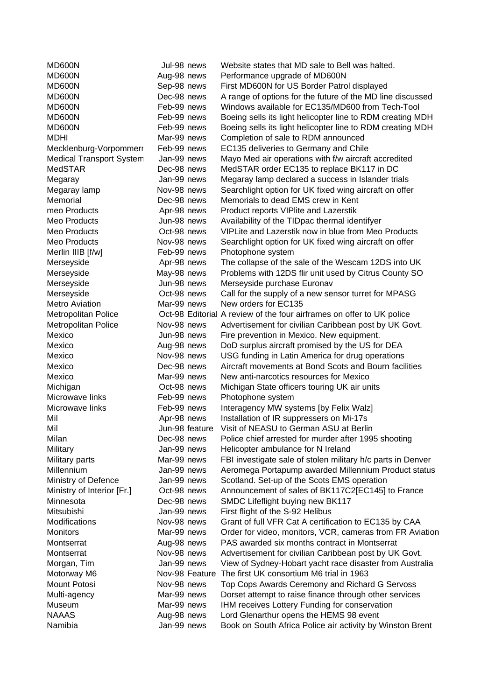| MD600N                          | Jul-98 news    | Website states that MD sale to Bell was halted.                       |
|---------------------------------|----------------|-----------------------------------------------------------------------|
| MD600N                          | Aug-98 news    | Performance upgrade of MD600N                                         |
| MD600N                          | Sep-98 news    | First MD600N for US Border Patrol displayed                           |
| MD600N                          | Dec-98 news    | A range of options for the future of the MD line discussed            |
| MD600N                          | Feb-99 news    | Windows available for EC135/MD600 from Tech-Tool                      |
| MD600N                          | Feb-99 news    | Boeing sells its light helicopter line to RDM creating MDH            |
| MD600N                          | Feb-99 news    | Boeing sells its light helicopter line to RDM creating MDH            |
| <b>MDHI</b>                     | Mar-99 news    | Completion of sale to RDM announced                                   |
| Mecklenburg-Vorpommerr          | Feb-99 news    | EC135 deliveries to Germany and Chile                                 |
| <b>Medical Transport System</b> | Jan-99 news    | Mayo Med air operations with f/w aircraft accredited                  |
| <b>MedSTAR</b>                  | Dec-98 news    | MedSTAR order EC135 to replace BK117 in DC                            |
| Megaray                         | Jan-99 news    | Megaray lamp declared a success in Islander trials                    |
| Megaray lamp                    | Nov-98 news    | Searchlight option for UK fixed wing aircraft on offer                |
| Memorial                        | Dec-98 news    | Memorials to dead EMS crew in Kent                                    |
| meo Products                    | Apr-98 news    | Product reports VIPlite and Lazerstik                                 |
| Meo Products                    | Jun-98 news    | Availability of the TIDpac thermal identifyer                         |
| Meo Products                    | Oct-98 news    | VIPLite and Lazerstik now in blue from Meo Products                   |
| Meo Products                    | Nov-98 news    | Searchlight option for UK fixed wing aircraft on offer                |
| Merlin IIIB [f/w]               | Feb-99 news    | Photophone system                                                     |
| Merseyside                      | Apr-98 news    | The collapse of the sale of the Wescam 12DS into UK                   |
| Merseyside                      | May-98 news    | Problems with 12DS flir unit used by Citrus County SO                 |
| Merseyside                      | Jun-98 news    | Merseyside purchase Euronav                                           |
| Merseyside                      | Oct-98 news    | Call for the supply of a new sensor turret for MPASG                  |
| <b>Metro Aviation</b>           | Mar-99 news    | New orders for EC135                                                  |
| <b>Metropolitan Police</b>      |                | Oct-98 Editorial A review of the four airframes on offer to UK police |
| <b>Metropolitan Police</b>      | Nov-98 news    | Advertisement for civilian Caribbean post by UK Govt.                 |
| Mexico                          | Jun-98 news    | Fire prevention in Mexico. New equipment.                             |
| Mexico                          | Aug-98 news    | DoD surplus aircraft promised by the US for DEA                       |
| Mexico                          | Nov-98 news    | USG funding in Latin America for drug operations                      |
| Mexico                          | Dec-98 news    | Aircraft movements at Bond Scots and Bourn facilities                 |
| Mexico                          | Mar-99 news    | New anti-narcotics resources for Mexico                               |
| Michigan                        | Oct-98 news    | Michigan State officers touring UK air units                          |
| Microwave links                 | Feb-99 news    | Photophone system                                                     |
| Microwave links                 | Feb-99 news    | Interagency MW systems [by Felix Walz]                                |
| Mil                             | Apr-98 news    | Installation of IR suppressers on Mi-17s                              |
| Mil                             | Jun-98 feature | Visit of NEASU to German ASU at Berlin                                |
|                                 |                |                                                                       |
| Milan                           | Dec-98 news    | Police chief arrested for murder after 1995 shooting                  |
| Military                        | Jan-99 news    | Helicopter ambulance for N Ireland                                    |
| Military parts                  | Mar-99 news    | FBI investigate sale of stolen military h/c parts in Denver           |
| Millennium                      | Jan-99 news    | Aeromega Portapump awarded Millennium Product status                  |
| Ministry of Defence             | Jan-99 news    | Scotland. Set-up of the Scots EMS operation                           |
| Ministry of Interior [Fr.]      | Oct-98 news    | Announcement of sales of BK117C2[EC145] to France                     |
| Minnesota                       | Dec-98 news    | SMDC Lifeflight buying new BK117                                      |
| Mitsubishi                      | Jan-99 news    | First flight of the S-92 Helibus                                      |
| Modifications                   | Nov-98 news    | Grant of full VFR Cat A certification to EC135 by CAA                 |
| <b>Monitors</b>                 | Mar-99 news    | Order for video, monitors, VCR, cameras from FR Aviation              |
| Montserrat                      | Aug-98 news    | PAS awarded six months contract in Montserrat                         |
| Montserrat                      | Nov-98 news    | Advertisement for civilian Caribbean post by UK Govt.                 |
| Morgan, Tim                     | Jan-99 news    | View of Sydney-Hobart yacht race disaster from Australia              |
| Motorway M6                     |                | Nov-98 Feature The first UK consortium M6 trial in 1963               |
| Mount Potosi                    | Nov-98 news    | Top Cops Awards Ceremony and Richard G Servoss                        |
| Multi-agency                    | Mar-99 news    | Dorset attempt to raise finance through other services                |
| Museum                          | Mar-99 news    | IHM receives Lottery Funding for conservation                         |
| <b>NAAAS</b>                    | Aug-98 news    | Lord Glenarthur opens the HEMS 98 event                               |
| Namibia                         | Jan-99 news    | Book on South Africa Police air activity by Winston Brent             |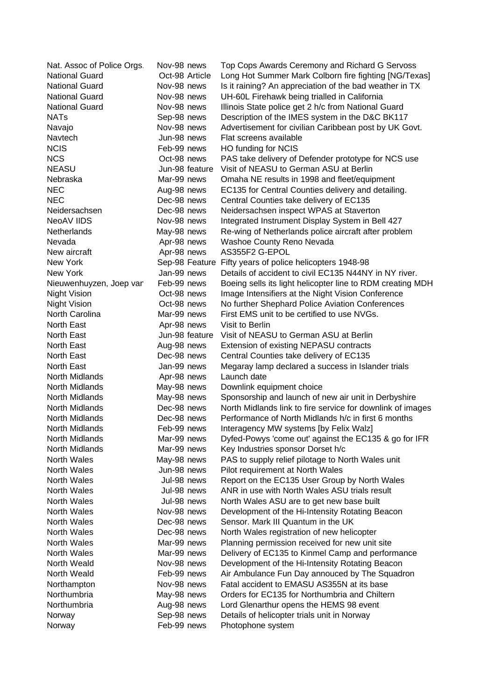| Nat. Assoc of Police Orgs. | Nov-98 news    | Top Cops Awards Ceremony and Richard G Servoss             |
|----------------------------|----------------|------------------------------------------------------------|
| <b>National Guard</b>      | Oct-98 Article | Long Hot Summer Mark Colborn fire fighting [NG/Texas]      |
| <b>National Guard</b>      | Nov-98 news    | Is it raining? An appreciation of the bad weather in TX    |
| <b>National Guard</b>      | Nov-98 news    | UH-60L Firehawk being trialled in California               |
| <b>National Guard</b>      | Nov-98 news    | Illinois State police get 2 h/c from National Guard        |
| <b>NATs</b>                | Sep-98 news    | Description of the IMES system in the D&C BK117            |
| Navajo                     | Nov-98 news    | Advertisement for civilian Caribbean post by UK Govt.      |
| Navtech                    | Jun-98 news    | Flat screens available                                     |
| <b>NCIS</b>                | Feb-99 news    | HO funding for NCIS                                        |
| <b>NCS</b>                 | Oct-98 news    | PAS take delivery of Defender prototype for NCS use        |
| <b>NEASU</b>               | Jun-98 feature | Visit of NEASU to German ASU at Berlin                     |
| Nebraska                   | Mar-99 news    | Omaha NE results in 1998 and fleet/equipment               |
| <b>NEC</b>                 | Aug-98 news    | EC135 for Central Counties delivery and detailing.         |
| <b>NEC</b>                 | Dec-98 news    | Central Counties take delivery of EC135                    |
| Neidersachsen              | Dec-98 news    | Neidersachsen inspect WPAS at Staverton                    |
| NeoAV IIDS                 | Nov-98 news    | Integrated Instrument Display System in Bell 427           |
| Netherlands                | May-98 news    | Re-wing of Netherlands police aircraft after problem       |
| Nevada                     | Apr-98 news    | Washoe County Reno Nevada                                  |
| New aircraft               | Apr-98 news    | AS355F2 G-EPOL                                             |
| New York                   | Sep-98 Feature | Fifty years of police helicopters 1948-98                  |
| New York                   | Jan-99 news    | Details of accident to civil EC135 N44NY in NY river.      |
| Nieuwenhuyzen, Joep van    | Feb-99 news    | Boeing sells its light helicopter line to RDM creating MDH |
| <b>Night Vision</b>        | Oct-98 news    | Image Intensifiers at the Night Vision Conference          |
| <b>Night Vision</b>        | Oct-98 news    | No further Shephard Police Aviation Conferences            |
| North Carolina             | Mar-99 news    | First EMS unit to be certified to use NVGs.                |
| North East                 | Apr-98 news    | Visit to Berlin                                            |
| North East                 | Jun-98 feature | Visit of NEASU to German ASU at Berlin                     |
| North East                 | Aug-98 news    | Extension of existing NEPASU contracts                     |
| North East                 | Dec-98 news    | Central Counties take delivery of EC135                    |
| North East                 | Jan-99 news    | Megaray lamp declared a success in Islander trials         |
| North Midlands             | Apr-98 news    | Launch date                                                |
| North Midlands             | May-98 news    | Downlink equipment choice                                  |
| North Midlands             | May-98 news    | Sponsorship and launch of new air unit in Derbyshire       |
| North Midlands             | Dec-98 news    | North Midlands link to fire service for downlink of images |
| North Midlands             | Dec-98 news    | Performance of North Midlands h/c in first 6 months        |
| North Midlands             | Feb-99 news    | Interagency MW systems [by Felix Walz]                     |
| <b>North Midlands</b>      | Mar-99 news    | Dyfed-Powys 'come out' against the EC135 & go for IFR      |
| North Midlands             | Mar-99 news    | Key Industries sponsor Dorset h/c                          |
| North Wales                | May-98 news    | PAS to supply relief pilotage to North Wales unit          |
| North Wales                | Jun-98 news    | Pilot requirement at North Wales                           |
| <b>North Wales</b>         | Jul-98 news    | Report on the EC135 User Group by North Wales              |
| North Wales                | Jul-98 news    | ANR in use with North Wales ASU trials result              |
| <b>North Wales</b>         | Jul-98 news    | North Wales ASU are to get new base built                  |
| <b>North Wales</b>         | Nov-98 news    | Development of the Hi-Intensity Rotating Beacon            |
| <b>North Wales</b>         | Dec-98 news    | Sensor. Mark III Quantum in the UK                         |
| North Wales                | Dec-98 news    | North Wales registration of new helicopter                 |
| North Wales                | Mar-99 news    | Planning permission received for new unit site             |
| <b>North Wales</b>         | Mar-99 news    | Delivery of EC135 to Kinmel Camp and performance           |
| North Weald                | Nov-98 news    | Development of the Hi-Intensity Rotating Beacon            |
| North Weald                | Feb-99 news    | Air Ambulance Fun Day annouced by The Squadron             |
| Northampton                | Nov-98 news    | Fatal accident to EMASU AS355N at its base                 |
| Northumbria                | May-98 news    | Orders for EC135 for Northumbria and Chiltern              |
| Northumbria                | Aug-98 news    | Lord Glenarthur opens the HEMS 98 event                    |
| Norway                     | Sep-98 news    | Details of helicopter trials unit in Norway                |
| Norway                     | Feb-99 news    | Photophone system                                          |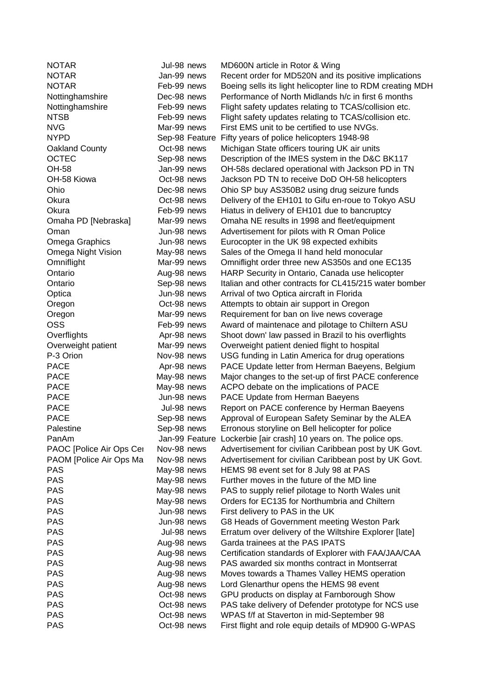NOTAR Jul-98 news MD600N article in Rotor & Wing NOTAR Jan-99 news Recent order for MD520N and its positive implications NOTAR Feb-99 news Boeing sells its light helicopter line to RDM creating MDH Nottinghamshire Dec-98 news Performance of North Midlands h/c in first 6 months Nottinghamshire Feb-99 news Flight safety updates relating to TCAS/collision etc. NTSB Feb-99 news Flight safety updates relating to TCAS/collision etc. NVG Mar-99 news First EMS unit to be certified to use NVGs. NYPD Sep-98 Feature Fifty years of police helicopters 1948-98 Oakland County Oct-98 news Michigan State officers touring UK air units OCTEC Sep-98 news Description of the IMES system in the D&C BK117 OH-58 Jan-99 news OH-58s declared operational with Jackson PD in TN OH-58 Kiowa Oct-98 news Jackson PD TN to receive DoD OH-58 helicopters Ohio Dec-98 news Ohio SP buy AS350B2 using drug seizure funds Okura Oct-98 news Delivery of the EH101 to Gifu en-roue to Tokyo ASU Okura Feb-99 news Hiatus in delivery of EH101 due to bancruptcy Omaha PD [Nebraska] Mar-99 news Omaha NE results in 1998 and fleet/equipment Oman Jun-98 news Advertisement for pilots with R Oman Police Omega Graphics Jun-98 news Eurocopter in the UK 98 expected exhibits Omega Night Vision May-98 news Sales of the Omega II hand held monocular Omniflight Mar-99 news Omniflight order three new AS350s and one EC135 Ontario Aug-98 news HARP Security in Ontario, Canada use helicopter Ontario Sep-98 news Italian and other contracts for CL415/215 water bomber Optica Jun-98 news Arrival of two Optica aircraft in Florida Oregon Oct-98 news Attempts to obtain air support in Oregon Oregon Mar-99 news Requirement for ban on live news coverage OSS Feb-99 news Award of maintenace and pilotage to Chiltern ASU Overflights Apr-98 news Shoot down' law passed in Brazil to his overflights Overweight patient Mar-99 news Overweight patient denied flight to hospital P-3 Orion Nov-98 news USG funding in Latin America for drug operations PACE **Apr-98 news** PACE Update letter from Herman Baeyens, Belgium PACE May-98 news Major changes to the set-up of first PACE conference PACE May-98 news ACPO debate on the implications of PACE PACE **Interest PACE** Update from Herman Baeyens PACE **Fig. 3** Jul-98 news Report on PACE conference by Herman Baeyens PACE Sep-98 news Approval of European Safety Seminar by the ALEA Palestine Sep-98 news Erronous storyline on Bell helicopter for police PanAm Jan-99 Feature Lockerbie [air crash] 10 years on. The police ops. PAOC [Police Air Ops Cer Nov-98 news Advertisement for civilian Caribbean post by UK Govt. PAOM [Police Air Ops Mand Nov-98 news Advertisement for civilian Caribbean post by UK Govt. PAS May-98 news HEMS 98 event set for 8 July 98 at PAS PAS May-98 news Further moves in the future of the MD line PAS May-98 news PAS to supply relief pilotage to North Wales unit PAS May-98 news Orders for EC135 for Northumbria and Chiltern PAS Jun-98 news First delivery to PAS in the UK PAS **IVELGE 198 100 MILLET 100 MILLET 100 MILLET 100 MILLET 100 MILLET 100 MILLET 100 MILLET 100 MILLET 100 MI** PAS **IVAL-98 news** Erratum over delivery of the Wiltshire Explorer [late] PAS PAS Aug-98 news Garda trainees at the PAS IPATS PAS Aug-98 news Certification standards of Explorer with FAA/JAA/CAA PAS Aug-98 news PAS awarded six months contract in Montserrat PAS **Aug-98 news** Moves towards a Thames Valley HEMS operation PAS **Aug-98 news** Lord Glenarthur opens the HEMS 98 event PAS Oct-98 news GPU products on display at Farnborough Show PAS PAS Det-98 news PAS take delivery of Defender prototype for NCS use PAS Oct-98 news WPAS f/f at Staverton in mid-September 98 PAS Oct-98 news First flight and role equip details of MD900 G-WPAS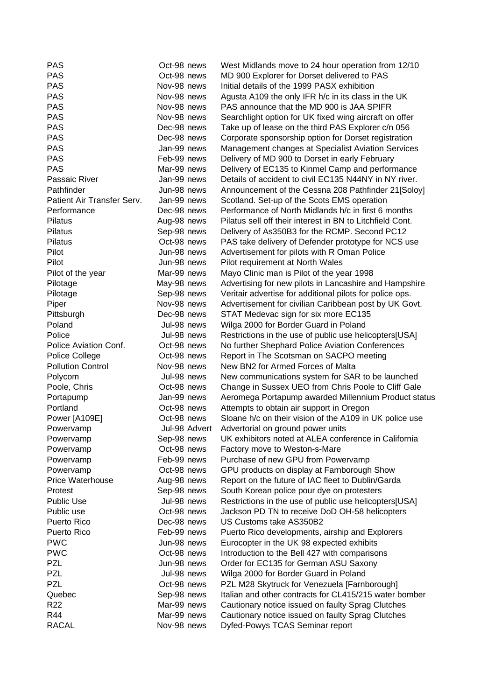| <b>PAS</b>                 | Oct-98 news   | West Midlands move to 24 hour operation from 12/10        |
|----------------------------|---------------|-----------------------------------------------------------|
| <b>PAS</b>                 | Oct-98 news   | MD 900 Explorer for Dorset delivered to PAS               |
| <b>PAS</b>                 | Nov-98 news   | Initial details of the 1999 PASX exhibition               |
| <b>PAS</b>                 | Nov-98 news   | Agusta A109 the only IFR h/c in its class in the UK       |
| <b>PAS</b>                 | Nov-98 news   | PAS announce that the MD 900 is JAA SPIFR                 |
| <b>PAS</b>                 | Nov-98 news   | Searchlight option for UK fixed wing aircraft on offer    |
| <b>PAS</b>                 | Dec-98 news   | Take up of lease on the third PAS Explorer c/n 056        |
| <b>PAS</b>                 | Dec-98 news   | Corporate sponsorship option for Dorset registration      |
| <b>PAS</b>                 | Jan-99 news   | Management changes at Specialist Aviation Services        |
| <b>PAS</b>                 | Feb-99 news   | Delivery of MD 900 to Dorset in early February            |
| <b>PAS</b>                 | Mar-99 news   | Delivery of EC135 to Kinmel Camp and performance          |
| Passaic River              | Jan-99 news   | Details of accident to civil EC135 N44NY in NY river.     |
| Pathfinder                 | Jun-98 news   | Announcement of the Cessna 208 Pathfinder 21[Soloy]       |
| Patient Air Transfer Serv. | Jan-99 news   | Scotland. Set-up of the Scots EMS operation               |
| Performance                | Dec-98 news   | Performance of North Midlands h/c in first 6 months       |
| Pilatus                    | Aug-98 news   | Pilatus sell off their interest in BN to Litchfield Cont. |
| Pilatus                    | Sep-98 news   | Delivery of As350B3 for the RCMP. Second PC12             |
| Pilatus                    | Oct-98 news   | PAS take delivery of Defender prototype for NCS use       |
| Pilot                      | Jun-98 news   | Advertisement for pilots with R Oman Police               |
| Pilot                      | Jun-98 news   | Pilot requirement at North Wales                          |
| Pilot of the year          | Mar-99 news   | Mayo Clinic man is Pilot of the year 1998                 |
| Pilotage                   | May-98 news   | Advertising for new pilots in Lancashire and Hampshire    |
| Pilotage                   | Sep-98 news   | Veritair advertise for additional pilots for police ops.  |
| Piper                      | Nov-98 news   | Advertisement for civilian Caribbean post by UK Govt.     |
| Pittsburgh                 | Dec-98 news   | STAT Medevac sign for six more EC135                      |
| Poland                     | Jul-98 news   | Wilga 2000 for Border Guard in Poland                     |
| Police                     | Jul-98 news   | Restrictions in the use of public use helicopters[USA]    |
| Police Aviation Conf.      | Oct-98 news   | No further Shephard Police Aviation Conferences           |
| Police College             | Oct-98 news   | Report in The Scotsman on SACPO meeting                   |
| <b>Pollution Control</b>   | Nov-98 news   | New BN2 for Armed Forces of Malta                         |
| Polycom                    | Jul-98 news   | New communications system for SAR to be launched          |
| Poole, Chris               | Oct-98 news   | Change in Sussex UEO from Chris Poole to Cliff Gale       |
| Portapump                  | Jan-99 news   | Aeromega Portapump awarded Millennium Product status      |
| Portland                   | Oct-98 news   | Attempts to obtain air support in Oregon                  |
| Power [A109E]              | Oct-98 news   | Sloane h/c on their vision of the A109 in UK police use   |
| Powervamp                  | Jul-98 Advert | Advertorial on ground power units                         |
| Powervamp                  | Sep-98 news   | UK exhibitors noted at ALEA conference in California      |
| Powervamp                  | Oct-98 news   | Factory move to Weston-s-Mare                             |
| Powervamp                  | Feb-99 news   | Purchase of new GPU from Powervamp                        |
| Powervamp                  | Oct-98 news   | GPU products on display at Farnborough Show               |
| <b>Price Waterhouse</b>    | Aug-98 news   | Report on the future of IAC fleet to Dublin/Garda         |
| Protest                    | Sep-98 news   | South Korean police pour dye on protesters                |
| <b>Public Use</b>          | Jul-98 news   | Restrictions in the use of public use helicopters[USA]    |
| Public use                 | Oct-98 news   | Jackson PD TN to receive DoD OH-58 helicopters            |
| Puerto Rico                | Dec-98 news   | US Customs take AS350B2                                   |
| Puerto Rico                | Feb-99 news   | Puerto Rico developments, airship and Explorers           |
| <b>PWC</b>                 | Jun-98 news   | Eurocopter in the UK 98 expected exhibits                 |
| <b>PWC</b>                 | Oct-98 news   | Introduction to the Bell 427 with comparisons             |
| <b>PZL</b>                 | Jun-98 news   | Order for EC135 for German ASU Saxony                     |
| <b>PZL</b>                 | Jul-98 news   | Wilga 2000 for Border Guard in Poland                     |
| <b>PZL</b>                 | Oct-98 news   | PZL M28 Skytruck for Venezuela [Farnborough]              |
| Quebec                     | Sep-98 news   | Italian and other contracts for CL415/215 water bomber    |
| R <sub>22</sub>            | Mar-99 news   | Cautionary notice issued on faulty Sprag Clutches         |
| R44                        | Mar-99 news   | Cautionary notice issued on faulty Sprag Clutches         |
| <b>RACAL</b>               | Nov-98 news   | Dyfed-Powys TCAS Seminar report                           |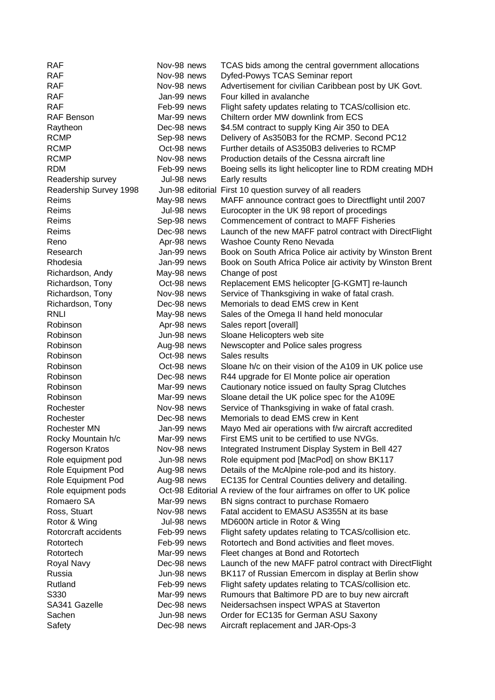| <b>RAF</b>             | Nov-98 news      | TCAS bids among the central government allocations                    |
|------------------------|------------------|-----------------------------------------------------------------------|
| <b>RAF</b>             | Nov-98 news      | Dyfed-Powys TCAS Seminar report                                       |
| <b>RAF</b>             | Nov-98 news      | Advertisement for civilian Caribbean post by UK Govt.                 |
| <b>RAF</b>             | Jan-99 news      | Four killed in avalanche                                              |
| <b>RAF</b>             | Feb-99 news      | Flight safety updates relating to TCAS/collision etc.                 |
| RAF Benson             | Mar-99 news      | Chiltern order MW downlink from ECS                                   |
| Raytheon               | Dec-98 news      | \$4.5M contract to supply King Air 350 to DEA                         |
| <b>RCMP</b>            | Sep-98 news      | Delivery of As350B3 for the RCMP. Second PC12                         |
| <b>RCMP</b>            | Oct-98 news      | Further details of AS350B3 deliveries to RCMP                         |
| <b>RCMP</b>            | Nov-98 news      | Production details of the Cessna aircraft line                        |
| <b>RDM</b>             | Feb-99 news      | Boeing sells its light helicopter line to RDM creating MDH            |
| Readership survey      | Jul-98 news      | Early results                                                         |
| Readership Survey 1998 | Jun-98 editorial | First 10 question survey of all readers                               |
| Reims                  | May-98 news      | MAFF announce contract goes to Directflight until 2007                |
| Reims                  | Jul-98 news      | Eurocopter in the UK 98 report of procedings                          |
| Reims                  | Sep-98 news      | Commencement of contract to MAFF Fisheries                            |
| Reims                  | Dec-98 news      | Launch of the new MAFF patrol contract with DirectFlight              |
| Reno                   | Apr-98 news      | Washoe County Reno Nevada                                             |
| Research               | Jan-99 news      | Book on South Africa Police air activity by Winston Brent             |
| Rhodesia               | Jan-99 news      | Book on South Africa Police air activity by Winston Brent             |
| Richardson, Andy       | May-98 news      | Change of post                                                        |
| Richardson, Tony       | Oct-98 news      | Replacement EMS helicopter [G-KGMT] re-launch                         |
| Richardson, Tony       | Nov-98 news      | Service of Thanksgiving in wake of fatal crash.                       |
| Richardson, Tony       | Dec-98 news      | Memorials to dead EMS crew in Kent                                    |
| <b>RNLI</b>            | May-98 news      | Sales of the Omega II hand held monocular                             |
| Robinson               | Apr-98 news      | Sales report [overall]                                                |
| Robinson               | Jun-98 news      | Sloane Helicopters web site                                           |
| Robinson               | Aug-98 news      | Newscopter and Police sales progress                                  |
| Robinson               | Oct-98 news      | Sales results                                                         |
| Robinson               | Oct-98 news      | Sloane h/c on their vision of the A109 in UK police use               |
| Robinson               | Dec-98 news      | R44 upgrade for El Monte police air operation                         |
| Robinson               | Mar-99 news      | Cautionary notice issued on faulty Sprag Clutches                     |
| Robinson               | Mar-99 news      | Sloane detail the UK police spec for the A109E                        |
| Rochester              | Nov-98 news      | Service of Thanksgiving in wake of fatal crash.                       |
| Rochester              | Dec-98 news      | Memorials to dead EMS crew in Kent                                    |
| Rochester MN           | Jan-99 news      | Mayo Med air operations with f/w aircraft accredited                  |
| Rocky Mountain h/c     | Mar-99 news      | First EMS unit to be certified to use NVGs.                           |
| Rogerson Kratos        | Nov-98 news      | Integrated Instrument Display System in Bell 427                      |
| Role equipment pod     | Jun-98 news      | Role equipment pod [MacPod] on show BK117                             |
| Role Equipment Pod     | Aug-98 news      | Details of the McAlpine role-pod and its history.                     |
| Role Equipment Pod     | Aug-98 news      | EC135 for Central Counties delivery and detailing.                    |
| Role equipment pods    |                  | Oct-98 Editorial A review of the four airframes on offer to UK police |
| Romaero SA             | Mar-99 news      | BN signs contract to purchase Romaero                                 |
| Ross, Stuart           | Nov-98 news      | Fatal accident to EMASU AS355N at its base                            |
| Rotor & Wing           | Jul-98 news      | MD600N article in Rotor & Wing                                        |
| Rotorcraft accidents   | Feb-99 news      | Flight safety updates relating to TCAS/collision etc.                 |
| Rotortech              | Feb-99 news      | Rotortech and Bond activities and fleet moves.                        |
| Rotortech              | Mar-99 news      |                                                                       |
|                        | Dec-98 news      | Fleet changes at Bond and Rotortech                                   |
| Royal Navy<br>Russia   | Jun-98 news      | Launch of the new MAFF patrol contract with DirectFlight              |
|                        |                  | BK117 of Russian Emercom in display at Berlin show                    |
| Rutland                | Feb-99 news      | Flight safety updates relating to TCAS/collision etc.                 |
| S330                   | Mar-99 news      | Rumours that Baltimore PD are to buy new aircraft                     |
| SA341 Gazelle          | Dec-98 news      | Neidersachsen inspect WPAS at Staverton                               |
| Sachen                 | Jun-98 news      | Order for EC135 for German ASU Saxony                                 |
| Safety                 | Dec-98 news      | Aircraft replacement and JAR-Ops-3                                    |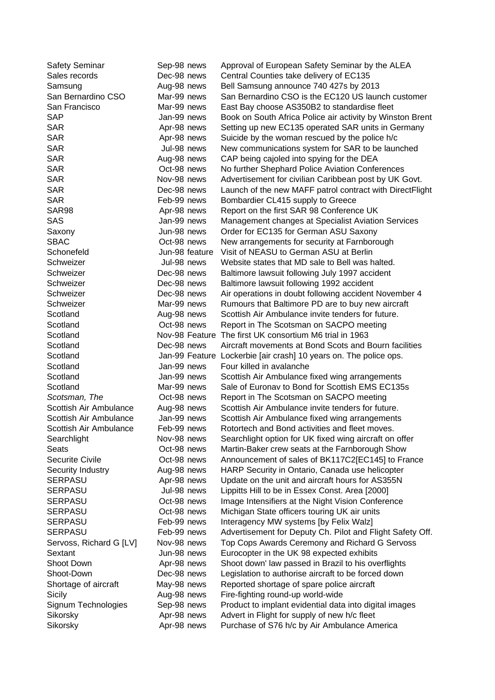| <b>Safety Seminar</b>   | Sep-98 news    | Approval of European Safety Seminar by the ALEA                                                      |
|-------------------------|----------------|------------------------------------------------------------------------------------------------------|
| Sales records           | Dec-98 news    | Central Counties take delivery of EC135                                                              |
| Samsung                 | Aug-98 news    | Bell Samsung announce 740 427s by 2013                                                               |
| San Bernardino CSO      | Mar-99 news    | San Bernardino CSO is the EC120 US launch customer                                                   |
| San Francisco           | Mar-99 news    | East Bay choose AS350B2 to standardise fleet                                                         |
| <b>SAP</b>              | Jan-99 news    | Book on South Africa Police air activity by Winston Brent                                            |
| <b>SAR</b>              | Apr-98 news    | Setting up new EC135 operated SAR units in Germany                                                   |
| <b>SAR</b>              | Apr-98 news    | Suicide by the woman rescued by the police h/c                                                       |
| <b>SAR</b>              | Jul-98 news    | New communications system for SAR to be launched                                                     |
| <b>SAR</b>              | Aug-98 news    | CAP being cajoled into spying for the DEA                                                            |
| <b>SAR</b>              | Oct-98 news    | No further Shephard Police Aviation Conferences                                                      |
| <b>SAR</b>              | Nov-98 news    | Advertisement for civilian Caribbean post by UK Govt.                                                |
| <b>SAR</b>              | Dec-98 news    | Launch of the new MAFF patrol contract with DirectFlight                                             |
| <b>SAR</b>              | Feb-99 news    | Bombardier CL415 supply to Greece                                                                    |
| SAR98                   | Apr-98 news    | Report on the first SAR 98 Conference UK                                                             |
| <b>SAS</b>              | Jan-99 news    | Management changes at Specialist Aviation Services                                                   |
| Saxony                  | Jun-98 news    | Order for EC135 for German ASU Saxony                                                                |
| <b>SBAC</b>             | Oct-98 news    | New arrangements for security at Farnborough                                                         |
| Schonefeld              | Jun-98 feature | Visit of NEASU to German ASU at Berlin                                                               |
| Schweizer               | Jul-98 news    | Website states that MD sale to Bell was halted.                                                      |
| Schweizer               | Dec-98 news    | Baltimore lawsuit following July 1997 accident                                                       |
| Schweizer               | Dec-98 news    | Baltimore lawsuit following 1992 accident                                                            |
| Schweizer               | Dec-98 news    | Air operations in doubt following accident November 4                                                |
| Schweizer               | Mar-99 news    | Rumours that Baltimore PD are to buy new aircraft                                                    |
| Scotland                | Aug-98 news    | Scottish Air Ambulance invite tenders for future.                                                    |
| Scotland                | Oct-98 news    | Report in The Scotsman on SACPO meeting                                                              |
| Scotland                | Nov-98 Feature | The first UK consortium M6 trial in 1963                                                             |
| Scotland                | Dec-98 news    | Aircraft movements at Bond Scots and Bourn facilities                                                |
| Scotland                |                | Jan-99 Feature Lockerbie [air crash] 10 years on. The police ops.                                    |
| Scotland                | Jan-99 news    | Four killed in avalanche                                                                             |
| Scotland                | Jan-99 news    | Scottish Air Ambulance fixed wing arrangements                                                       |
| Scotland                | Mar-99 news    | Sale of Euronav to Bond for Scottish EMS EC135s                                                      |
| Scotsman, The           | Oct-98 news    | Report in The Scotsman on SACPO meeting                                                              |
| Scottish Air Ambulance  | Aug-98 news    | Scottish Air Ambulance invite tenders for future.                                                    |
| Scottish Air Ambulance  | Jan-99 news    | Scottish Air Ambulance fixed wing arrangements                                                       |
| Scottish Air Ambulance  | Feb-99 news    | Rotortech and Bond activities and fleet moves.                                                       |
| Searchlight             | Nov-98 news    | Searchlight option for UK fixed wing aircraft on offer                                               |
| <b>Seats</b>            | Oct-98 news    | Martin-Baker crew seats at the Farnborough Show                                                      |
| <b>Securite Civile</b>  | Oct-98 news    | Announcement of sales of BK117C2[EC145] to France                                                    |
| Security Industry       | Aug-98 news    | HARP Security in Ontario, Canada use helicopter                                                      |
| <b>SERPASU</b>          | Apr-98 news    | Update on the unit and aircraft hours for AS355N                                                     |
| <b>SERPASU</b>          | Jul-98 news    |                                                                                                      |
| <b>SERPASU</b>          | Oct-98 news    | Lippitts Hill to be in Essex Const. Area [2000]<br>Image Intensifiers at the Night Vision Conference |
| <b>SERPASU</b>          | Oct-98 news    | Michigan State officers touring UK air units                                                         |
| SERPASU                 | Feb-99 news    | Interagency MW systems [by Felix Walz]                                                               |
| <b>SERPASU</b>          | Feb-99 news    | Advertisement for Deputy Ch. Pilot and Flight Safety Off.                                            |
|                         | Nov-98 news    |                                                                                                      |
| Servoss, Richard G [LV] |                | Top Cops Awards Ceremony and Richard G Servoss                                                       |
| Sextant                 | Jun-98 news    | Eurocopter in the UK 98 expected exhibits                                                            |
| Shoot Down              | Apr-98 news    | Shoot down' law passed in Brazil to his overflights                                                  |
| Shoot-Down              | Dec-98 news    | Legislation to authorise aircraft to be forced down                                                  |
| Shortage of aircraft    | May-98 news    | Reported shortage of spare police aircraft                                                           |
| Sicily                  | Aug-98 news    | Fire-fighting round-up world-wide                                                                    |
| Signum Technologies     | Sep-98 news    | Product to implant evidential data into digital images                                               |
| Sikorsky                | Apr-98 news    | Advert in Flight for supply of new h/c fleet                                                         |
| Sikorsky                | Apr-98 news    | Purchase of S76 h/c by Air Ambulance America                                                         |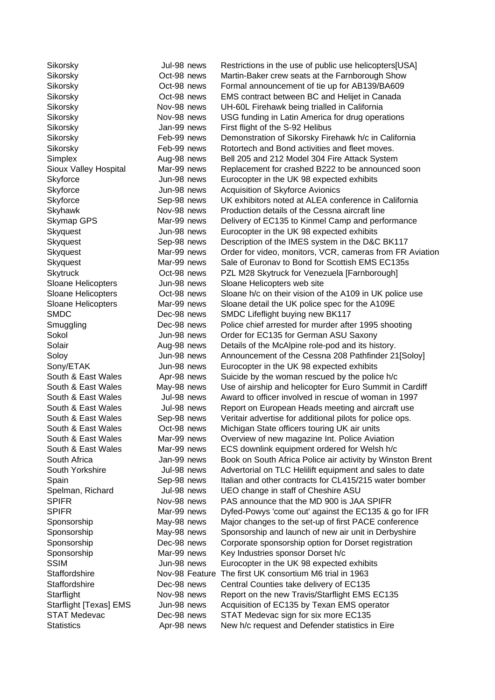| Sikorsky                  | Jul-98 news    | Restrictions in the use of public use helicopters[USA]    |
|---------------------------|----------------|-----------------------------------------------------------|
| Sikorsky                  | Oct-98 news    | Martin-Baker crew seats at the Farnborough Show           |
| Sikorsky                  | Oct-98 news    | Formal announcement of tie up for AB139/BA609             |
| Sikorsky                  | Oct-98 news    | EMS contract between BC and Helijet in Canada             |
| Sikorsky                  | Nov-98 news    | UH-60L Firehawk being trialled in California              |
| Sikorsky                  | Nov-98 news    | USG funding in Latin America for drug operations          |
| Sikorsky                  | Jan-99 news    | First flight of the S-92 Helibus                          |
| Sikorsky                  | Feb-99 news    | Demonstration of Sikorsky Firehawk h/c in California      |
| Sikorsky                  | Feb-99 news    | Rotortech and Bond activities and fleet moves.            |
| Simplex                   | Aug-98 news    | Bell 205 and 212 Model 304 Fire Attack System             |
| Sioux Valley Hospital     | Mar-99 news    | Replacement for crashed B222 to be announced soon         |
| Skyforce                  | Jun-98 news    | Eurocopter in the UK 98 expected exhibits                 |
| Skyforce                  | Jun-98 news    | Acquisition of Skyforce Avionics                          |
| Skyforce                  | Sep-98 news    | UK exhibitors noted at ALEA conference in California      |
| Skyhawk                   | Nov-98 news    | Production details of the Cessna aircraft line            |
| Skymap GPS                | Mar-99 news    | Delivery of EC135 to Kinmel Camp and performance          |
| Skyquest                  | Jun-98 news    | Eurocopter in the UK 98 expected exhibits                 |
| Skyquest                  | Sep-98 news    | Description of the IMES system in the D&C BK117           |
| Skyquest                  | Mar-99 news    | Order for video, monitors, VCR, cameras from FR Aviation  |
| Skyquest                  | Mar-99 news    | Sale of Euronav to Bond for Scottish EMS EC135s           |
| <b>Skytruck</b>           | Oct-98 news    | PZL M28 Skytruck for Venezuela [Farnborough]              |
| <b>Sloane Helicopters</b> | Jun-98 news    | Sloane Helicopters web site                               |
| Sloane Helicopters        | Oct-98 news    | Sloane h/c on their vision of the A109 in UK police use   |
| Sloane Helicopters        | Mar-99 news    | Sloane detail the UK police spec for the A109E            |
| <b>SMDC</b>               | Dec-98 news    | SMDC Lifeflight buying new BK117                          |
| Smuggling                 | Dec-98 news    | Police chief arrested for murder after 1995 shooting      |
| Sokol                     | Jun-98 news    | Order for EC135 for German ASU Saxony                     |
| Solair                    | Aug-98 news    | Details of the McAlpine role-pod and its history.         |
| Soloy                     | Jun-98 news    | Announcement of the Cessna 208 Pathfinder 21[Soloy]       |
| Sony/ETAK                 | Jun-98 news    | Eurocopter in the UK 98 expected exhibits                 |
| South & East Wales        | Apr-98 news    | Suicide by the woman rescued by the police h/c            |
| South & East Wales        | May-98 news    | Use of airship and helicopter for Euro Summit in Cardiff  |
| South & East Wales        | Jul-98 news    | Award to officer involved in rescue of woman in 1997      |
| South & East Wales        | Jul-98 news    | Report on European Heads meeting and aircraft use         |
| South & East Wales        | Sep-98 news    | Veritair advertise for additional pilots for police ops.  |
| South & East Wales        | Oct-98 news    | Michigan State officers touring UK air units              |
| South & East Wales        | Mar-99 news    | Overview of new magazine Int. Police Aviation             |
| South & East Wales        | Mar-99 news    | ECS downlink equipment ordered for Welsh h/c              |
| South Africa              | Jan-99 news    | Book on South Africa Police air activity by Winston Brent |
| South Yorkshire           | Jul-98 news    | Advertorial on TLC Helilift equipment and sales to date   |
| Spain                     | Sep-98 news    | Italian and other contracts for CL415/215 water bomber    |
| Spelman, Richard          | Jul-98 news    | UEO change in staff of Cheshire ASU                       |
| <b>SPIFR</b>              | Nov-98 news    | PAS announce that the MD 900 is JAA SPIFR                 |
| <b>SPIFR</b>              | Mar-99 news    | Dyfed-Powys 'come out' against the EC135 & go for IFR     |
| Sponsorship               | May-98 news    | Major changes to the set-up of first PACE conference      |
| Sponsorship               | May-98 news    | Sponsorship and launch of new air unit in Derbyshire      |
| Sponsorship               | Dec-98 news    | Corporate sponsorship option for Dorset registration      |
| Sponsorship               | Mar-99 news    | Key Industries sponsor Dorset h/c                         |
| <b>SSIM</b>               | Jun-98 news    | Eurocopter in the UK 98 expected exhibits                 |
| Staffordshire             | Nov-98 Feature | The first UK consortium M6 trial in 1963                  |
| Staffordshire             | Dec-98 news    | Central Counties take delivery of EC135                   |
| Starflight                | Nov-98 news    | Report on the new Travis/Starflight EMS EC135             |
| Starflight [Texas] EMS    | Jun-98 news    | Acquisition of EC135 by Texan EMS operator                |
| <b>STAT Medevac</b>       | Dec-98 news    | STAT Medevac sign for six more EC135                      |
| <b>Statistics</b>         | Apr-98 news    | New h/c request and Defender statistics in Eire           |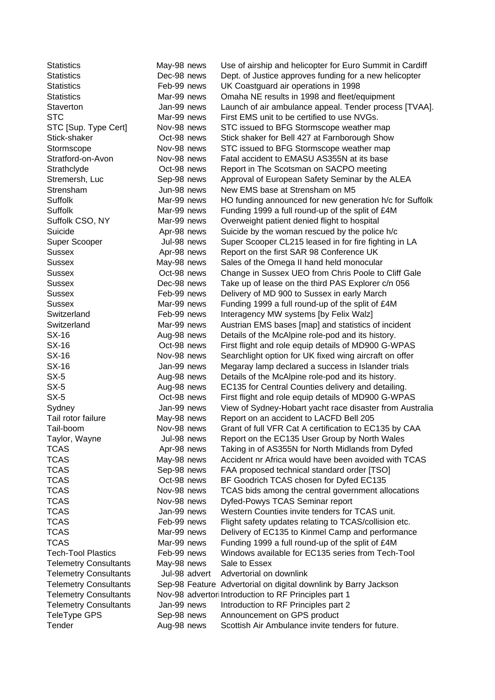| Statistics                   | May-98 news   | Use of airship and helicopter for Euro Summit in Cardiff        |
|------------------------------|---------------|-----------------------------------------------------------------|
| Statistics                   | Dec-98 news   | Dept. of Justice approves funding for a new helicopter          |
| <b>Statistics</b>            | Feb-99 news   | UK Coastguard air operations in 1998                            |
| Statistics                   | Mar-99 news   | Omaha NE results in 1998 and fleet/equipment                    |
| Staverton                    | Jan-99 news   | Launch of air ambulance appeal. Tender process [TVAA].          |
| <b>STC</b>                   | Mar-99 news   | First EMS unit to be certified to use NVGs.                     |
| STC [Sup. Type Cert]         | Nov-98 news   | STC issued to BFG Stormscope weather map                        |
| Stick-shaker                 | Oct-98 news   | Stick shaker for Bell 427 at Farnborough Show                   |
| Stormscope                   | Nov-98 news   | STC issued to BFG Stormscope weather map                        |
| Stratford-on-Avon            | Nov-98 news   | Fatal accident to EMASU AS355N at its base                      |
| Strathclyde                  | Oct-98 news   | Report in The Scotsman on SACPO meeting                         |
| Stremersh, Luc               | Sep-98 news   | Approval of European Safety Seminar by the ALEA                 |
| Strensham                    | Jun-98 news   | New EMS base at Strensham on M5                                 |
| Suffolk                      | Mar-99 news   | HO funding announced for new generation h/c for Suffolk         |
| Suffolk                      | Mar-99 news   | Funding 1999 a full round-up of the split of £4M                |
| Suffolk CSO, NY              | Mar-99 news   | Overweight patient denied flight to hospital                    |
| Suicide                      | Apr-98 news   | Suicide by the woman rescued by the police h/c                  |
| Super Scooper                | Jul-98 news   | Super Scooper CL215 leased in for fire fighting in LA           |
| Sussex                       | Apr-98 news   | Report on the first SAR 98 Conference UK                        |
| <b>Sussex</b>                | May-98 news   | Sales of the Omega II hand held monocular                       |
| <b>Sussex</b>                | Oct-98 news   | Change in Sussex UEO from Chris Poole to Cliff Gale             |
| <b>Sussex</b>                | Dec-98 news   | Take up of lease on the third PAS Explorer c/n 056              |
| Sussex                       | Feb-99 news   | Delivery of MD 900 to Sussex in early March                     |
| <b>Sussex</b>                | Mar-99 news   | Funding 1999 a full round-up of the split of £4M                |
| Switzerland                  | Feb-99 news   | Interagency MW systems [by Felix Walz]                          |
| Switzerland                  | Mar-99 news   | Austrian EMS bases [map] and statistics of incident             |
| SX-16                        | Aug-98 news   | Details of the McAlpine role-pod and its history.               |
| SX-16                        | Oct-98 news   | First flight and role equip details of MD900 G-WPAS             |
| SX-16                        | Nov-98 news   | Searchlight option for UK fixed wing aircraft on offer          |
| SX-16                        | Jan-99 news   | Megaray lamp declared a success in Islander trials              |
| $SX-5$                       | Aug-98 news   | Details of the McAlpine role-pod and its history.               |
| $SX-5$                       | Aug-98 news   | EC135 for Central Counties delivery and detailing.              |
| $SX-5$                       | Oct-98 news   | First flight and role equip details of MD900 G-WPAS             |
| Sydney                       | Jan-99 news   | View of Sydney-Hobart yacht race disaster from Australia        |
| Tail rotor failure           | May-98 news   | Report on an accident to LACFD Bell 205                         |
| Tail-boom                    | Nov-98 news   | Grant of full VFR Cat A certification to EC135 by CAA           |
| Taylor, Wayne                | Jul-98 news   | Report on the EC135 User Group by North Wales                   |
| TCAS                         | Apr-98 news   | Taking in of AS355N for North Midlands from Dyfed               |
| TCAS                         | May-98 news   | Accident nr Africa would have been avoided with TCAS            |
| TCAS                         | Sep-98 news   | FAA proposed technical standard order [TSO]                     |
| <b>TCAS</b>                  | Oct-98 news   | BF Goodrich TCAS chosen for Dyfed EC135                         |
| TCAS                         | Nov-98 news   | TCAS bids among the central government allocations              |
| TCAS                         | Nov-98 news   | Dyfed-Powys TCAS Seminar report                                 |
| <b>TCAS</b>                  | Jan-99 news   | Western Counties invite tenders for TCAS unit.                  |
| <b>TCAS</b>                  | Feb-99 news   | Flight safety updates relating to TCAS/collision etc.           |
| <b>TCAS</b>                  | Mar-99 news   | Delivery of EC135 to Kinmel Camp and performance                |
| TCAS                         | Mar-99 news   | Funding 1999 a full round-up of the split of £4M                |
| <b>Tech-Tool Plastics</b>    | Feb-99 news   | Windows available for EC135 series from Tech-Tool               |
| <b>Telemetry Consultants</b> | May-98 news   | Sale to Essex                                                   |
| <b>Telemetry Consultants</b> | Jul-98 advert | Advertorial on downlink                                         |
| <b>Telemetry Consultants</b> |               | Sep-98 Feature Advertorial on digital downlink by Barry Jackson |
| <b>Telemetry Consultants</b> |               | Nov-98 advertor Introduction to RF Principles part 1            |
| <b>Telemetry Consultants</b> | Jan-99 news   | Introduction to RF Principles part 2                            |
| TeleType GPS                 | Sep-98 news   | Announcement on GPS product                                     |
| Tender                       | Aug-98 news   | Scottish Air Ambulance invite tenders for future.               |
|                              |               |                                                                 |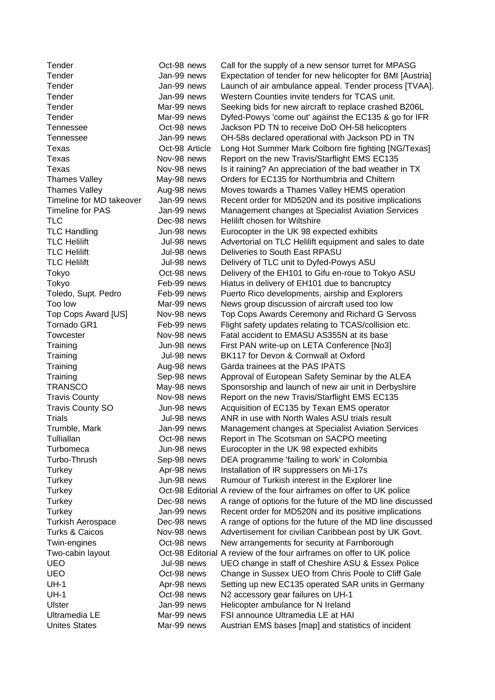| Tender                    | Oct-98 news    | Call for the supply of a new sensor turret for MPAS                   |
|---------------------------|----------------|-----------------------------------------------------------------------|
| Tender                    | Jan-99 news    | Expectation of tender for new helicopter for BMI [Au                  |
| Tender                    | Jan-99 news    | Launch of air ambulance appeal. Tender process [T                     |
| Tender                    | Jan-99 news    | Western Counties invite tenders for TCAS unit.                        |
| Tender                    | Mar-99 news    | Seeking bids for new aircraft to replace crashed B20                  |
| Tender                    | Mar-99 news    | Dyfed-Powys 'come out' against the EC135 & go for                     |
| Tennessee                 | Oct-98 news    | Jackson PD TN to receive DoD OH-58 helicopters                        |
| Tennessee                 | Jan-99 news    | OH-58s declared operational with Jackson PD in TN                     |
| Texas                     | Oct-98 Article | Long Hot Summer Mark Colborn fire fighting [NG/Te                     |
| Texas                     | Nov-98 news    | Report on the new Travis/Starflight EMS EC135                         |
| Texas                     | Nov-98 news    | Is it raining? An appreciation of the bad weather in 7                |
| <b>Thames Valley</b>      | May-98 news    | Orders for EC135 for Northumbria and Chiltern                         |
| <b>Thames Valley</b>      | Aug-98 news    | Moves towards a Thames Valley HEMS operation                          |
| Timeline for MD takeover  | Jan-99 news    | Recent order for MD520N and its positive implicatio                   |
| <b>Timeline for PAS</b>   | Jan-99 news    | Management changes at Specialist Aviation Service                     |
| <b>TLC</b>                | Dec-98 news    | Helilift chosen for Wiltshire                                         |
| <b>TLC Handling</b>       | Jun-98 news    | Eurocopter in the UK 98 expected exhibits                             |
| <b>TLC Helilift</b>       | Jul-98 news    | Advertorial on TLC Helilift equipment and sales to d                  |
| <b>TLC Helilift</b>       | Jul-98 news    | Deliveries to South East RPASU                                        |
| <b>TLC Helilift</b>       | Jul-98 news    | Delivery of TLC unit to Dyfed-Powys ASU                               |
| Tokyo                     | Oct-98 news    | Delivery of the EH101 to Gifu en-roue to Tokyo ASU                    |
| Tokyo                     | Feb-99 news    | Hiatus in delivery of EH101 due to bancruptcy                         |
| Toledo, Supt. Pedro       | Feb-99 news    | Puerto Rico developments, airship and Explorers                       |
| Too low                   | Mar-99 news    | News group discussion of aircraft used too low                        |
| Top Cops Award [US]       | Nov-98 news    | Top Cops Awards Ceremony and Richard G Servos                         |
| Tornado GR1               | Feb-99 news    | Flight safety updates relating to TCAS/collision etc.                 |
| Towcester                 | Nov-98 news    | Fatal accident to EMASU AS355N at its base                            |
| Training                  | Jun-98 news    | First PAN write-up on LETA Conference [No3]                           |
| Training                  | Jul-98 news    | BK117 for Devon & Cornwall at Oxford                                  |
| Training                  | Aug-98 news    | Garda trainees at the PAS IPATS                                       |
| Training                  | Sep-98 news    | Approval of European Safety Seminar by the ALEA                       |
| <b>TRANSCO</b>            | May-98 news    | Sponsorship and launch of new air unit in Derbyshir                   |
| <b>Travis County</b>      | Nov-98 news    | Report on the new Travis/Starflight EMS EC135                         |
| <b>Travis County SO</b>   | Jun-98 news    | Acquisition of EC135 by Texan EMS operator                            |
| <b>Trials</b>             | Jul-98 news    | ANR in use with North Wales ASU trials result                         |
| Trumble, Mark             | Jan-99 news    | Management changes at Specialist Aviation Service                     |
| Tulliallan                | Oct-98 news    | Report in The Scotsman on SACPO meeting                               |
| Turbomeca                 | Jun-98 news    | Eurocopter in the UK 98 expected exhibits                             |
| Turbo-Thrush              | Sep-98 news    | DEA programme 'failing to work' in Colombia                           |
| Turkey                    | Apr-98 news    | Installation of IR suppressers on Mi-17s                              |
| Turkey                    | Jun-98 news    | Rumour of Turkish interest in the Explorer line                       |
| Turkey                    |                | Oct-98 Editorial A review of the four airframes on offer to UK police |
| Turkey                    | Dec-98 news    | A range of options for the future of the MD line discul               |
| Turkey                    | Jan-99 news    | Recent order for MD520N and its positive implicatio                   |
| Turkish Aerospace         | Dec-98 news    | A range of options for the future of the MD line discu                |
| <b>Turks &amp; Caicos</b> | Nov-98 news    | Advertisement for civilian Caribbean post by UK Go                    |
| Twin-engines              | Oct-98 news    | New arrangements for security at Farnborough                          |
| Two-cabin layout          |                | Oct-98 Editorial A review of the four airframes on offer to UK police |
| <b>UEO</b>                | Jul-98 news    | UEO change in staff of Cheshire ASU & Essex Polic                     |
| <b>UEO</b>                | Oct-98 news    | Change in Sussex UEO from Chris Poole to Cliff Ga                     |
| $UH-1$                    | Apr-98 news    | Setting up new EC135 operated SAR units in Germa                      |
| $UH-1$                    | Oct-98 news    | N2 accessory gear failures on UH-1                                    |
| <b>Ulster</b>             | Jan-99 news    | Helicopter ambulance for N Ireland                                    |
| Ultramedia LE             | Mar-99 news    | FSI announce Ultramedia LE at HAI                                     |
| <b>Unites States</b>      | Mar-99 news    | Austrian EMS bases [map] and statistics of incident                   |

Examply of a new sensor turret for MPASG In of tender for new helicopter for BMI [Austria] air ambulance appeal. Tender process [TVAA]. ounties invite tenders for TCAS unit. ds for new aircraft to replace crashed B206L  $\gamma$ s 'come out' against the EC135 & go for IFR D TN to receive DoD OH-58 helicopters clared operational with Jackson PD in TN Summer Mark Colborn fire fighting [NG/Texas] the new Travis/Starflight EMS EC135 1? An appreciation of the bad weather in TX EC135 for Northumbria and Chiltern ards a Thames Valley HEMS operation der for MD520N and its positive implications ent changes at Specialist Aviation Services sen for Wiltshire r in the UK 98 expected exhibits on TLC Helilift equipment and sales to date to South East RPASU TLC unit to Dyfed-Powys ASU the EH101 to Gifu en-roue to Tokyo ASU elivery of EH101 due to bancruptcy to developments, airship and Explorers Ip discussion of aircraft used too low Awards Ceremony and Richard G Servoss ty updates relating to TCAS/collision etc. lent to EMASU AS355N at its base write-up on LETA Conference [No3] Devon & Cornwall at Oxford nees at the PAS IPATS of European Safety Seminar by the ALEA ip and launch of new air unit in Derbyshire the new Travis/Starflight EMS EC135 of EC135 by Texan EMS operator e with North Wales ASU trials result ent changes at Specialist Aviation Services The Scotsman on SACPO meeting r in the UK 98 expected exhibits amme 'failing to work' in Colombia of IR suppressers on Mi-17s Turkish interest in the Explorer line If the four airframes on offer to UK police options for the future of the MD line discussed der for MD520N and its positive implications options for the future of the MD line discussed nent for civilian Caribbean post by UK Govt. gements for security at Farnborough of the four airframes on offer to UK police ge in staff of Cheshire ASU & Essex Police Sussex UEO from Chris Poole to Cliff Gale new EC135 operated SAR units in Germany ory gear failures on UH-1 ambulance for N Ireland nce Ultramedia LE at HAI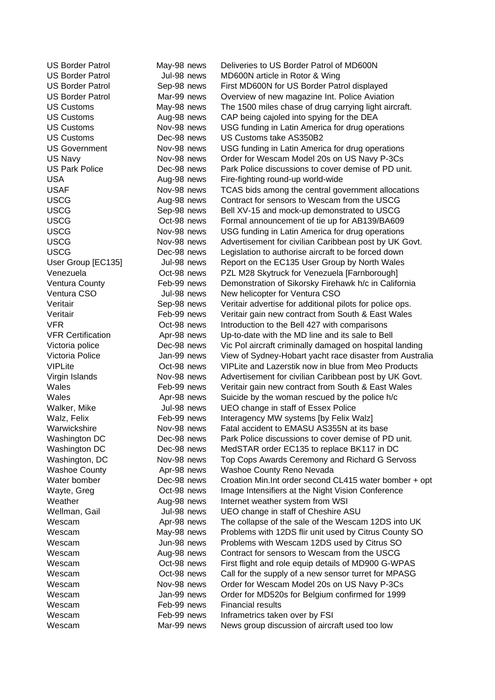Wescam Feb-99 news Financial results

US Border Patrol May-98 news Deliveries to US Border Patrol of MD600N US Border Patrol **Jul-98 news** MD600N article in Rotor & Wing US Border Patrol Sep-98 news First MD600N for US Border Patrol displayed US Border Patrol Mar-99 news Overview of new magazine Int. Police Aviation US Customs May-98 news The 1500 miles chase of drug carrying light aircraft. US Customs Aug-98 news CAP being cajoled into spying for the DEA US Customs Nov-98 news USG funding in Latin America for drug operations US Customs Dec-98 news US Customs take AS350B2 US Government Nov-98 news USG funding in Latin America for drug operations US Navy Nov-98 news Order for Wescam Model 20s on US Navy P-3Cs US Park Police Dec-98 news Park Police discussions to cover demise of PD unit. USA Aug-98 news Fire-fighting round-up world-wide USAF Nov-98 news TCAS bids among the central government allocations USCG Aug-98 news Contract for sensors to Wescam from the USCG USCG Sep-98 news Bell XV-15 and mock-up demonstrated to USCG USCG **Oct-98 news** Formal announcement of tie up for AB139/BA609 USCG Nov-98 news USG funding in Latin America for drug operations USCG Nov-98 news Advertisement for civilian Caribbean post by UK Govt. USCG **Dec-98 news** Legislation to authorise aircraft to be forced down User Group [EC135] Jul-98 news Report on the EC135 User Group by North Wales Venezuela Oct-98 news PZL M28 Skytruck for Venezuela [Farnborough] Ventura County Feb-99 news Demonstration of Sikorsky Firehawk h/c in California Ventura CSO Jul-98 news New helicopter for Ventura CSO Veritair Sep-98 news Veritair advertise for additional pilots for police ops. Veritair Feb-99 news Veritair gain new contract from South & East Wales VFR Oct-98 news Introduction to the Bell 427 with comparisons VFR Certification Apr-98 news Up-to-date with the MD line and its sale to Bell Victoria police Dec-98 news Vic Pol aircraft criminally damaged on hospital landing Victoria Police **Jan-99 news** View of Sydney-Hobart yacht race disaster from Australia VIPLite Oct-98 news VIPLite and Lazerstik now in blue from Meo Products Virgin Islands Nov-98 news Advertisement for civilian Caribbean post by UK Govt. Wales Feb-99 news Veritair gain new contract from South & East Wales Wales Mate Apr-98 news Suicide by the woman rescued by the police h/c Walker, Mike **Jul-98 news** UEO change in staff of Essex Police Walz, Felix Feb-99 news Interagency MW systems [by Felix Walz] Warwickshire Nov-98 news Fatal accident to EMASU AS355N at its base Washington DC **Dec-98 news** Park Police discussions to cover demise of PD unit. Washington DC Dec-98 news MedSTAR order EC135 to replace BK117 in DC Washington, DC Nov-98 news Top Cops Awards Ceremony and Richard G Servoss Washoe County **Apr-98 news** Washoe County Reno Nevada Water bomber **Dec-98 news** Croation Min. Int order second CL415 water bomber + opt Wayte, Greg Oct-98 news Image Intensifiers at the Night Vision Conference Weather **Aug-98 news** Internet weather system from WSI Wellman, Gail Jul-98 news UEO change in staff of Cheshire ASU Wescam Apr-98 news The collapse of the sale of the Wescam 12DS into UK Wescam May-98 news Problems with 12DS flir unit used by Citrus County SO Wescam Jun-98 news Problems with Wescam 12DS used by Citrus SO Wescam Aug-98 news Contract for sensors to Wescam from the USCG Wescam Oct-98 news First flight and role equip details of MD900 G-WPAS Wescam Oct-98 news Call for the supply of a new sensor turret for MPASG Wescam Mov-98 news Order for Wescam Model 20s on US Navy P-3Cs Wescam Jan-99 news Order for MD520s for Belgium confirmed for 1999 Wescam Feb-99 news Inframetrics taken over by FSI Wescam Mar-99 news News group discussion of aircraft used too low